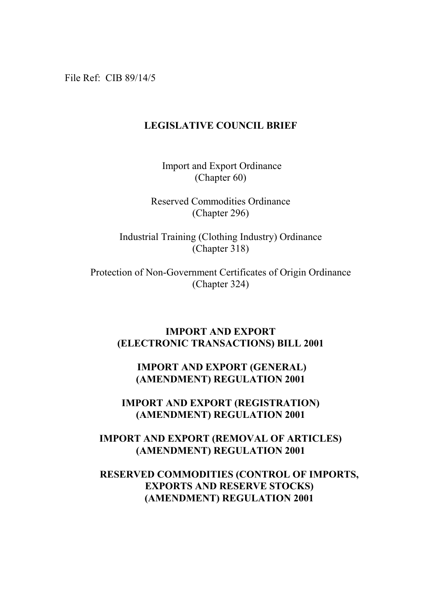File Ref: CIB 89/14/5

## **LEGISLATIVE COUNCIL BRIEF**

 Import and Export Ordinance (Chapter 60)

Reserved Commodities Ordinance (Chapter 296)

Industrial Training (Clothing Industry) Ordinance (Chapter 318)

Protection of Non-Government Certificates of Origin Ordinance (Chapter 324)

## **IMPORT AND EXPORT (ELECTRONIC TRANSACTIONS) BILL 2001**

## **IMPORT AND EXPORT (GENERAL) (AMENDMENT) REGULATION 2001**

**IMPORT AND EXPORT (REGISTRATION) (AMENDMENT) REGULATION 2001**

**IMPORT AND EXPORT (REMOVAL OF ARTICLES) (AMENDMENT) REGULATION 2001**

## **RESERVED COMMODITIES (CONTROL OF IMPORTS, EXPORTS AND RESERVE STOCKS) (AMENDMENT) REGULATION 2001**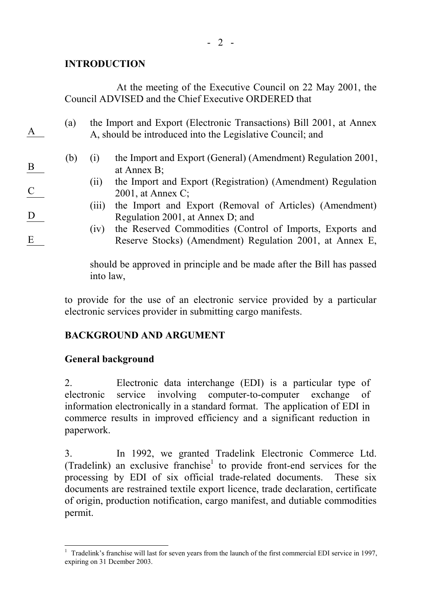## **INTRODUCTION**

A

B

C

D

E

At the meeting of the Executive Council on 22 May 2001, the Council ADVISED and the Chief Executive ORDERED that

- (a) the Import and Export (Electronic Transactions) Bill 2001, at Annex A, should be introduced into the Legislative Council; and
	- (b) (i) the Import and Export (General) (Amendment) Regulation 2001, at Annex B;
		- (ii) the Import and Export (Registration) (Amendment) Regulation 2001, at Annex C;
		- (iii) the Import and Export (Removal of Articles) (Amendment) Regulation 2001, at Annex D; and
		- (iv) the Reserved Commodities (Control of Imports, Exports and Reserve Stocks) (Amendment) Regulation 2001, at Annex E,

should be approved in principle and be made after the Bill has passed into law,

to provide for the use of an electronic service provided by a particular electronic services provider in submitting cargo manifests.

# **BACKGROUND AND ARGUMENT**

## **General background**

2. Electronic data interchange (EDI) is a particular type of electronic service involving computer-to-computer exchange of information electronically in a standard format. The application of EDI in commerce results in improved efficiency and a significant reduction in paperwork.

3. In 1992, we granted Tradelink Electronic Commerce Ltd. (Tradelink) an exclusive franchise<sup>1</sup> to provide front-end services for the processing by EDI of six official trade-related documents. These six documents are restrained textile export licence, trade declaration, certificate of origin, production notification, cargo manifest, and dutiable commodities permit.

 1 Tradelink's franchise will last for seven years from the launch of the first commercial EDI service in 1997, expiring on 31 Dcember 2003.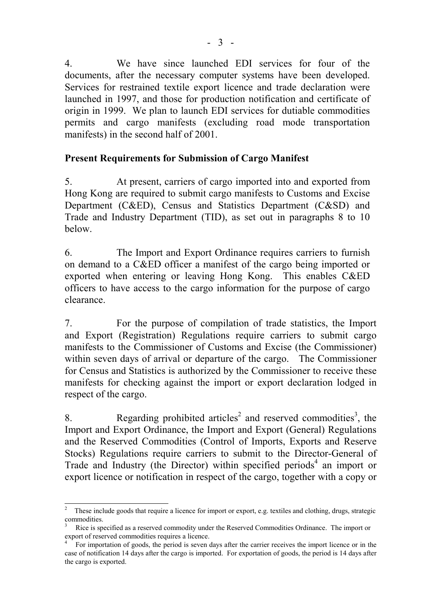4. We have since launched EDI services for four of the documents, after the necessary computer systems have been developed. Services for restrained textile export licence and trade declaration were launched in 1997, and those for production notification and certificate of origin in 1999. We plan to launch EDI services for dutiable commodities permits and cargo manifests (excluding road mode transportation manifests) in the second half of 2001.

## **Present Requirements for Submission of Cargo Manifest**

5. At present, carriers of cargo imported into and exported from Hong Kong are required to submit cargo manifests to Customs and Excise Department (C&ED), Census and Statistics Department (C&SD) and Trade and Industry Department (TID), as set out in paragraphs 8 to 10 below.

6. The Import and Export Ordinance requires carriers to furnish on demand to a C&ED officer a manifest of the cargo being imported or exported when entering or leaving Hong Kong. This enables C&ED officers to have access to the cargo information for the purpose of cargo clearance.

7. For the purpose of compilation of trade statistics, the Import and Export (Registration) Regulations require carriers to submit cargo manifests to the Commissioner of Customs and Excise (the Commissioner) within seven days of arrival or departure of the cargo. The Commissioner for Census and Statistics is authorized by the Commissioner to receive these manifests for checking against the import or export declaration lodged in respect of the cargo.

8. Regarding prohibited articles<sup>2</sup> and reserved commodities<sup>3</sup>, the Import and Export Ordinance, the Import and Export (General) Regulations and the Reserved Commodities (Control of Imports, Exports and Reserve Stocks) Regulations require carriers to submit to the Director-General of Trade and Industry (the Director) within specified periods<sup>4</sup> an import or export licence or notification in respect of the cargo, together with a copy or

 $\frac{1}{2}$  These include goods that require a licence for import or export, e.g. textiles and clothing, drugs, strategic commodities.

<sup>3</sup> Rice is specified as a reserved commodity under the Reserved Commodities Ordinance. The import or export of reserved commodities requires a licence.

<sup>4</sup> For importation of goods, the period is seven days after the carrier receives the import licence or in the case of notification 14 days after the cargo is imported. For exportation of goods, the period is 14 days after the cargo is exported.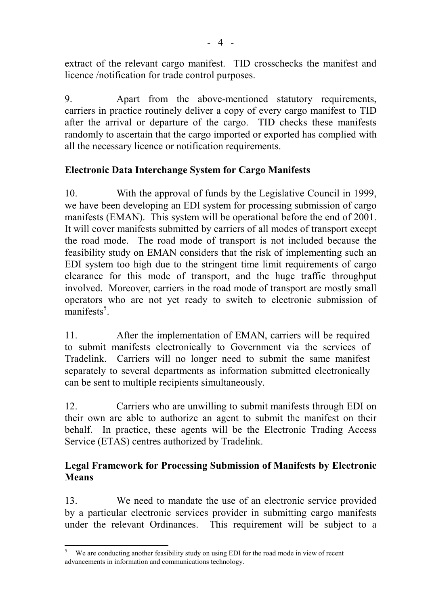extract of the relevant cargo manifest. TID crosschecks the manifest and licence /notification for trade control purposes.

9. Apart from the above-mentioned statutory requirements, carriers in practice routinely deliver a copy of every cargo manifest to TID after the arrival or departure of the cargo. TID checks these manifests randomly to ascertain that the cargo imported or exported has complied with all the necessary licence or notification requirements.

# **Electronic Data Interchange System for Cargo Manifests**

10. With the approval of funds by the Legislative Council in 1999, we have been developing an EDI system for processing submission of cargo manifests (EMAN). This system will be operational before the end of 2001. It will cover manifests submitted by carriers of all modes of transport except the road mode. The road mode of transport is not included because the feasibility study on EMAN considers that the risk of implementing such an EDI system too high due to the stringent time limit requirements of cargo clearance for this mode of transport, and the huge traffic throughput involved. Moreover, carriers in the road mode of transport are mostly small operators who are not yet ready to switch to electronic submission of  $manifests<sup>5</sup>$ .

11. After the implementation of EMAN, carriers will be required to submit manifests electronically to Government via the services of Tradelink. Carriers will no longer need to submit the same manifest separately to several departments as information submitted electronically can be sent to multiple recipients simultaneously.

12. Carriers who are unwilling to submit manifests through EDI on their own are able to authorize an agent to submit the manifest on their behalf. In practice, these agents will be the Electronic Trading Access Service (ETAS) centres authorized by Tradelink.

# **Legal Framework for Processing Submission of Manifests by Electronic Means**

13. We need to mandate the use of an electronic service provided by a particular electronic services provider in submitting cargo manifests under the relevant Ordinances. This requirement will be subject to a

 5 We are conducting another feasibility study on using EDI for the road mode in view of recent advancements in information and communications technology.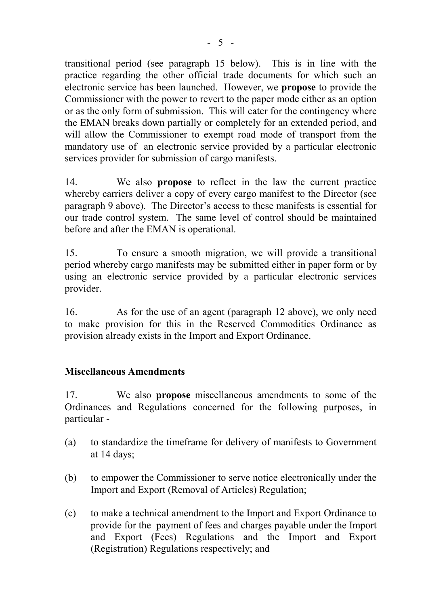transitional period (see paragraph 15 below). This is in line with the practice regarding the other official trade documents for which such an electronic service has been launched. However, we **propose** to provide the Commissioner with the power to revert to the paper mode either as an option or as the only form of submission. This will cater for the contingency where the EMAN breaks down partially or completely for an extended period, and will allow the Commissioner to exempt road mode of transport from the mandatory use of an electronic service provided by a particular electronic services provider for submission of cargo manifests.

14. We also **propose** to reflect in the law the current practice whereby carriers deliver a copy of every cargo manifest to the Director (see paragraph 9 above). The Director's access to these manifests is essential for our trade control system. The same level of control should be maintained before and after the EMAN is operational.

15. To ensure a smooth migration, we will provide a transitional period whereby cargo manifests may be submitted either in paper form or by using an electronic service provided by a particular electronic services provider.

16. As for the use of an agent (paragraph 12 above), we only need to make provision for this in the Reserved Commodities Ordinance as provision already exists in the Import and Export Ordinance.

## **Miscellaneous Amendments**

17. We also **propose** miscellaneous amendments to some of the Ordinances and Regulations concerned for the following purposes, in particular -

- (a) to standardize the timeframe for delivery of manifests to Government at 14 days;
- (b) to empower the Commissioner to serve notice electronically under the Import and Export (Removal of Articles) Regulation;
- (c) to make a technical amendment to the Import and Export Ordinance to provide for the payment of fees and charges payable under the Import and Export (Fees) Regulations and the Import and Export (Registration) Regulations respectively; and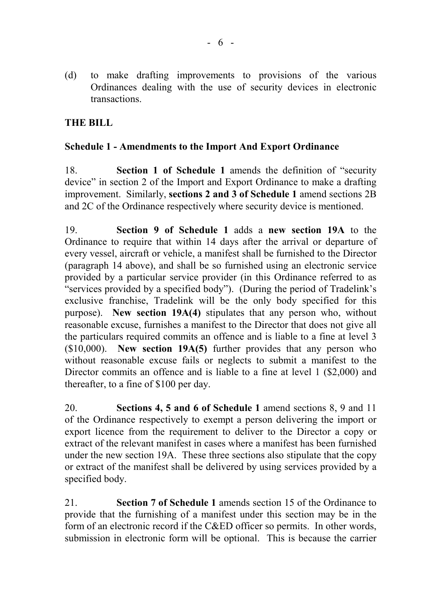(d) to make drafting improvements to provisions of the various Ordinances dealing with the use of security devices in electronic transactions.

# **THE BILL**

## **Schedule 1 - Amendments to the Import And Export Ordinance**

18. **Section 1 of Schedule 1** amends the definition of "security device" in section 2 of the Import and Export Ordinance to make a drafting improvement. Similarly, **sections 2 and 3 of Schedule 1** amend sections 2B and 2C of the Ordinance respectively where security device is mentioned.

19. **Section 9 of Schedule 1** adds a **new section 19A** to the Ordinance to require that within 14 days after the arrival or departure of every vessel, aircraft or vehicle, a manifest shall be furnished to the Director (paragraph 14 above), and shall be so furnished using an electronic service provided by a particular service provider (in this Ordinance referred to as "services provided by a specified body"). (During the period of Tradelink's exclusive franchise, Tradelink will be the only body specified for this purpose). **New section 19A(4)** stipulates that any person who, without reasonable excuse, furnishes a manifest to the Director that does not give all the particulars required commits an offence and is liable to a fine at level 3 (\$10,000). **New section 19A(5)** further provides that any person who without reasonable excuse fails or neglects to submit a manifest to the Director commits an offence and is liable to a fine at level 1 (\$2,000) and thereafter, to a fine of \$100 per day.

20. **Sections 4, 5 and 6 of Schedule 1** amend sections 8, 9 and 11 of the Ordinance respectively to exempt a person delivering the import or export licence from the requirement to deliver to the Director a copy or extract of the relevant manifest in cases where a manifest has been furnished under the new section 19A. These three sections also stipulate that the copy or extract of the manifest shall be delivered by using services provided by a specified body.

21. **Section 7 of Schedule 1** amends section 15 of the Ordinance to provide that the furnishing of a manifest under this section may be in the form of an electronic record if the C&ED officer so permits. In other words, submission in electronic form will be optional. This is because the carrier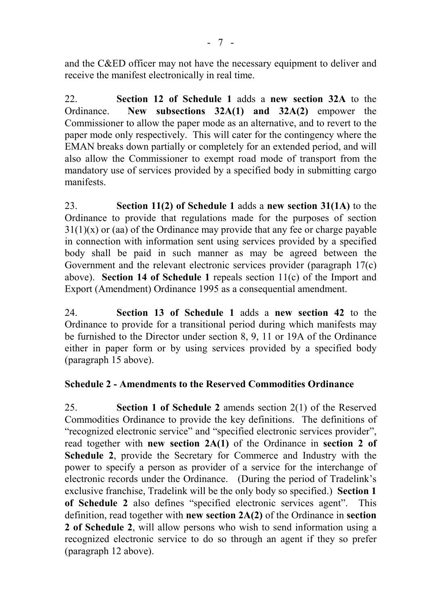and the C&ED officer may not have the necessary equipment to deliver and receive the manifest electronically in real time.

22. **Section 12 of Schedule 1** adds a **new section 32A** to the Ordinance. **New subsections 32A(1) and 32A(2)** empower the Commissioner to allow the paper mode as an alternative, and to revert to the paper mode only respectively. This will cater for the contingency where the EMAN breaks down partially or completely for an extended period, and will also allow the Commissioner to exempt road mode of transport from the mandatory use of services provided by a specified body in submitting cargo manifests.

23. **Section 11(2) of Schedule 1** adds a **new section 31(1A)** to the Ordinance to provide that regulations made for the purposes of section  $31(1)(x)$  or (aa) of the Ordinance may provide that any fee or charge payable in connection with information sent using services provided by a specified body shall be paid in such manner as may be agreed between the Government and the relevant electronic services provider (paragraph 17(c) above). **Section 14 of Schedule 1** repeals section 11(c) of the Import and Export (Amendment) Ordinance 1995 as a consequential amendment.

24. **Section 13 of Schedule 1** adds a **new section 42** to the Ordinance to provide for a transitional period during which manifests may be furnished to the Director under section 8, 9, 11 or 19A of the Ordinance either in paper form or by using services provided by a specified body (paragraph 15 above).

## **Schedule 2 - Amendments to the Reserved Commodities Ordinance**

25. **Section 1 of Schedule 2** amends section 2(1) of the Reserved Commodities Ordinance to provide the key definitions. The definitions of "recognized electronic service" and "specified electronic services provider", read together with **new section 2A(1)** of the Ordinance in **section 2 of Schedule 2**, provide the Secretary for Commerce and Industry with the power to specify a person as provider of a service for the interchange of electronic records under the Ordinance. (During the period of Tradelink's exclusive franchise, Tradelink will be the only body so specified.) **Section 1 of Schedule 2** also defines "specified electronic services agent". This definition, read together with **new section 2A(2)** of the Ordinance in **section 2 of Schedule 2**, will allow persons who wish to send information using a recognized electronic service to do so through an agent if they so prefer (paragraph 12 above).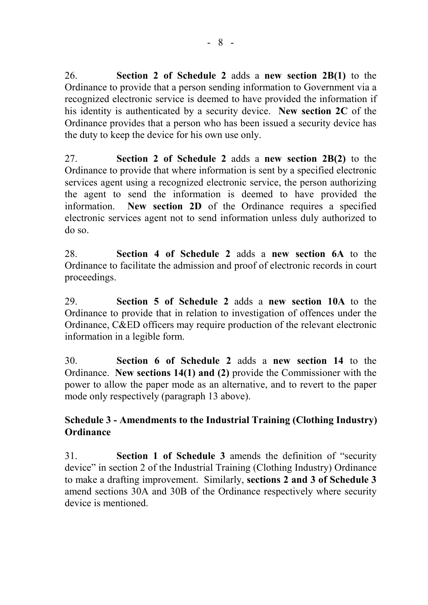26. **Section 2 of Schedule 2** adds a **new section 2B(1)** to the Ordinance to provide that a person sending information to Government via a recognized electronic service is deemed to have provided the information if his identity is authenticated by a security device. **New section 2C** of the Ordinance provides that a person who has been issued a security device has the duty to keep the device for his own use only.

27. **Section 2 of Schedule 2** adds a **new section 2B(2)** to the Ordinance to provide that where information is sent by a specified electronic services agent using a recognized electronic service, the person authorizing the agent to send the information is deemed to have provided the information. **New section 2D** of the Ordinance requires a specified electronic services agent not to send information unless duly authorized to do so.

28. **Section 4 of Schedule 2** adds a **new section 6A** to the Ordinance to facilitate the admission and proof of electronic records in court proceedings.

29. **Section 5 of Schedule 2** adds a **new section 10A** to the Ordinance to provide that in relation to investigation of offences under the Ordinance, C&ED officers may require production of the relevant electronic information in a legible form.

30. **Section 6 of Schedule 2** adds a **new section 14** to the Ordinance. **New sections 14(1) and (2)** provide the Commissioner with the power to allow the paper mode as an alternative, and to revert to the paper mode only respectively (paragraph 13 above).

# **Schedule 3 - Amendments to the Industrial Training (Clothing Industry) Ordinance**

31. **Section 1 of Schedule 3** amends the definition of "security device" in section 2 of the Industrial Training (Clothing Industry) Ordinance to make a drafting improvement. Similarly, **sections 2 and 3 of Schedule 3** amend sections 30A and 30B of the Ordinance respectively where security device is mentioned.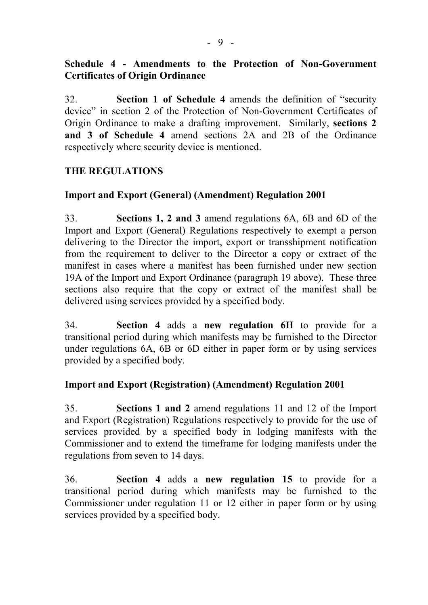# **Schedule 4 - Amendments to the Protection of Non-Government Certificates of Origin Ordinance**

32. **Section 1 of Schedule 4** amends the definition of "security device" in section 2 of the Protection of Non-Government Certificates of Origin Ordinance to make a drafting improvement. Similarly, **sections 2 and 3 of Schedule 4** amend sections 2A and 2B of the Ordinance respectively where security device is mentioned.

# **THE REGULATIONS**

## **Import and Export (General) (Amendment) Regulation 2001**

33. **Sections 1, 2 and 3** amend regulations 6A, 6B and 6D of the Import and Export (General) Regulations respectively to exempt a person delivering to the Director the import, export or transshipment notification from the requirement to deliver to the Director a copy or extract of the manifest in cases where a manifest has been furnished under new section 19A of the Import and Export Ordinance (paragraph 19 above). These three sections also require that the copy or extract of the manifest shall be delivered using services provided by a specified body.

34. **Section 4** adds a **new regulation 6H** to provide for a transitional period during which manifests may be furnished to the Director under regulations 6A, 6B or 6D either in paper form or by using services provided by a specified body.

## **Import and Export (Registration) (Amendment) Regulation 2001**

35. **Sections 1 and 2** amend regulations 11 and 12 of the Import and Export (Registration) Regulations respectively to provide for the use of services provided by a specified body in lodging manifests with the Commissioner and to extend the timeframe for lodging manifests under the regulations from seven to 14 days.

36. **Section 4** adds a **new regulation 15** to provide for a transitional period during which manifests may be furnished to the Commissioner under regulation 11 or 12 either in paper form or by using services provided by a specified body.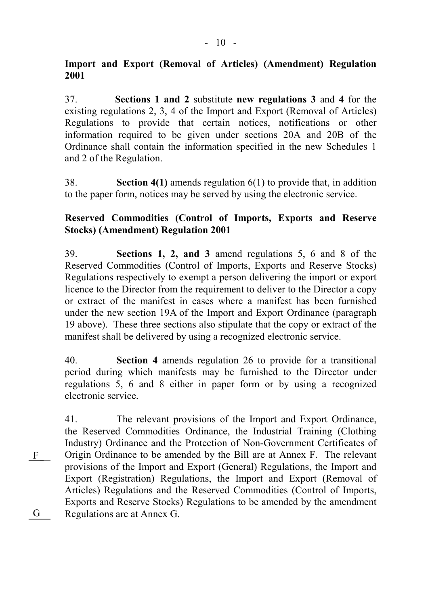## **Import and Export (Removal of Articles) (Amendment) Regulation 2001**

37. **Sections 1 and 2** substitute **new regulations 3** and **4** for the existing regulations 2, 3, 4 of the Import and Export (Removal of Articles) Regulations to provide that certain notices, notifications or other information required to be given under sections 20A and 20B of the Ordinance shall contain the information specified in the new Schedules 1 and 2 of the Regulation.

38. **Section 4(1)** amends regulation 6(1) to provide that, in addition to the paper form, notices may be served by using the electronic service.

## **Reserved Commodities (Control of Imports, Exports and Reserve Stocks) (Amendment) Regulation 2001**

39. **Sections 1, 2, and 3** amend regulations 5, 6 and 8 of the Reserved Commodities (Control of Imports, Exports and Reserve Stocks) Regulations respectively to exempt a person delivering the import or export licence to the Director from the requirement to deliver to the Director a copy or extract of the manifest in cases where a manifest has been furnished under the new section 19A of the Import and Export Ordinance (paragraph 19 above). These three sections also stipulate that the copy or extract of the manifest shall be delivered by using a recognized electronic service.

40. **Section 4** amends regulation 26 to provide for a transitional period during which manifests may be furnished to the Director under regulations 5, 6 and 8 either in paper form or by using a recognized electronic service.

41. The relevant provisions of the Import and Export Ordinance, the Reserved Commodities Ordinance, the Industrial Training (Clothing Industry) Ordinance and the Protection of Non-Government Certificates of Origin Ordinance to be amended by the Bill are at Annex F. The relevant provisions of the Import and Export (General) Regulations, the Import and Export (Registration) Regulations, the Import and Export (Removal of Articles) Regulations and the Reserved Commodities (Control of Imports, Exports and Reserve Stocks) Regulations to be amended by the amendment G Regulations are at Annex G.  $\mathbf{F}$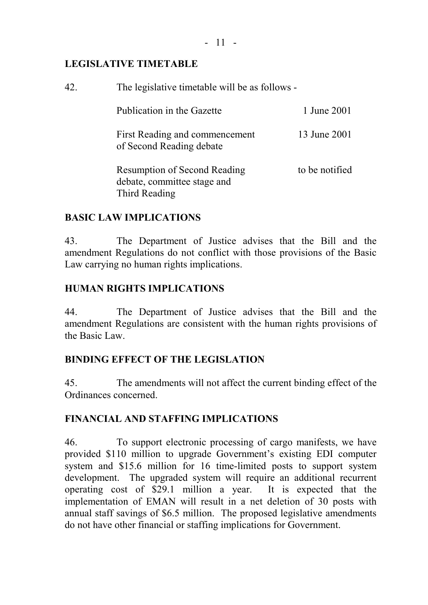# **LEGISLATIVE TIMETABLE**

| 42. | The legislative timetable will be as follows -                                      |                |  |
|-----|-------------------------------------------------------------------------------------|----------------|--|
|     | Publication in the Gazette                                                          | 1 June 2001    |  |
|     | First Reading and commencement<br>of Second Reading debate                          | 13 June 2001   |  |
|     | <b>Resumption of Second Reading</b><br>debate, committee stage and<br>Third Reading | to be notified |  |

# **BASIC LAW IMPLICATIONS**

43. The Department of Justice advises that the Bill and the amendment Regulations do not conflict with those provisions of the Basic Law carrying no human rights implications.

# **HUMAN RIGHTS IMPLICATIONS**

44. The Department of Justice advises that the Bill and the amendment Regulations are consistent with the human rights provisions of the Basic Law.

# **BINDING EFFECT OF THE LEGISLATION**

45. The amendments will not affect the current binding effect of the Ordinances concerned.

# **FINANCIAL AND STAFFING IMPLICATIONS**

46. To support electronic processing of cargo manifests, we have provided \$110 million to upgrade Government's existing EDI computer system and \$15.6 million for 16 time-limited posts to support system development. The upgraded system will require an additional recurrent operating cost of \$29.1 million a year. It is expected that the implementation of EMAN will result in a net deletion of 30 posts with annual staff savings of \$6.5 million. The proposed legislative amendments do not have other financial or staffing implications for Government.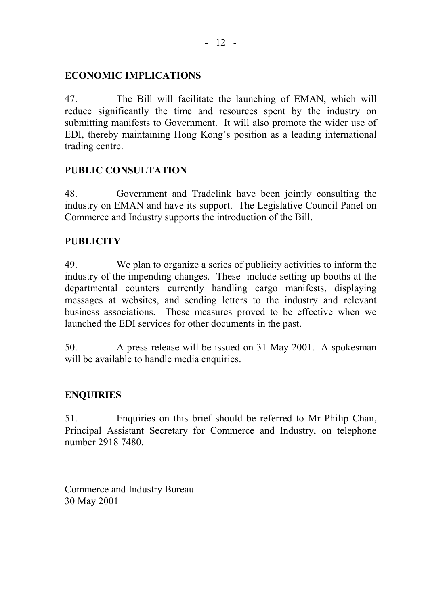## **ECONOMIC IMPLICATIONS**

47. The Bill will facilitate the launching of EMAN, which will reduce significantly the time and resources spent by the industry on submitting manifests to Government. It will also promote the wider use of EDI, thereby maintaining Hong Kong's position as a leading international trading centre.

# **PUBLIC CONSULTATION**

48. Government and Tradelink have been jointly consulting the industry on EMAN and have its support. The Legislative Council Panel on Commerce and Industry supports the introduction of the Bill.

# **PUBLICITY**

49. We plan to organize a series of publicity activities to inform the industry of the impending changes. These include setting up booths at the departmental counters currently handling cargo manifests, displaying messages at websites, and sending letters to the industry and relevant business associations. These measures proved to be effective when we launched the EDI services for other documents in the past.

50. A press release will be issued on 31 May 2001. A spokesman will be available to handle media enquiries.

# **ENQUIRIES**

51. Enquiries on this brief should be referred to Mr Philip Chan, Principal Assistant Secretary for Commerce and Industry, on telephone number 2918 7480.

Commerce and Industry Bureau 30 May 2001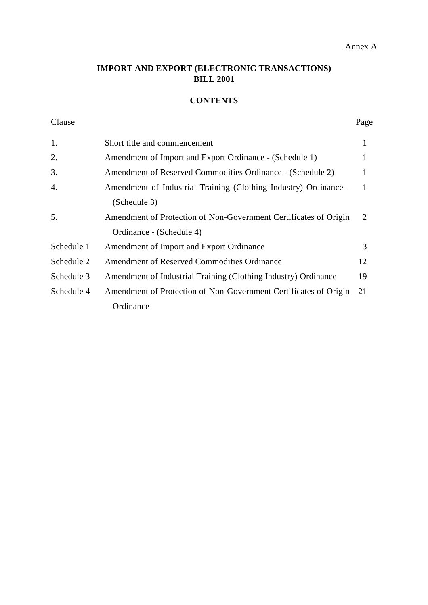#### Annex A

## **IMPORT AND EXPORT (ELECTRONIC TRANSACTIONS) BILL 2001**

## **CONTENTS**

| Clause     |                                                                  | Page |
|------------|------------------------------------------------------------------|------|
| 1.         | Short title and commencement                                     | 1    |
| 2.         | Amendment of Import and Export Ordinance - (Schedule 1)          |      |
| 3.         | Amendment of Reserved Commodities Ordinance - (Schedule 2)       |      |
| 4.         | Amendment of Industrial Training (Clothing Industry) Ordinance - |      |
|            | (Schedule 3)                                                     |      |
| 5.         | Amendment of Protection of Non-Government Certificates of Origin | 2    |
|            | Ordinance - (Schedule 4)                                         |      |
| Schedule 1 | Amendment of Import and Export Ordinance                         | 3    |
| Schedule 2 | <b>Amendment of Reserved Commodities Ordinance</b>               | 12   |
| Schedule 3 | Amendment of Industrial Training (Clothing Industry) Ordinance   | 19   |
| Schedule 4 | Amendment of Protection of Non-Government Certificates of Origin | 21   |
|            | Ordinance                                                        |      |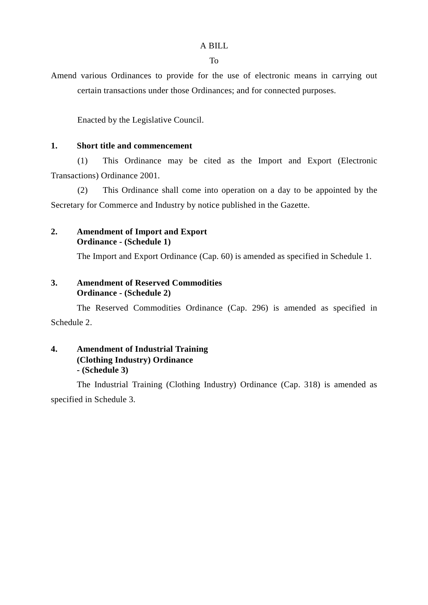#### A BILL

To

Amend various Ordinances to provide for the use of electronic means in carrying out certain transactions under those Ordinances; and for connected purposes.

Enacted by the Legislative Council.

### **1. Short title and commencement**

(1) This Ordinance may be cited as the Import and Export (Electronic Transactions) Ordinance 2001.

(2) This Ordinance shall come into operation on a day to be appointed by the Secretary for Commerce and Industry by notice published in the Gazette.

### **2. Amendment of Import and Export Ordinance - (Schedule 1)**

The Import and Export Ordinance (Cap. 60) is amended as specified in Schedule 1.

### **3. Amendment of Reserved Commodities Ordinance - (Schedule 2)**

The Reserved Commodities Ordinance (Cap. 296) is amended as specified in Schedule 2.

## **4. Amendment of Industrial Training (Clothing Industry) Ordinance - (Schedule 3)**

The Industrial Training (Clothing Industry) Ordinance (Cap. 318) is amended as specified in Schedule 3.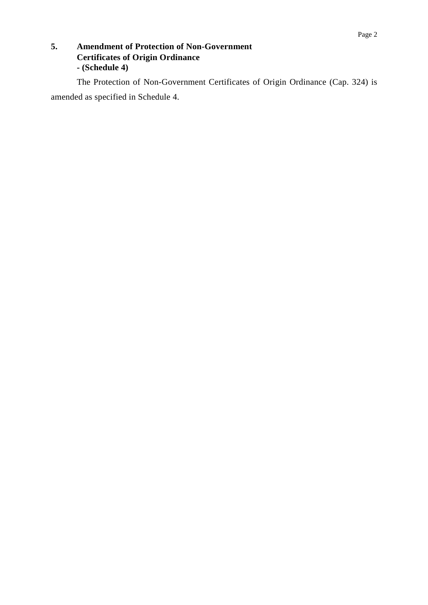## **5. Amendment of Protection of Non-Government Certificates of Origin Ordinance - (Schedule 4)**

The Protection of Non-Government Certificates of Origin Ordinance (Cap. 324) is amended as specified in Schedule 4.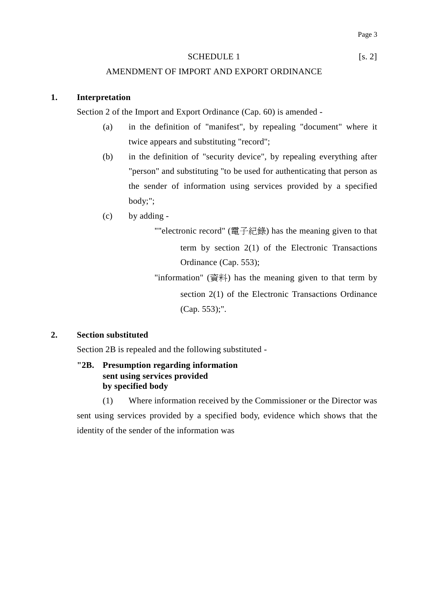#### SCHEDULE 1 [s. 2]

#### AMENDMENT OF IMPORT AND EXPORT ORDINANCE

#### **1. Interpretation**

Section 2 of the Import and Export Ordinance (Cap. 60) is amended -

- (a) in the definition of "manifest", by repealing "document" where it twice appears and substituting "record";
- (b) in the definition of "security device", by repealing everything after "person" and substituting "to be used for authenticating that person as the sender of information using services provided by a specified body;";
- (c) by adding
	- ""electronic record" (電子紀錄) has the meaning given to that term by section 2(1) of the Electronic Transactions Ordinance (Cap. 553);
	- "information" (資料) has the meaning given to that term by section 2(1) of the Electronic Transactions Ordinance (Cap. 553);".

### **2. Section substituted**

Section 2B is repealed and the following substituted -

### **"2B. Presumption regarding information sent using services provided by specified body**

(1) Where information received by the Commissioner or the Director was sent using services provided by a specified body, evidence which shows that the identity of the sender of the information was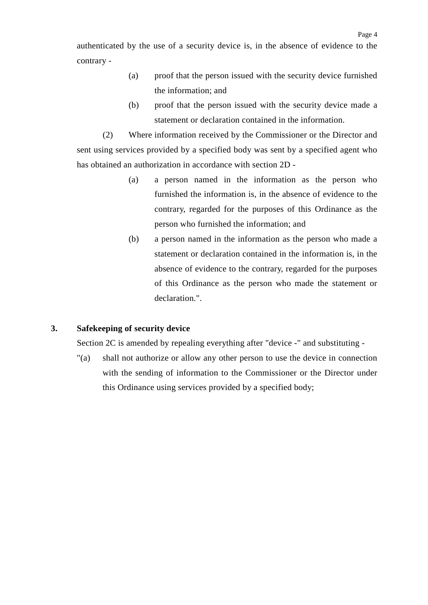authenticated by the use of a security device is, in the absence of evidence to the contrary -

- (a) proof that the person issued with the security device furnished the information; and
- (b) proof that the person issued with the security device made a statement or declaration contained in the information.

(2) Where information received by the Commissioner or the Director and sent using services provided by a specified body was sent by a specified agent who has obtained an authorization in accordance with section 2D -

- (a) a person named in the information as the person who furnished the information is, in the absence of evidence to the contrary, regarded for the purposes of this Ordinance as the person who furnished the information; and
- (b) a person named in the information as the person who made a statement or declaration contained in the information is, in the absence of evidence to the contrary, regarded for the purposes of this Ordinance as the person who made the statement or declaration.".

### **3. Safekeeping of security device**

Section 2C is amended by repealing everything after "device -" and substituting -

"(a) shall not authorize or allow any other person to use the device in connection with the sending of information to the Commissioner or the Director under this Ordinance using services provided by a specified body;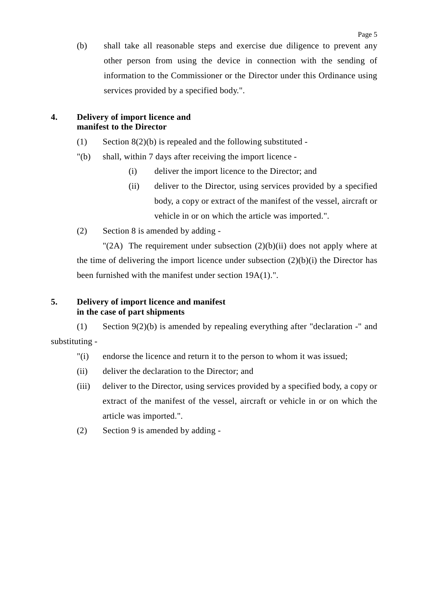(b) shall take all reasonable steps and exercise due diligence to prevent any other person from using the device in connection with the sending of information to the Commissioner or the Director under this Ordinance using services provided by a specified body.".

## **4. Delivery of import licence and manifest to the Director**

- (1) Section  $8(2)(b)$  is repealed and the following substituted -
- "(b) shall, within 7 days after receiving the import licence
	- (i) deliver the import licence to the Director; and
	- (ii) deliver to the Director, using services provided by a specified body, a copy or extract of the manifest of the vessel, aircraft or vehicle in or on which the article was imported.".
- (2) Section 8 is amended by adding -

"(2A) The requirement under subsection  $(2)(b)(ii)$  does not apply where at the time of delivering the import licence under subsection  $(2)(b)(i)$  the Director has been furnished with the manifest under section 19A(1).".

### **5. Delivery of import licence and manifest in the case of part shipments**

(1) Section 9(2)(b) is amended by repealing everything after "declaration -" and substituting -

- "(i) endorse the licence and return it to the person to whom it was issued;
- (ii) deliver the declaration to the Director; and
- (iii) deliver to the Director, using services provided by a specified body, a copy or extract of the manifest of the vessel, aircraft or vehicle in or on which the article was imported.".
- (2) Section 9 is amended by adding -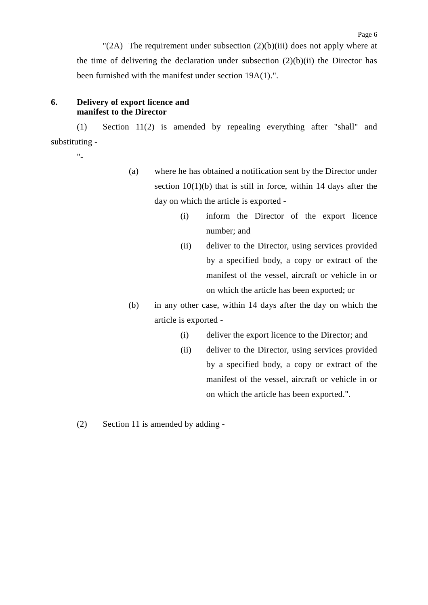"(2A) The requirement under subsection  $(2)(b)(iii)$  does not apply where at the time of delivering the declaration under subsection  $(2)(b)(ii)$  the Director has been furnished with the manifest under section 19A(1).".

#### **6. Delivery of export licence and manifest to the Director**

(1) Section 11(2) is amended by repealing everything after "shall" and substituting -

"-

- (a) where he has obtained a notification sent by the Director under section  $10(1)(b)$  that is still in force, within 14 days after the day on which the article is exported -
	- (i) inform the Director of the export licence number; and
	- (ii) deliver to the Director, using services provided by a specified body, a copy or extract of the manifest of the vessel, aircraft or vehicle in or on which the article has been exported; or
- (b) in any other case, within 14 days after the day on which the article is exported -
	- (i) deliver the export licence to the Director; and
	- (ii) deliver to the Director, using services provided by a specified body, a copy or extract of the manifest of the vessel, aircraft or vehicle in or on which the article has been exported.".
- (2) Section 11 is amended by adding -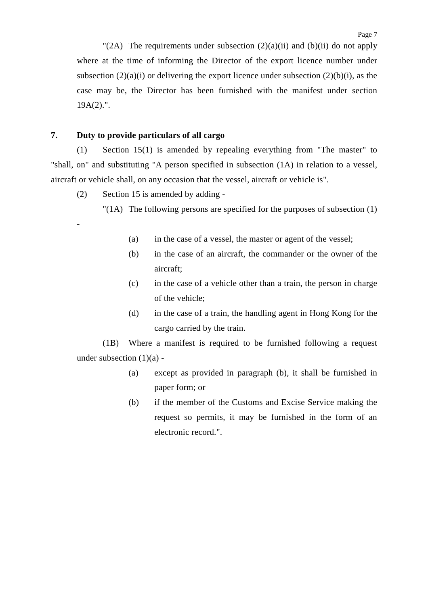"(2A) The requirements under subsection  $(2)(a)(ii)$  and  $(b)(ii)$  do not apply where at the time of informing the Director of the export licence number under subsection  $(2)(a)(i)$  or delivering the export licence under subsection  $(2)(b)(i)$ , as the case may be, the Director has been furnished with the manifest under section  $19A(2)$ .".

#### **7. Duty to provide particulars of all cargo**

-

(1) Section 15(1) is amended by repealing everything from "The master" to "shall, on" and substituting "A person specified in subsection (1A) in relation to a vessel, aircraft or vehicle shall, on any occasion that the vessel, aircraft or vehicle is".

(2) Section 15 is amended by adding -

"(1A) The following persons are specified for the purposes of subsection (1)

- (a) in the case of a vessel, the master or agent of the vessel;
- (b) in the case of an aircraft, the commander or the owner of the aircraft;
- (c) in the case of a vehicle other than a train, the person in charge of the vehicle;
- (d) in the case of a train, the handling agent in Hong Kong for the cargo carried by the train.

(1B) Where a manifest is required to be furnished following a request under subsection  $(1)(a)$  -

- (a) except as provided in paragraph (b), it shall be furnished in paper form; or
- (b) if the member of the Customs and Excise Service making the request so permits, it may be furnished in the form of an electronic record.".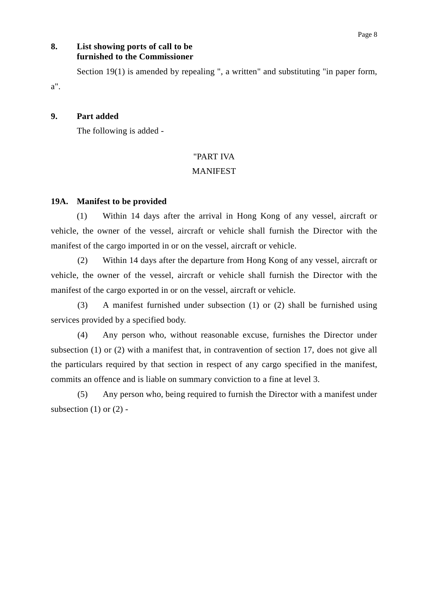## **8. List showing ports of call to be furnished to the Commissioner**

Section 19(1) is amended by repealing ", a written" and substituting "in paper form,

### **9. Part added**

a".

The following is added -

### "PART IVA

### **MANIFEST**

#### **19A. Manifest to be provided**

(1) Within 14 days after the arrival in Hong Kong of any vessel, aircraft or vehicle, the owner of the vessel, aircraft or vehicle shall furnish the Director with the manifest of the cargo imported in or on the vessel, aircraft or vehicle.

(2) Within 14 days after the departure from Hong Kong of any vessel, aircraft or vehicle, the owner of the vessel, aircraft or vehicle shall furnish the Director with the manifest of the cargo exported in or on the vessel, aircraft or vehicle.

(3) A manifest furnished under subsection (1) or (2) shall be furnished using services provided by a specified body.

(4) Any person who, without reasonable excuse, furnishes the Director under subsection (1) or (2) with a manifest that, in contravention of section 17, does not give all the particulars required by that section in respect of any cargo specified in the manifest, commits an offence and is liable on summary conviction to a fine at level 3.

(5) Any person who, being required to furnish the Director with a manifest under subsection  $(1)$  or  $(2)$  -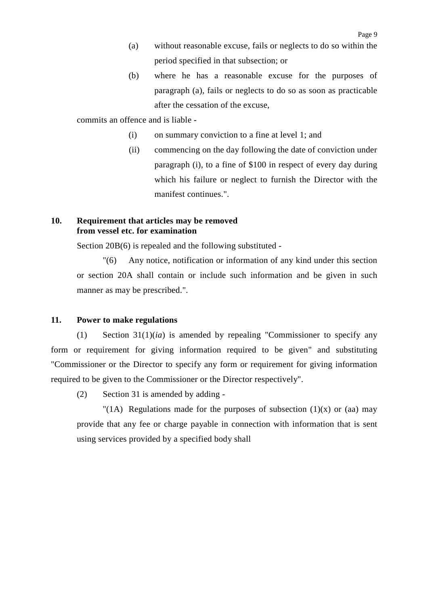- (a) without reasonable excuse, fails or neglects to do so within the period specified in that subsection; or
- (b) where he has a reasonable excuse for the purposes of paragraph (a), fails or neglects to do so as soon as practicable after the cessation of the excuse,

commits an offence and is liable -

- (i) on summary conviction to a fine at level 1; and
- (ii) commencing on the day following the date of conviction under paragraph (i), to a fine of \$100 in respect of every day during which his failure or neglect to furnish the Director with the manifest continues.".

### **10. Requirement that articles may be removed from vessel etc. for examination**

Section 20B(6) is repealed and the following substituted -

"(6) Any notice, notification or information of any kind under this section or section 20A shall contain or include such information and be given in such manner as may be prescribed.".

#### **11. Power to make regulations**

(1) Section 31(1)(*ia*) is amended by repealing "Commissioner to specify any form or requirement for giving information required to be given" and substituting "Commissioner or the Director to specify any form or requirement for giving information required to be given to the Commissioner or the Director respectively".

(2) Section 31 is amended by adding -

"(1A) Regulations made for the purposes of subsection  $(1)(x)$  or  $(aa)$  may provide that any fee or charge payable in connection with information that is sent using services provided by a specified body shall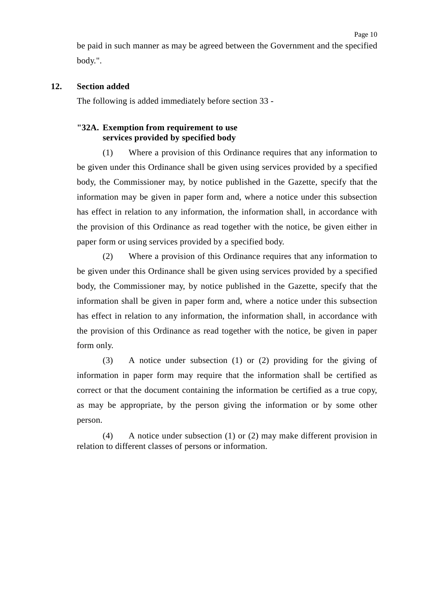#### **12. Section added**

The following is added immediately before section 33 -

## **"32A. Exemption from requirement to use services provided by specified body**

(1) Where a provision of this Ordinance requires that any information to be given under this Ordinance shall be given using services provided by a specified body, the Commissioner may, by notice published in the Gazette, specify that the information may be given in paper form and, where a notice under this subsection has effect in relation to any information, the information shall, in accordance with the provision of this Ordinance as read together with the notice, be given either in paper form or using services provided by a specified body.

(2) Where a provision of this Ordinance requires that any information to be given under this Ordinance shall be given using services provided by a specified body, the Commissioner may, by notice published in the Gazette, specify that the information shall be given in paper form and, where a notice under this subsection has effect in relation to any information, the information shall, in accordance with the provision of this Ordinance as read together with the notice, be given in paper form only.

(3) A notice under subsection (1) or (2) providing for the giving of information in paper form may require that the information shall be certified as correct or that the document containing the information be certified as a true copy, as may be appropriate, by the person giving the information or by some other person.

(4) A notice under subsection (1) or (2) may make different provision in relation to different classes of persons or information.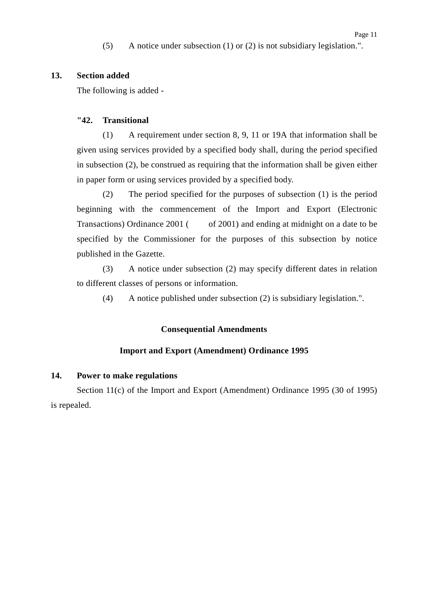(5) A notice under subsection (1) or (2) is not subsidiary legislation.".

#### **13. Section added**

The following is added -

#### **"42. Transitional**

(1) A requirement under section 8, 9, 11 or 19A that information shall be given using services provided by a specified body shall, during the period specified in subsection (2), be construed as requiring that the information shall be given either in paper form or using services provided by a specified body.

(2) The period specified for the purposes of subsection (1) is the period beginning with the commencement of the Import and Export (Electronic Transactions) Ordinance  $2001$  ( of 2001) and ending at midnight on a date to be specified by the Commissioner for the purposes of this subsection by notice published in the Gazette.

(3) A notice under subsection (2) may specify different dates in relation to different classes of persons or information.

(4) A notice published under subsection (2) is subsidiary legislation.".

#### **Consequential Amendments**

#### **Import and Export (Amendment) Ordinance 1995**

#### **14. Power to make regulations**

Section 11(c) of the Import and Export (Amendment) Ordinance 1995 (30 of 1995) is repealed.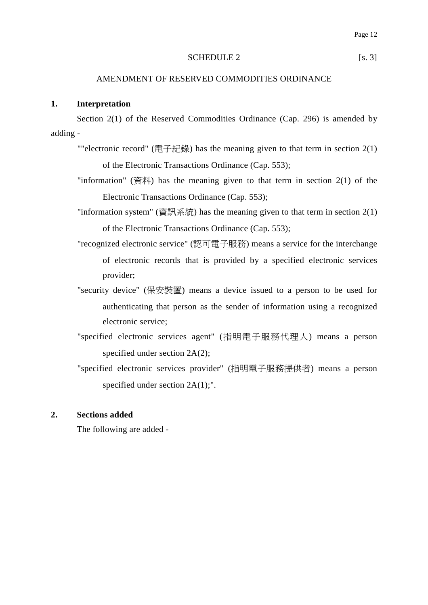#### SCHEDULE 2 [s. 3]

#### AMENDMENT OF RESERVED COMMODITIES ORDINANCE

#### **1. Interpretation**

Section 2(1) of the Reserved Commodities Ordinance (Cap. 296) is amended by adding -

- ""electronic record" (電子紀錄) has the meaning given to that term in section  $2(1)$ of the Electronic Transactions Ordinance (Cap. 553);
- "information" (資料) has the meaning given to that term in section  $2(1)$  of the Electronic Transactions Ordinance (Cap. 553);
- "information system" (資訊系統) has the meaning given to that term in section 2(1) of the Electronic Transactions Ordinance (Cap. 553);
- "recognized electronic service" (認可電子服務) means a service for the interchange of electronic records that is provided by a specified electronic services provider;
- "security device" (保安裝置) means a device issued to a person to be used for authenticating that person as the sender of information using a recognized electronic service;
- "specified electronic services agent" (指明電子服務代理人) means a person specified under section 2A(2);
- "specified electronic services provider" (指明電子服務提供者) means a person specified under section  $2A(1)$ ;".

### **2. Sections added**

The following are added -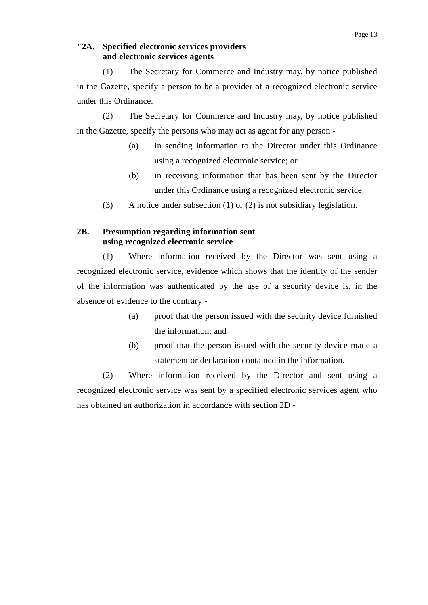#### **"2A. Specified electronic services providers and electronic services agents**

(1) The Secretary for Commerce and Industry may, by notice published in the Gazette, specify a person to be a provider of a recognized electronic service under this Ordinance.

(2) The Secretary for Commerce and Industry may, by notice published in the Gazette, specify the persons who may act as agent for any person -

- (a) in sending information to the Director under this Ordinance using a recognized electronic service; or
- (b) in receiving information that has been sent by the Director under this Ordinance using a recognized electronic service.
- (3) A notice under subsection (1) or (2) is not subsidiary legislation.

## **2B. Presumption regarding information sent using recognized electronic service**

(1) Where information received by the Director was sent using a recognized electronic service, evidence which shows that the identity of the sender of the information was authenticated by the use of a security device is, in the absence of evidence to the contrary -

- (a) proof that the person issued with the security device furnished the information; and
- (b) proof that the person issued with the security device made a statement or declaration contained in the information.

(2) Where information received by the Director and sent using a recognized electronic service was sent by a specified electronic services agent who has obtained an authorization in accordance with section 2D -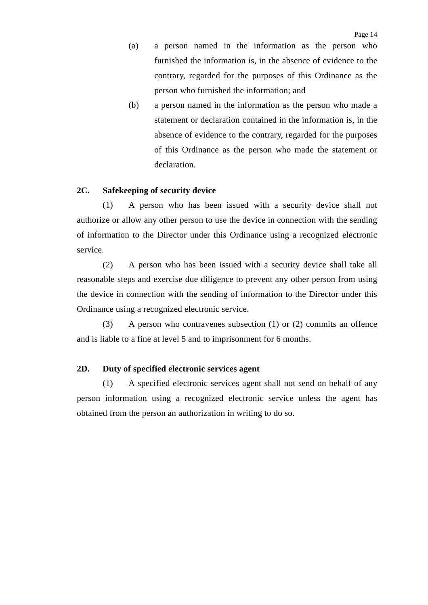- (a) a person named in the information as the person who furnished the information is, in the absence of evidence to the contrary, regarded for the purposes of this Ordinance as the person who furnished the information; and
- (b) a person named in the information as the person who made a statement or declaration contained in the information is, in the absence of evidence to the contrary, regarded for the purposes of this Ordinance as the person who made the statement or declaration.

#### **2C. Safekeeping of security device**

(1) A person who has been issued with a security device shall not authorize or allow any other person to use the device in connection with the sending of information to the Director under this Ordinance using a recognized electronic service.

(2) A person who has been issued with a security device shall take all reasonable steps and exercise due diligence to prevent any other person from using the device in connection with the sending of information to the Director under this Ordinance using a recognized electronic service.

(3) A person who contravenes subsection (1) or (2) commits an offence and is liable to a fine at level 5 and to imprisonment for 6 months.

#### **2D. Duty of specified electronic services agent**

(1) A specified electronic services agent shall not send on behalf of any person information using a recognized electronic service unless the agent has obtained from the person an authorization in writing to do so.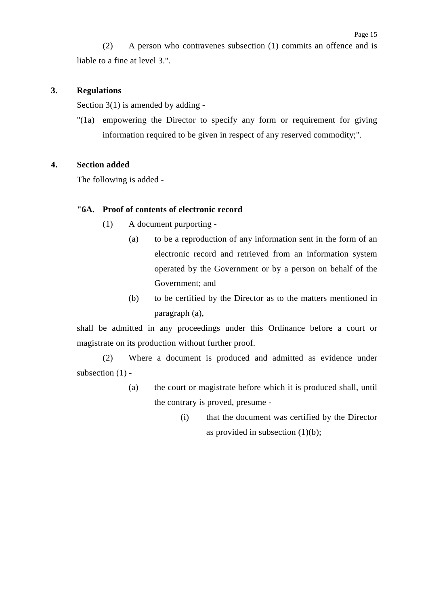(2) A person who contravenes subsection (1) commits an offence and is liable to a fine at level 3.".

### **3. Regulations**

Section  $3(1)$  is amended by adding -

"(1a) empowering the Director to specify any form or requirement for giving information required to be given in respect of any reserved commodity;".

### **4. Section added**

The following is added -

### **"6A. Proof of contents of electronic record**

- (1) A document purporting
	- (a) to be a reproduction of any information sent in the form of an electronic record and retrieved from an information system operated by the Government or by a person on behalf of the Government; and
	- (b) to be certified by the Director as to the matters mentioned in paragraph (a),

shall be admitted in any proceedings under this Ordinance before a court or magistrate on its production without further proof.

(2) Where a document is produced and admitted as evidence under subsection (1) -

- (a) the court or magistrate before which it is produced shall, until the contrary is proved, presume -
	- (i) that the document was certified by the Director as provided in subsection  $(1)(b)$ ;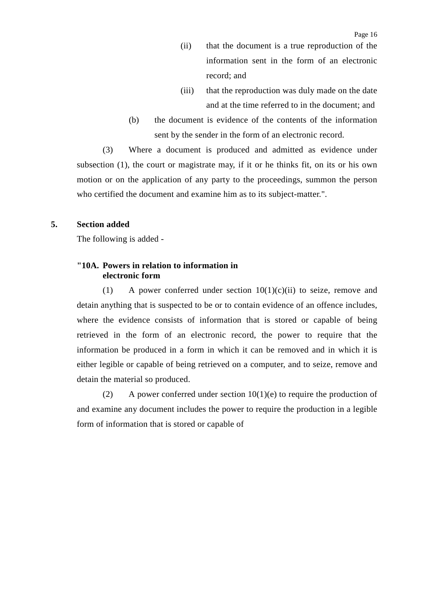- (ii) that the document is a true reproduction of the information sent in the form of an electronic record; and
- (iii) that the reproduction was duly made on the date and at the time referred to in the document; and
- (b) the document is evidence of the contents of the information sent by the sender in the form of an electronic record.

(3) Where a document is produced and admitted as evidence under subsection (1), the court or magistrate may, if it or he thinks fit, on its or his own motion or on the application of any party to the proceedings, summon the person who certified the document and examine him as to its subject-matter.".

#### **5. Section added**

The following is added -

### **"10A. Powers in relation to information in electronic form**

(1) A power conferred under section  $10(1)(c)(ii)$  to seize, remove and detain anything that is suspected to be or to contain evidence of an offence includes, where the evidence consists of information that is stored or capable of being retrieved in the form of an electronic record, the power to require that the information be produced in a form in which it can be removed and in which it is either legible or capable of being retrieved on a computer, and to seize, remove and detain the material so produced.

(2) A power conferred under section  $10(1)(e)$  to require the production of and examine any document includes the power to require the production in a legible form of information that is stored or capable of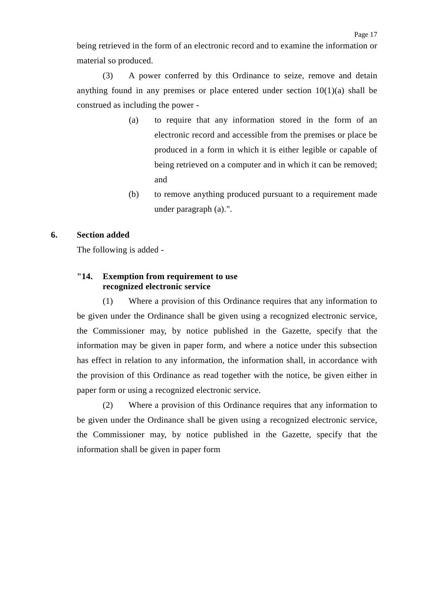being retrieved in the form of an electronic record and to examine the information or material so produced.

(3) A power conferred by this Ordinance to seize, remove and detain anything found in any premises or place entered under section  $10(1)(a)$  shall be construed as including the power -

- (a) to require that any information stored in the form of an electronic record and accessible from the premises or place be produced in a form in which it is either legible or capable of being retrieved on a computer and in which it can be removed; and
- (b) to remove anything produced pursuant to a requirement made under paragraph (a).".

#### **6. Section added**

The following is added -

#### **"14. Exemption from requirement to use recognized electronic service**

(1) Where a provision of this Ordinance requires that any information to be given under the Ordinance shall be given using a recognized electronic service, the Commissioner may, by notice published in the Gazette, specify that the information may be given in paper form, and where a notice under this subsection has effect in relation to any information, the information shall, in accordance with the provision of this Ordinance as read together with the notice, be given either in paper form or using a recognized electronic service.

(2) Where a provision of this Ordinance requires that any information to be given under the Ordinance shall be given using a recognized electronic service, the Commissioner may, by notice published in the Gazette, specify that the information shall be given in paper form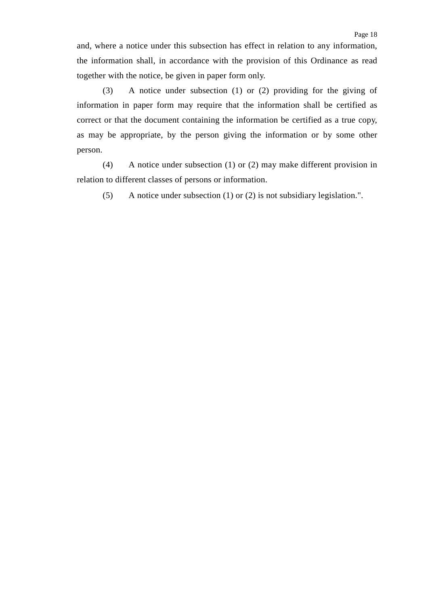(3) A notice under subsection (1) or (2) providing for the giving of information in paper form may require that the information shall be certified as correct or that the document containing the information be certified as a true copy, as may be appropriate, by the person giving the information or by some other person.

together with the notice, be given in paper form only.

(4) A notice under subsection (1) or (2) may make different provision in relation to different classes of persons or information.

(5) A notice under subsection (1) or (2) is not subsidiary legislation.".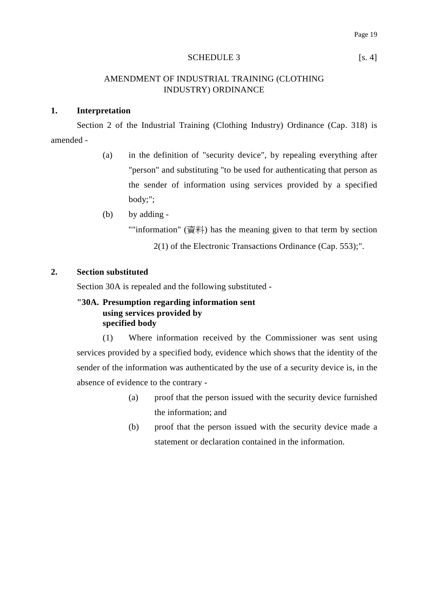#### SCHEDULE 3 [s. 4]

### AMENDMENT OF INDUSTRIAL TRAINING (CLOTHING INDUSTRY) ORDINANCE

#### **1. Interpretation**

Section 2 of the Industrial Training (Clothing Industry) Ordinance (Cap. 318) is amended -

- (a) in the definition of "security device", by repealing everything after "person" and substituting "to be used for authenticating that person as the sender of information using services provided by a specified body;";
- (b) by adding -

""information" (資料) has the meaning given to that term by section

2(1) of the Electronic Transactions Ordinance (Cap. 553);".

### **2. Section substituted**

Section 30A is repealed and the following substituted -

### **"30A. Presumption regarding information sent using services provided by specified body**

(1) Where information received by the Commissioner was sent using services provided by a specified body, evidence which shows that the identity of the sender of the information was authenticated by the use of a security device is, in the absence of evidence to the contrary -

- (a) proof that the person issued with the security device furnished the information; and
- (b) proof that the person issued with the security device made a statement or declaration contained in the information.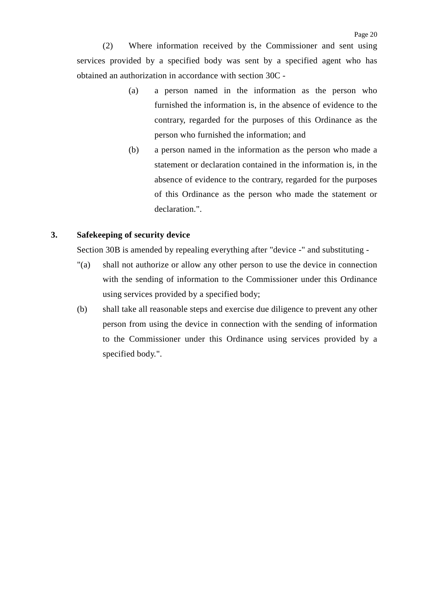(2) Where information received by the Commissioner and sent using services provided by a specified body was sent by a specified agent who has obtained an authorization in accordance with section 30C -

- (a) a person named in the information as the person who furnished the information is, in the absence of evidence to the contrary, regarded for the purposes of this Ordinance as the person who furnished the information; and
- (b) a person named in the information as the person who made a statement or declaration contained in the information is, in the absence of evidence to the contrary, regarded for the purposes of this Ordinance as the person who made the statement or declaration.".

### **3. Safekeeping of security device**

Section 30B is amended by repealing everything after "device -" and substituting -

- "(a) shall not authorize or allow any other person to use the device in connection with the sending of information to the Commissioner under this Ordinance using services provided by a specified body;
- (b) shall take all reasonable steps and exercise due diligence to prevent any other person from using the device in connection with the sending of information to the Commissioner under this Ordinance using services provided by a specified body.".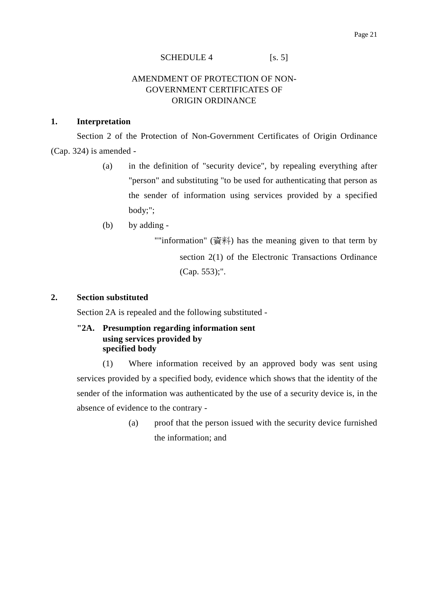#### SCHEDULE 4 [s. 5]

### AMENDMENT OF PROTECTION OF NON-GOVERNMENT CERTIFICATES OF ORIGIN ORDINANCE

#### **1. Interpretation**

Section 2 of the Protection of Non-Government Certificates of Origin Ordinance (Cap. 324) is amended -

- (a) in the definition of "security device", by repealing everything after "person" and substituting "to be used for authenticating that person as the sender of information using services provided by a specified body;";
- (b) by adding -

""information" (資料) has the meaning given to that term by section 2(1) of the Electronic Transactions Ordinance (Cap. 553);".

### **2. Section substituted**

Section 2A is repealed and the following substituted -

## **"2A. Presumption regarding information sent using services provided by specified body**

(1) Where information received by an approved body was sent using services provided by a specified body, evidence which shows that the identity of the sender of the information was authenticated by the use of a security device is, in the absence of evidence to the contrary -

> (a) proof that the person issued with the security device furnished the information; and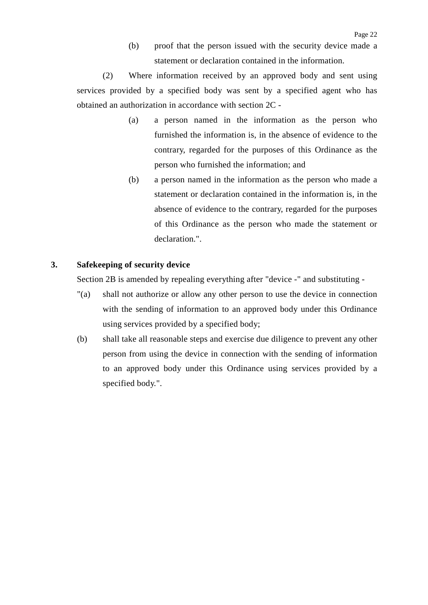(b) proof that the person issued with the security device made a statement or declaration contained in the information.

(2) Where information received by an approved body and sent using services provided by a specified body was sent by a specified agent who has obtained an authorization in accordance with section 2C -

- (a) a person named in the information as the person who furnished the information is, in the absence of evidence to the contrary, regarded for the purposes of this Ordinance as the person who furnished the information; and
- (b) a person named in the information as the person who made a statement or declaration contained in the information is, in the absence of evidence to the contrary, regarded for the purposes of this Ordinance as the person who made the statement or declaration.".

### **3. Safekeeping of security device**

Section 2B is amended by repealing everything after "device -" and substituting -

- "(a) shall not authorize or allow any other person to use the device in connection with the sending of information to an approved body under this Ordinance using services provided by a specified body;
- (b) shall take all reasonable steps and exercise due diligence to prevent any other person from using the device in connection with the sending of information to an approved body under this Ordinance using services provided by a specified body.".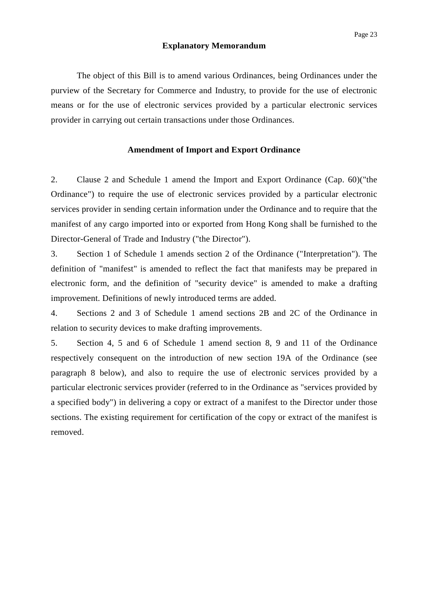#### **Explanatory Memorandum**

The object of this Bill is to amend various Ordinances, being Ordinances under the purview of the Secretary for Commerce and Industry, to provide for the use of electronic means or for the use of electronic services provided by a particular electronic services provider in carrying out certain transactions under those Ordinances.

#### **Amendment of Import and Export Ordinance**

2. Clause 2 and Schedule 1 amend the Import and Export Ordinance (Cap. 60)("the Ordinance") to require the use of electronic services provided by a particular electronic services provider in sending certain information under the Ordinance and to require that the manifest of any cargo imported into or exported from Hong Kong shall be furnished to the Director-General of Trade and Industry ("the Director").

3. Section 1 of Schedule 1 amends section 2 of the Ordinance ("Interpretation"). The definition of "manifest" is amended to reflect the fact that manifests may be prepared in electronic form, and the definition of "security device" is amended to make a drafting improvement. Definitions of newly introduced terms are added.

4. Sections 2 and 3 of Schedule 1 amend sections 2B and 2C of the Ordinance in relation to security devices to make drafting improvements.

5. Section 4, 5 and 6 of Schedule 1 amend section 8, 9 and 11 of the Ordinance respectively consequent on the introduction of new section 19A of the Ordinance (see paragraph 8 below), and also to require the use of electronic services provided by a particular electronic services provider (referred to in the Ordinance as "services provided by a specified body") in delivering a copy or extract of a manifest to the Director under those sections. The existing requirement for certification of the copy or extract of the manifest is removed.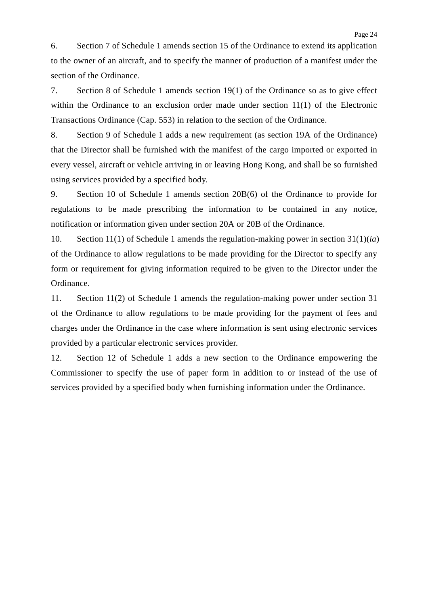6. Section 7 of Schedule 1 amends section 15 of the Ordinance to extend its application to the owner of an aircraft, and to specify the manner of production of a manifest under the section of the Ordinance.

7. Section 8 of Schedule 1 amends section 19(1) of the Ordinance so as to give effect within the Ordinance to an exclusion order made under section 11(1) of the Electronic Transactions Ordinance (Cap. 553) in relation to the section of the Ordinance.

8. Section 9 of Schedule 1 adds a new requirement (as section 19A of the Ordinance) that the Director shall be furnished with the manifest of the cargo imported or exported in every vessel, aircraft or vehicle arriving in or leaving Hong Kong, and shall be so furnished using services provided by a specified body.

9. Section 10 of Schedule 1 amends section 20B(6) of the Ordinance to provide for regulations to be made prescribing the information to be contained in any notice, notification or information given under section 20A or 20B of the Ordinance.

10. Section 11(1) of Schedule 1 amends the regulation-making power in section 31(1)(*ia*) of the Ordinance to allow regulations to be made providing for the Director to specify any form or requirement for giving information required to be given to the Director under the Ordinance.

11. Section 11(2) of Schedule 1 amends the regulation-making power under section 31 of the Ordinance to allow regulations to be made providing for the payment of fees and charges under the Ordinance in the case where information is sent using electronic services provided by a particular electronic services provider.

12. Section 12 of Schedule 1 adds a new section to the Ordinance empowering the Commissioner to specify the use of paper form in addition to or instead of the use of services provided by a specified body when furnishing information under the Ordinance.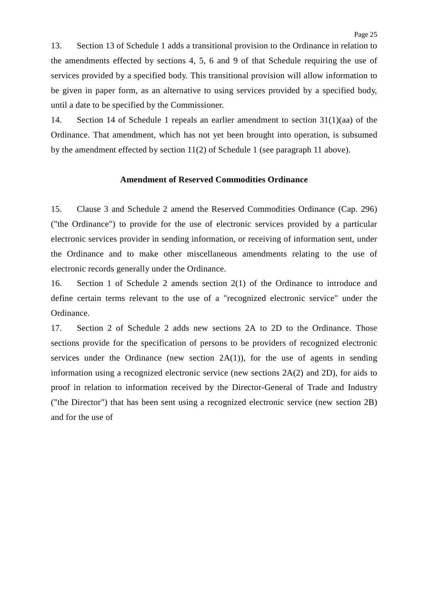13. Section 13 of Schedule 1 adds a transitional provision to the Ordinance in relation to the amendments effected by sections 4, 5, 6 and 9 of that Schedule requiring the use of services provided by a specified body. This transitional provision will allow information to be given in paper form, as an alternative to using services provided by a specified body, until a date to be specified by the Commissioner.

14. Section 14 of Schedule 1 repeals an earlier amendment to section 31(1)(aa) of the Ordinance. That amendment, which has not yet been brought into operation, is subsumed by the amendment effected by section 11(2) of Schedule 1 (see paragraph 11 above).

### **Amendment of Reserved Commodities Ordinance**

15. Clause 3 and Schedule 2 amend the Reserved Commodities Ordinance (Cap. 296) ("the Ordinance") to provide for the use of electronic services provided by a particular electronic services provider in sending information, or receiving of information sent, under the Ordinance and to make other miscellaneous amendments relating to the use of electronic records generally under the Ordinance.

16. Section 1 of Schedule 2 amends section 2(1) of the Ordinance to introduce and define certain terms relevant to the use of a "recognized electronic service" under the Ordinance.

17. Section 2 of Schedule 2 adds new sections 2A to 2D to the Ordinance. Those sections provide for the specification of persons to be providers of recognized electronic services under the Ordinance (new section  $2A(1)$ ), for the use of agents in sending information using a recognized electronic service (new sections 2A(2) and 2D), for aids to proof in relation to information received by the Director-General of Trade and Industry ("the Director") that has been sent using a recognized electronic service (new section 2B) and for the use of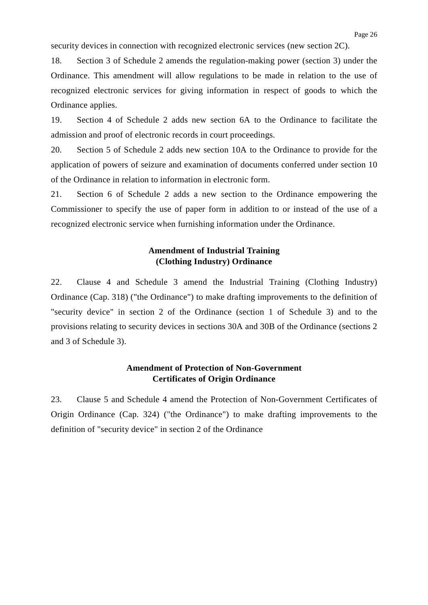security devices in connection with recognized electronic services (new section 2C).

18. Section 3 of Schedule 2 amends the regulation-making power (section 3) under the Ordinance. This amendment will allow regulations to be made in relation to the use of recognized electronic services for giving information in respect of goods to which the Ordinance applies.

19. Section 4 of Schedule 2 adds new section 6A to the Ordinance to facilitate the admission and proof of electronic records in court proceedings.

20. Section 5 of Schedule 2 adds new section 10A to the Ordinance to provide for the application of powers of seizure and examination of documents conferred under section 10 of the Ordinance in relation to information in electronic form.

21. Section 6 of Schedule 2 adds a new section to the Ordinance empowering the Commissioner to specify the use of paper form in addition to or instead of the use of a recognized electronic service when furnishing information under the Ordinance.

## **Amendment of Industrial Training (Clothing Industry) Ordinance**

22. Clause 4 and Schedule 3 amend the Industrial Training (Clothing Industry) Ordinance (Cap. 318) ("the Ordinance") to make drafting improvements to the definition of "security device" in section 2 of the Ordinance (section 1 of Schedule 3) and to the provisions relating to security devices in sections 30A and 30B of the Ordinance (sections 2 and 3 of Schedule 3).

## **Amendment of Protection of Non-Government Certificates of Origin Ordinance**

23. Clause 5 and Schedule 4 amend the Protection of Non-Government Certificates of Origin Ordinance (Cap. 324) ("the Ordinance") to make drafting improvements to the definition of "security device" in section 2 of the Ordinance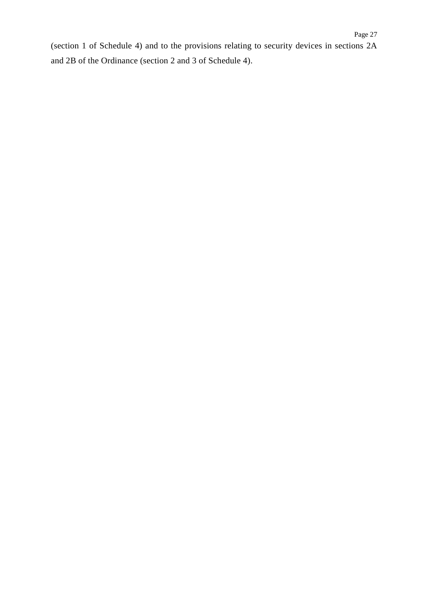(section 1 of Schedule 4) and to the provisions relating to security devices in sections 2A and 2B of the Ordinance (section 2 and 3 of Schedule 4).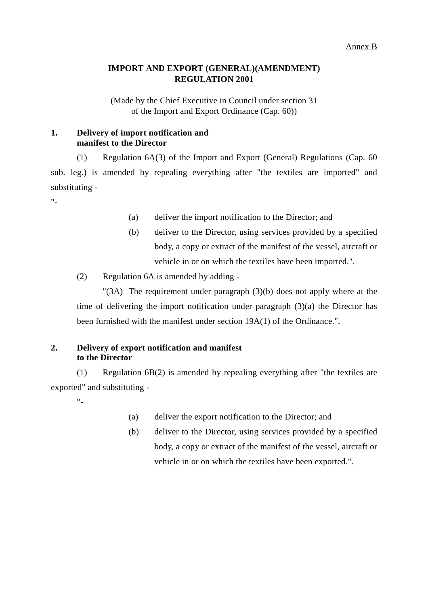## **IMPORT AND EXPORT (GENERAL)(AMENDMENT) REGULATION 2001**

(Made by the Chief Executive in Council under section 31 of the Import and Export Ordinance (Cap. 60))

## **1. Delivery of import notification and manifest to the Director**

(1) Regulation 6A(3) of the Import and Export (General) Regulations (Cap. 60 sub. leg.) is amended by repealing everything after "the textiles are imported" and substituting -

"-

- (a) deliver the import notification to the Director; and
- (b) deliver to the Director, using services provided by a specified body, a copy or extract of the manifest of the vessel, aircraft or vehicle in or on which the textiles have been imported.".
- (2) Regulation 6A is amended by adding -

"(3A) The requirement under paragraph (3)(b) does not apply where at the time of delivering the import notification under paragraph  $(3)(a)$  the Director has been furnished with the manifest under section 19A(1) of the Ordinance.".

## **2. Delivery of export notification and manifest to the Director**

(1) Regulation 6B(2) is amended by repealing everything after "the textiles are exported" and substituting -

"-

- (a) deliver the export notification to the Director; and
- (b) deliver to the Director, using services provided by a specified body, a copy or extract of the manifest of the vessel, aircraft or vehicle in or on which the textiles have been exported.".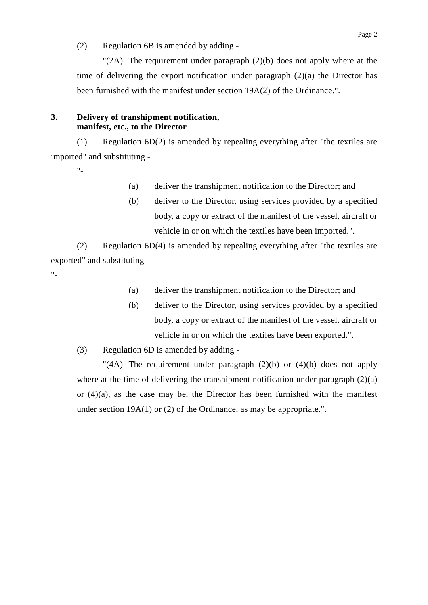(2) Regulation 6B is amended by adding -

" $(2A)$  The requirement under paragraph  $(2)(b)$  does not apply where at the time of delivering the export notification under paragraph (2)(a) the Director has been furnished with the manifest under section 19A(2) of the Ordinance.".

## **3. Delivery of transhipment notification, manifest, etc., to the Director**

(1) Regulation 6D(2) is amended by repealing everything after "the textiles are imported" and substituting -

 $"$ 

- (a) deliver the transhipment notification to the Director; and
- (b) deliver to the Director, using services provided by a specified body, a copy or extract of the manifest of the vessel, aircraft or vehicle in or on which the textiles have been imported.".

(2) Regulation 6D(4) is amended by repealing everything after "the textiles are exported" and substituting -  $"$ 

- (a) deliver the transhipment notification to the Director; and
- (b) deliver to the Director, using services provided by a specified body, a copy or extract of the manifest of the vessel, aircraft or vehicle in or on which the textiles have been exported.".

(3) Regulation 6D is amended by adding -

"(4A) The requirement under paragraph  $(2)(b)$  or  $(4)(b)$  does not apply where at the time of delivering the transhipment notification under paragraph  $(2)(a)$ or (4)(a), as the case may be, the Director has been furnished with the manifest under section 19A(1) or (2) of the Ordinance, as may be appropriate.".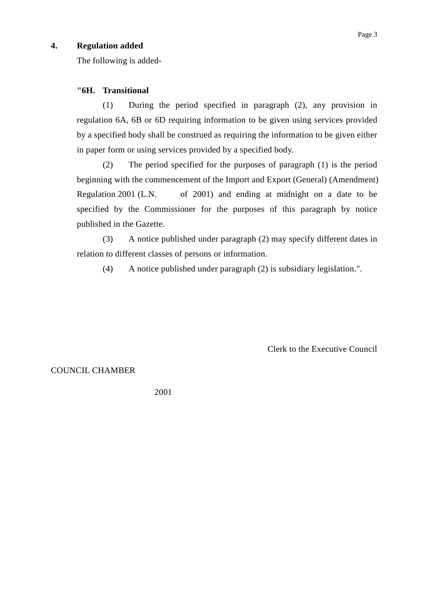## **4. Regulation added**

The following is added-

### **"6H. Transitional**

(1) During the period specified in paragraph (2), any provision in regulation 6A, 6B or 6D requiring information to be given using services provided by a specified body shall be construed as requiring the information to be given either in paper form or using services provided by a specified body.

(2) The period specified for the purposes of paragraph (1) is the period beginning with the commencement of the Import and Export (General) (Amendment) Regulation 2001 (L.N. of 2001) and ending at midnight on a date to be specified by the Commissioner for the purposes of this paragraph by notice published in the Gazette.

(3) A notice published under paragraph (2) may specify different dates in relation to different classes of persons or information.

(4) A notice published under paragraph (2) is subsidiary legislation.".

Clerk to the Executive Council

### COUNCIL CHAMBER

2001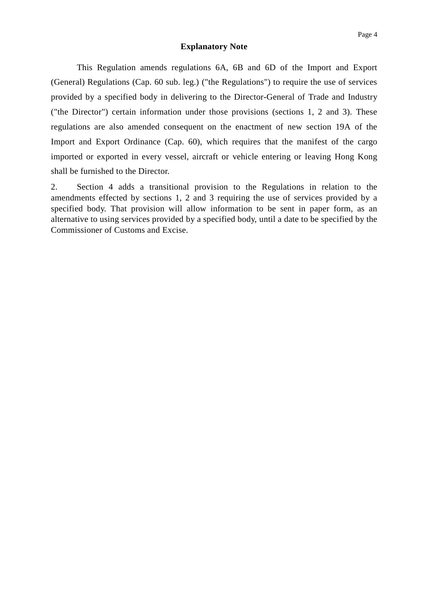#### **Explanatory Note**

This Regulation amends regulations 6A, 6B and 6D of the Import and Export (General) Regulations (Cap. 60 sub. leg.) ("the Regulations") to require the use of services provided by a specified body in delivering to the Director-General of Trade and Industry ("the Director") certain information under those provisions (sections 1, 2 and 3). These regulations are also amended consequent on the enactment of new section 19A of the Import and Export Ordinance (Cap. 60), which requires that the manifest of the cargo imported or exported in every vessel, aircraft or vehicle entering or leaving Hong Kong shall be furnished to the Director.

2. Section 4 adds a transitional provision to the Regulations in relation to the amendments effected by sections 1, 2 and 3 requiring the use of services provided by a specified body. That provision will allow information to be sent in paper form, as an alternative to using services provided by a specified body, until a date to be specified by the Commissioner of Customs and Excise.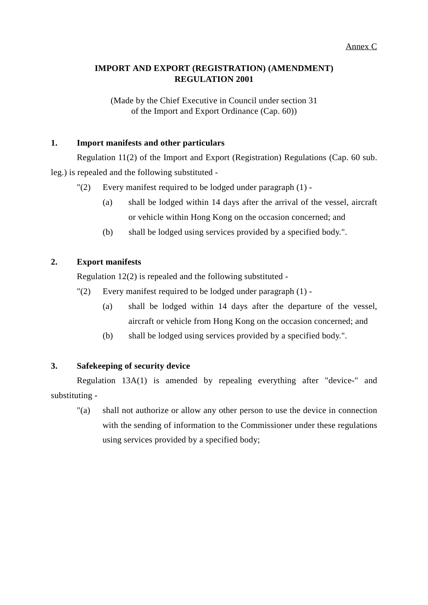## **IMPORT AND EXPORT (REGISTRATION) (AMENDMENT) REGULATION 2001**

(Made by the Chief Executive in Council under section 31 of the Import and Export Ordinance (Cap. 60))

## **1. Import manifests and other particulars**

Regulation 11(2) of the Import and Export (Registration) Regulations (Cap. 60 sub. leg.) is repealed and the following substituted -

- "(2) Every manifest required to be lodged under paragraph (1)
	- (a) shall be lodged within 14 days after the arrival of the vessel, aircraft or vehicle within Hong Kong on the occasion concerned; and
	- (b) shall be lodged using services provided by a specified body.".

## **2. Export manifests**

Regulation 12(2) is repealed and the following substituted -

- "(2) Every manifest required to be lodged under paragraph (1)
	- (a) shall be lodged within 14 days after the departure of the vessel, aircraft or vehicle from Hong Kong on the occasion concerned; and
	- (b) shall be lodged using services provided by a specified body.".

## **3. Safekeeping of security device**

Regulation 13A(1) is amended by repealing everything after "device-" and substituting -

"(a) shall not authorize or allow any other person to use the device in connection with the sending of information to the Commissioner under these regulations using services provided by a specified body;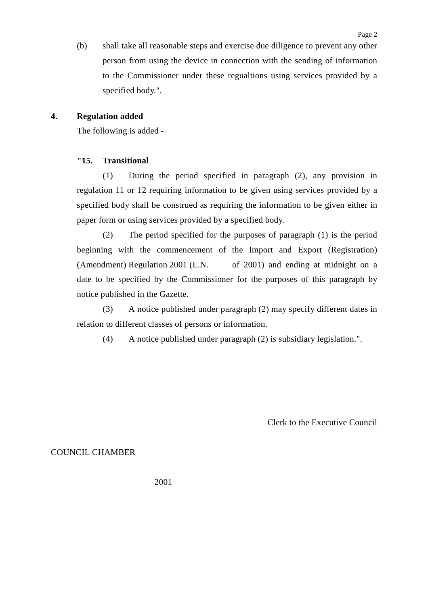(b) shall take all reasonable steps and exercise due diligence to prevent any other person from using the device in connection with the sending of information to the Commissioner under these regualtions using services provided by a specified body.".

## **4. Regulation added**

The following is added -

### **"15. Transitional**

(1) During the period specified in paragraph (2), any provision in regulation 11 or 12 requiring information to be given using services provided by a specified body shall be construed as requiring the information to be given either in paper form or using services provided by a specified body.

(2) The period specified for the purposes of paragraph (1) is the period beginning with the commencement of the Import and Export (Registration) (Amendment) Regulation 2001 (L.N. of 2001) and ending at midnight on a date to be specified by the Commissioner for the purposes of this paragraph by notice published in the Gazette.

(3) A notice published under paragraph (2) may specify different dates in relation to different classes of persons or information.

(4) A notice published under paragraph (2) is subsidiary legislation.".

Clerk to the Executive Council

### COUNCIL CHAMBER

2001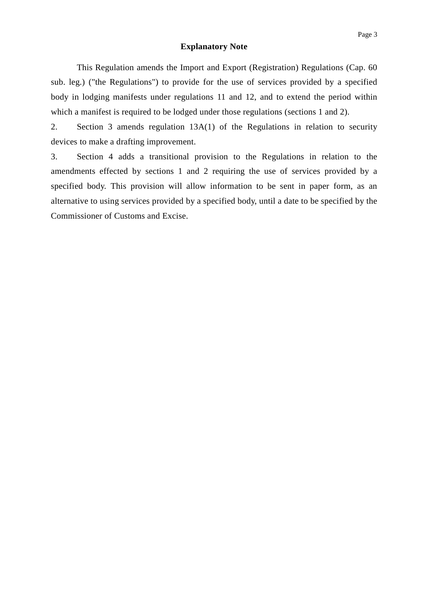#### **Explanatory Note**

This Regulation amends the Import and Export (Registration) Regulations (Cap. 60 sub. leg.) ("the Regulations") to provide for the use of services provided by a specified body in lodging manifests under regulations 11 and 12, and to extend the period within which a manifest is required to be lodged under those regulations (sections 1 and 2).

2. Section 3 amends regulation 13A(1) of the Regulations in relation to security devices to make a drafting improvement.

3. Section 4 adds a transitional provision to the Regulations in relation to the amendments effected by sections 1 and 2 requiring the use of services provided by a specified body. This provision will allow information to be sent in paper form, as an alternative to using services provided by a specified body, until a date to be specified by the Commissioner of Customs and Excise.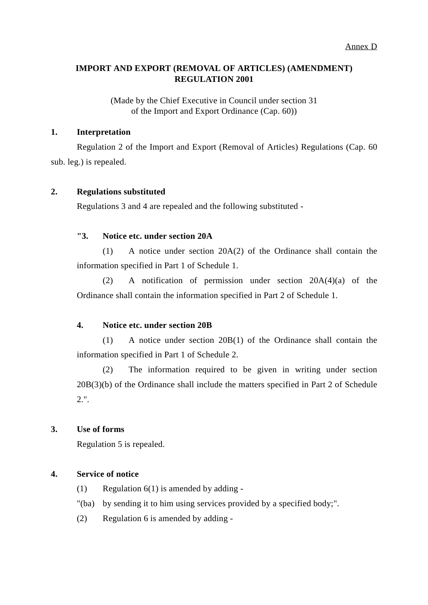## **IMPORT AND EXPORT (REMOVAL OF ARTICLES) (AMENDMENT) REGULATION 2001**

(Made by the Chief Executive in Council under section 31 of the Import and Export Ordinance (Cap. 60))

## **1. Interpretation**

Regulation 2 of the Import and Export (Removal of Articles) Regulations (Cap. 60 sub. leg.) is repealed.

## **2. Regulations substituted**

Regulations 3 and 4 are repealed and the following substituted -

## **"3. Notice etc. under section 20A**

(1) A notice under section 20A(2) of the Ordinance shall contain the information specified in Part 1 of Schedule 1.

(2) A notification of permission under section 20A(4)(a) of the Ordinance shall contain the information specified in Part 2 of Schedule 1.

## **4. Notice etc. under section 20B**

(1) A notice under section 20B(1) of the Ordinance shall contain the information specified in Part 1 of Schedule 2.

(2) The information required to be given in writing under section 20B(3)(b) of the Ordinance shall include the matters specified in Part 2 of Schedule 2.".

## **3. Use of forms**

Regulation 5 is repealed.

## **4. Service of notice**

- (1) Regulation  $6(1)$  is amended by adding -
- "(ba) by sending it to him using services provided by a specified body;".
- (2) Regulation 6 is amended by adding -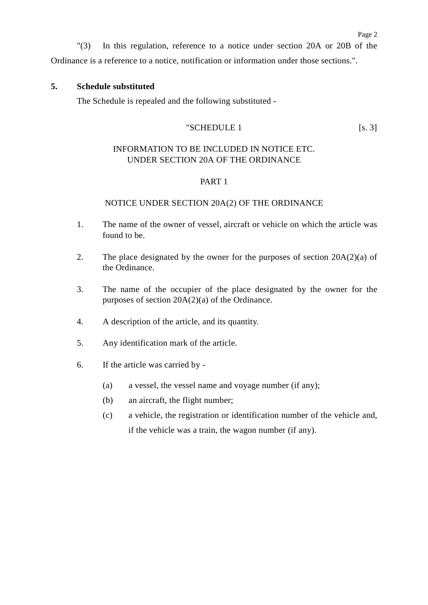## **5. Schedule substituted**

The Schedule is repealed and the following substituted -

# $"SCHEDULE 1$  [s. 3]

Page 2

## INFORMATION TO BE INCLUDED IN NOTICE ETC. UNDER SECTION 20A OF THE ORDINANCE

## PART 1

### NOTICE UNDER SECTION 20A(2) OF THE ORDINANCE

- 1. The name of the owner of vessel, aircraft or vehicle on which the article was found to be.
- 2. The place designated by the owner for the purposes of section  $20A(2)(a)$  of the Ordinance.
- 3. The name of the occupier of the place designated by the owner for the purposes of section 20A(2)(a) of the Ordinance.
- 4. A description of the article, and its quantity.
- 5. Any identification mark of the article.
- 6. If the article was carried by
	- (a) a vessel, the vessel name and voyage number (if any);
	- (b) an aircraft, the flight number;
	- (c) a vehicle, the registration or identification number of the vehicle and, if the vehicle was a train, the wagon number (if any).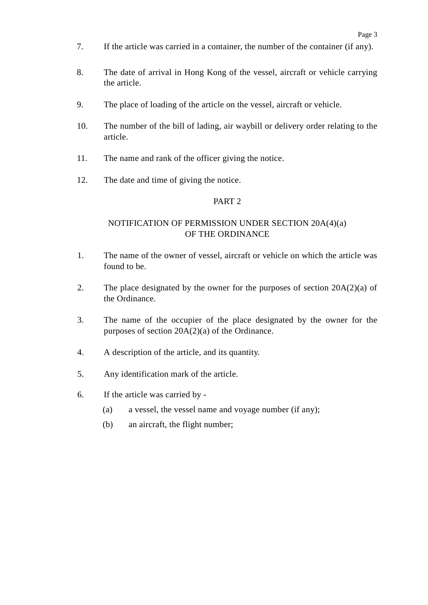- 7. If the article was carried in a container, the number of the container (if any).
- 8. The date of arrival in Hong Kong of the vessel, aircraft or vehicle carrying the article.
- 9. The place of loading of the article on the vessel, aircraft or vehicle.
- 10. The number of the bill of lading, air waybill or delivery order relating to the article.
- 11. The name and rank of the officer giving the notice.
- 12. The date and time of giving the notice.

### PART 2

## NOTIFICATION OF PERMISSION UNDER SECTION 20A(4)(a) OF THE ORDINANCE

- 1. The name of the owner of vessel, aircraft or vehicle on which the article was found to be.
- 2. The place designated by the owner for the purposes of section 20A(2)(a) of the Ordinance.
- 3. The name of the occupier of the place designated by the owner for the purposes of section 20A(2)(a) of the Ordinance.
- 4. A description of the article, and its quantity.
- 5. Any identification mark of the article.
- 6. If the article was carried by
	- (a) a vessel, the vessel name and voyage number (if any);
	- (b) an aircraft, the flight number;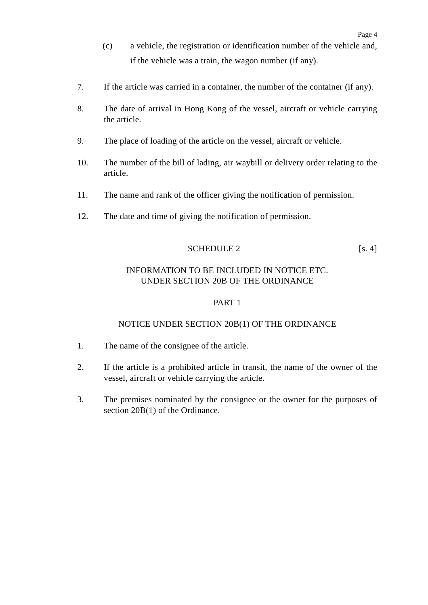- (c) a vehicle, the registration or identification number of the vehicle and, if the vehicle was a train, the wagon number (if any).
- 7. If the article was carried in a container, the number of the container (if any).
- 8. The date of arrival in Hong Kong of the vessel, aircraft or vehicle carrying the article.
- 9. The place of loading of the article on the vessel, aircraft or vehicle.
- 10. The number of the bill of lading, air waybill or delivery order relating to the article.
- 11. The name and rank of the officer giving the notification of permission.
- 12. The date and time of giving the notification of permission.

## SCHEDULE 2 [s. 4]

## INFORMATION TO BE INCLUDED IN NOTICE ETC. UNDER SECTION 20B OF THE ORDINANCE

## PART 1

## NOTICE UNDER SECTION 20B(1) OF THE ORDINANCE

- 1. The name of the consignee of the article.
- 2. If the article is a prohibited article in transit, the name of the owner of the vessel, aircraft or vehicle carrying the article.
- 3. The premises nominated by the consignee or the owner for the purposes of section 20B(1) of the Ordinance.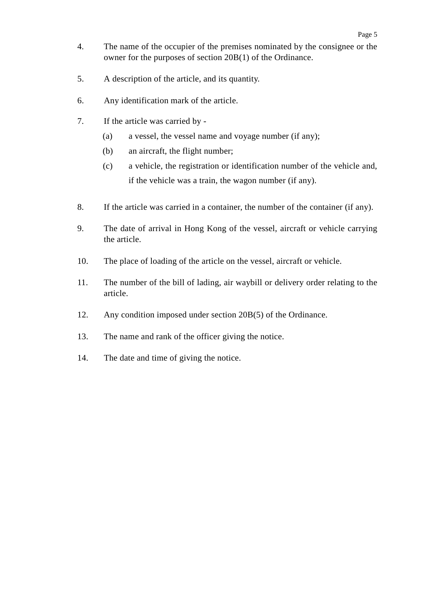- 4. The name of the occupier of the premises nominated by the consignee or the owner for the purposes of section 20B(1) of the Ordinance.
- 5. A description of the article, and its quantity.
- 6. Any identification mark of the article.
- 7. If the article was carried by
	- (a) a vessel, the vessel name and voyage number (if any);
	- (b) an aircraft, the flight number;
	- (c) a vehicle, the registration or identification number of the vehicle and, if the vehicle was a train, the wagon number (if any).
- 8. If the article was carried in a container, the number of the container (if any).
- 9. The date of arrival in Hong Kong of the vessel, aircraft or vehicle carrying the article.
- 10. The place of loading of the article on the vessel, aircraft or vehicle.
- 11. The number of the bill of lading, air waybill or delivery order relating to the article.
- 12. Any condition imposed under section 20B(5) of the Ordinance.
- 13. The name and rank of the officer giving the notice.
- 14. The date and time of giving the notice.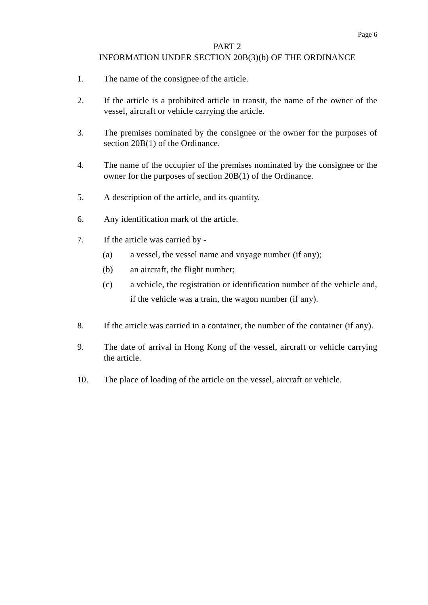#### PART 2

### INFORMATION UNDER SECTION 20B(3)(b) OF THE ORDINANCE

- 1. The name of the consignee of the article.
- 2. If the article is a prohibited article in transit, the name of the owner of the vessel, aircraft or vehicle carrying the article.
- 3. The premises nominated by the consignee or the owner for the purposes of section 20B(1) of the Ordinance.
- 4. The name of the occupier of the premises nominated by the consignee or the owner for the purposes of section 20B(1) of the Ordinance.
- 5. A description of the article, and its quantity.
- 6. Any identification mark of the article.
- 7. If the article was carried by
	- (a) a vessel, the vessel name and voyage number (if any);
	- (b) an aircraft, the flight number;
	- (c) a vehicle, the registration or identification number of the vehicle and, if the vehicle was a train, the wagon number (if any).
- 8. If the article was carried in a container, the number of the container (if any).
- 9. The date of arrival in Hong Kong of the vessel, aircraft or vehicle carrying the article.
- 10. The place of loading of the article on the vessel, aircraft or vehicle.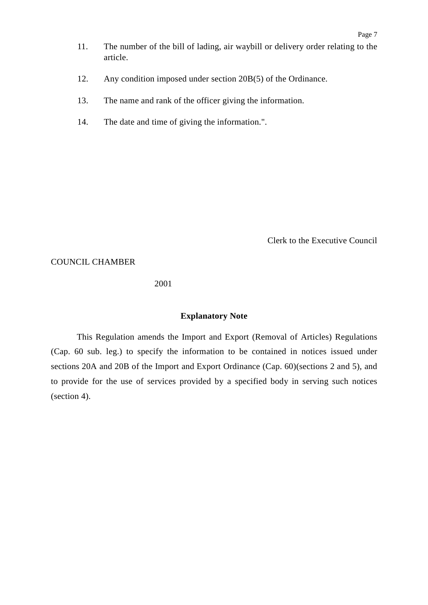- 11. The number of the bill of lading, air waybill or delivery order relating to the article.
- 12. Any condition imposed under section 20B(5) of the Ordinance.
- 13. The name and rank of the officer giving the information.
- 14. The date and time of giving the information.".

Clerk to the Executive Council

COUNCIL CHAMBER

2001

#### **Explanatory Note**

This Regulation amends the Import and Export (Removal of Articles) Regulations (Cap. 60 sub. leg.) to specify the information to be contained in notices issued under sections 20A and 20B of the Import and Export Ordinance (Cap. 60)(sections 2 and 5), and to provide for the use of services provided by a specified body in serving such notices (section 4).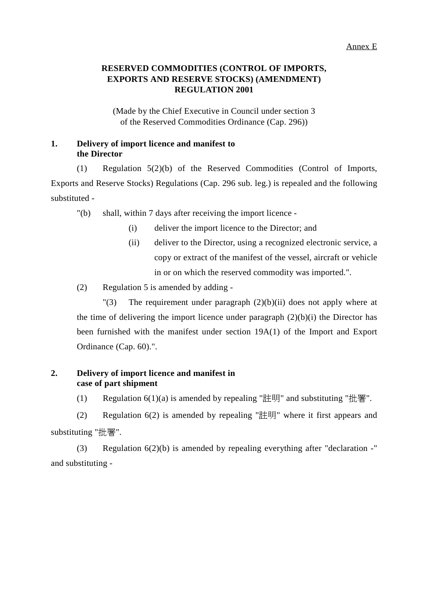# **RESERVED COMMODITIES (CONTROL OF IMPORTS, EXPORTS AND RESERVE STOCKS) (AMENDMENT) REGULATION 2001**

(Made by the Chief Executive in Council under section 3 of the Reserved Commodities Ordinance (Cap. 296))

## **1. Delivery of import licence and manifest to the Director**

(1) Regulation 5(2)(b) of the Reserved Commodities (Control of Imports, Exports and Reserve Stocks) Regulations (Cap. 296 sub. leg.) is repealed and the following substituted -

"(b) shall, within 7 days after receiving the import licence -

- (i) deliver the import licence to the Director; and
- (ii) deliver to the Director, using a recognized electronic service, a copy or extract of the manifest of the vessel, aircraft or vehicle in or on which the reserved commodity was imported.".
- (2) Regulation 5 is amended by adding -

"(3) The requirement under paragraph  $(2)(b)(ii)$  does not apply where at the time of delivering the import licence under paragraph  $(2)(b)(i)$  the Director has been furnished with the manifest under section 19A(1) of the Import and Export Ordinance (Cap. 60).".

## **2. Delivery of import licence and manifest in case of part shipment**

(1) Regulation  $6(1)(a)$  is amended by repealing "註明" and substituting "批署".

(2) Regulation  $6(2)$  is amended by repealing "註明" where it first appears and substituting "批署".

(3) Regulation 6(2)(b) is amended by repealing everything after "declaration -" and substituting -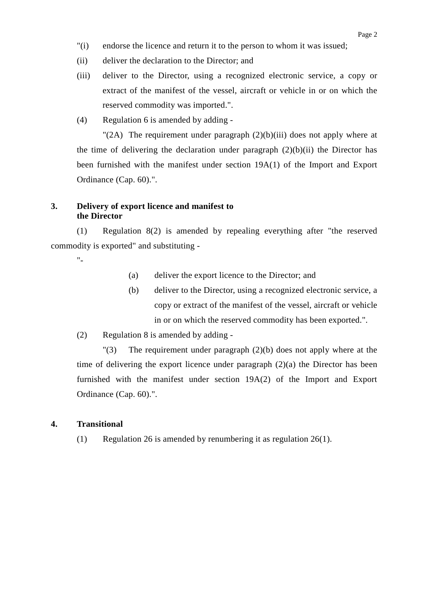- "(i) endorse the licence and return it to the person to whom it was issued;
- (ii) deliver the declaration to the Director; and
- (iii) deliver to the Director, using a recognized electronic service, a copy or extract of the manifest of the vessel, aircraft or vehicle in or on which the reserved commodity was imported.".
- (4) Regulation 6 is amended by adding -

"(2A) The requirement under paragraph  $(2)(b)(iii)$  does not apply where at the time of delivering the declaration under paragraph  $(2)(b)(ii)$  the Director has been furnished with the manifest under section 19A(1) of the Import and Export Ordinance (Cap. 60).".

### **3. Delivery of export licence and manifest to the Director**

(1) Regulation 8(2) is amended by repealing everything after "the reserved commodity is exported" and substituting -

"-

- (a) deliver the export licence to the Director; and
- (b) deliver to the Director, using a recognized electronic service, a copy or extract of the manifest of the vessel, aircraft or vehicle in or on which the reserved commodity has been exported.".
- (2) Regulation 8 is amended by adding -

"(3) The requirement under paragraph (2)(b) does not apply where at the time of delivering the export licence under paragraph (2)(a) the Director has been furnished with the manifest under section 19A(2) of the Import and Export Ordinance (Cap. 60).".

### **4. Transitional**

(1) Regulation 26 is amended by renumbering it as regulation 26(1).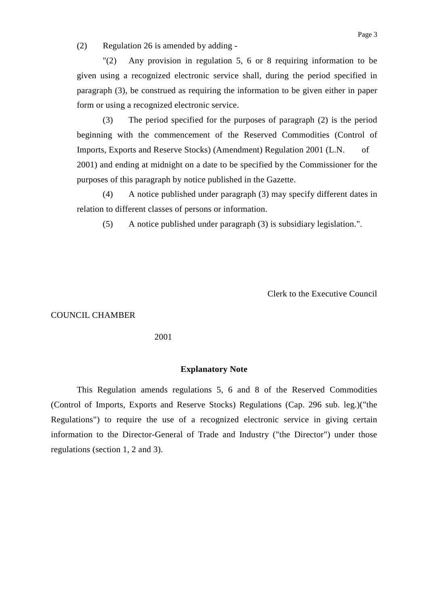(2) Regulation 26 is amended by adding -

"(2) Any provision in regulation 5, 6 or 8 requiring information to be given using a recognized electronic service shall, during the period specified in paragraph (3), be construed as requiring the information to be given either in paper form or using a recognized electronic service.

(3) The period specified for the purposes of paragraph (2) is the period beginning with the commencement of the Reserved Commodities (Control of Imports, Exports and Reserve Stocks) (Amendment) Regulation 2001 (L.N. of 2001) and ending at midnight on a date to be specified by the Commissioner for the purposes of this paragraph by notice published in the Gazette.

(4) A notice published under paragraph (3) may specify different dates in relation to different classes of persons or information.

(5) A notice published under paragraph (3) is subsidiary legislation.".

Clerk to the Executive Council

COUNCIL CHAMBER

2001

### **Explanatory Note**

This Regulation amends regulations 5, 6 and 8 of the Reserved Commodities (Control of Imports, Exports and Reserve Stocks) Regulations (Cap. 296 sub. leg.)("the Regulations") to require the use of a recognized electronic service in giving certain information to the Director-General of Trade and Industry ("the Director") under those regulations (section 1, 2 and 3).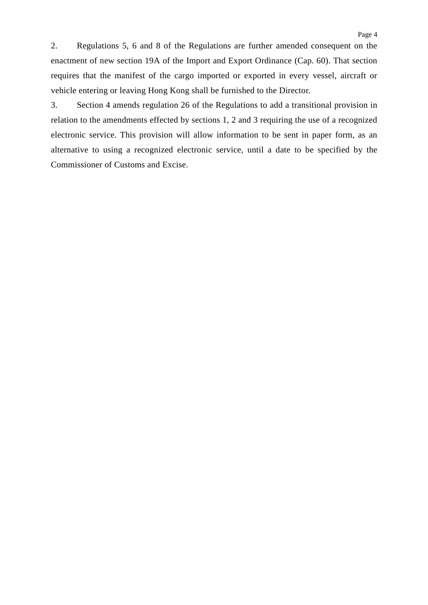2. Regulations 5, 6 and 8 of the Regulations are further amended consequent on the enactment of new section 19A of the Import and Export Ordinance (Cap. 60). That section requires that the manifest of the cargo imported or exported in every vessel, aircraft or vehicle entering or leaving Hong Kong shall be furnished to the Director.

3. Section 4 amends regulation 26 of the Regulations to add a transitional provision in relation to the amendments effected by sections 1, 2 and 3 requiring the use of a recognized electronic service. This provision will allow information to be sent in paper form, as an alternative to using a recognized electronic service, until a date to be specified by the Commissioner of Customs and Excise.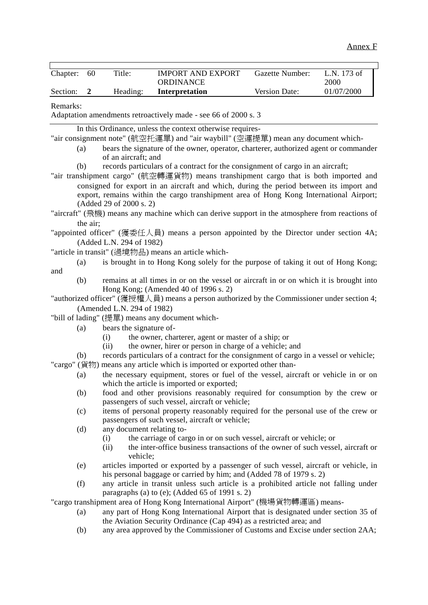| Chapter:     | 60               | Title:                                               | <b>IMPORT AND EXPORT</b><br><b>ORDINANCE</b>                                                                                                                                                                                                                                                                                                                | Gazette Number: | L.N. 173 of<br>2000 |
|--------------|------------------|------------------------------------------------------|-------------------------------------------------------------------------------------------------------------------------------------------------------------------------------------------------------------------------------------------------------------------------------------------------------------------------------------------------------------|-----------------|---------------------|
| Section:     | $\boldsymbol{2}$ | Heading:                                             | Interpretation                                                                                                                                                                                                                                                                                                                                              | Version Date:   | 01/07/2000          |
| Remarks:     |                  |                                                      | Adaptation amendments retroactively made - see 66 of 2000 s. 3                                                                                                                                                                                                                                                                                              |                 |                     |
|              | (a)              | of an aircraft; and                                  | In this Ordinance, unless the context otherwise requires-<br>"air consignment note" (航空托運單) and "air waybill" (空運提單) mean any document which-<br>bears the signature of the owner, operator, charterer, authorized agent or commander                                                                                                                       |                 |                     |
|              | (b)              | (Added 29 of 2000 s. 2)                              | records particulars of a contract for the consignment of cargo in an aircraft;<br>"air transhipment cargo" (航空轉運貨物) means transhipment cargo that is both imported and<br>consigned for export in an aircraft and which, during the period between its import and<br>export, remains within the cargo transhipment area of Hong Kong International Airport; |                 |                     |
|              | the air:         |                                                      | "aircraft" (飛機) means any machine which can derive support in the atmosphere from reactions of                                                                                                                                                                                                                                                              |                 |                     |
|              |                  | (Added L.N. 294 of 1982)                             | "appointed officer" (獲委任人員) means a person appointed by the Director under section 4A;                                                                                                                                                                                                                                                                      |                 |                     |
|              |                  |                                                      | "article in transit" (過境物品) means an article which-                                                                                                                                                                                                                                                                                                         |                 |                     |
|              | (a)              |                                                      | is brought in to Hong Kong solely for the purpose of taking it out of Hong Kong;                                                                                                                                                                                                                                                                            |                 |                     |
| and          | (b)              |                                                      | remains at all times in or on the vessel or aircraft in or on which it is brought into                                                                                                                                                                                                                                                                      |                 |                     |
|              |                  | (Amended L.N. 294 of 1982)                           | Hong Kong; (Amended 40 of 1996 s. 2)<br>"authorized officer" (獲授權人員) means a person authorized by the Commissioner under section 4;                                                                                                                                                                                                                         |                 |                     |
|              |                  |                                                      | "bill of lading" (提單) means any document which-                                                                                                                                                                                                                                                                                                             |                 |                     |
|              | (a)              | bears the signature of-                              |                                                                                                                                                                                                                                                                                                                                                             |                 |                     |
|              |                  | (i)<br>(ii)                                          | the owner, charterer, agent or master of a ship; or<br>the owner, hirer or person in charge of a vehicle; and                                                                                                                                                                                                                                               |                 |                     |
| "cargo" (貨物) | (b)              |                                                      | records particulars of a contract for the consignment of cargo in a vessel or vehicle;<br>means any article which is imported or exported other than-                                                                                                                                                                                                       |                 |                     |
|              | (a)              |                                                      | the necessary equipment, stores or fuel of the vessel, aircraft or vehicle in or on<br>which the article is imported or exported;                                                                                                                                                                                                                           |                 |                     |
|              | (b)              |                                                      | food and other provisions reasonably required for consumption by the crew or<br>passengers of such vessel, aircraft or vehicle;                                                                                                                                                                                                                             |                 |                     |
|              | (c)              |                                                      | items of personal property reasonably required for the personal use of the crew or<br>passengers of such vessel, aircraft or vehicle;                                                                                                                                                                                                                       |                 |                     |
|              | (d)              | any document relating to-<br>(i)<br>(ii)<br>vehicle; | the carriage of cargo in or on such vessel, aircraft or vehicle; or<br>the inter-office business transactions of the owner of such vessel, aircraft or                                                                                                                                                                                                      |                 |                     |
|              | (e)              |                                                      | articles imported or exported by a passenger of such vessel, aircraft or vehicle, in<br>his personal baggage or carried by him; and (Added 78 of 1979 s. 2)                                                                                                                                                                                                 |                 |                     |
|              | (f)              |                                                      | any article in transit unless such article is a prohibited article not falling under<br>paragraphs (a) to (e); (Added 65 of 1991 s. 2)                                                                                                                                                                                                                      |                 |                     |
|              | (a)              |                                                      | "cargo transhipment area of Hong Kong International Airport" (機場貨物轉運區) means-<br>any part of Hong Kong International Airport that is designated under section 35 of<br>the Aviation Security Ordinance (Cap 494) as a restricted area; and                                                                                                                  |                 |                     |
|              | (b)              |                                                      | any area approved by the Commissioner of Customs and Excise under section 2AA;                                                                                                                                                                                                                                                                              |                 |                     |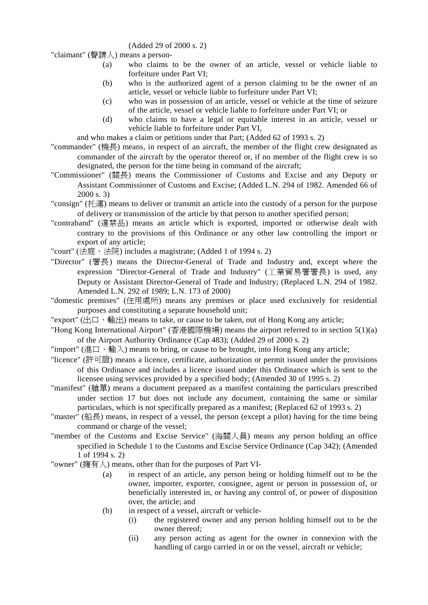#### (Added 29 of 2000 s. 2)

"claimant" (聲請㆟) means a person-

- (a) who claims to be the owner of an article, vessel or vehicle liable to forfeiture under Part VI;
- (b) who is the authorized agent of a person claiming to be the owner of an article, vessel or vehicle liable to forfeiture under Part VI;
- (c) who was in possession of an article, vessel or vehicle at the time of seizure of the article, vessel or vehicle liable to forfeiture under Part VI; or
- (d) who claims to have a legal or equitable interest in an article, vessel or vehicle liable to forfeiture under Part VI,

and who makes a claim or petitions under that Part; (Added 62 of 1993 s. 2)

- "commander" (機長) means, in respect of an aircraft, the member of the flight crew designated as commander of the aircraft by the operator thereof or, if no member of the flight crew is so designated, the person for the time being in command of the aircraft;
- "Commissioner" (關長) means the Commissioner of Customs and Excise and any Deputy or Assistant Commissioner of Customs and Excise; (Added L.N. 294 of 1982. Amended 66 of 2000 s. 3)
- "consign" (托運) means to deliver or transmit an article into the custody of a person for the purpose of delivery or transmission of the article by that person to another specified person;
- "contraband" (違禁品) means an article which is exported, imported or otherwise dealt with contrary to the provisions of this Ordinance or any other law controlling the import or export of any article;
- "court" (法庭、法院) includes a magistrate; (Added 1 of 1994 s. 2)
- "Director" (署長) means the Director-General of Trade and Industry and, except where the expression "Director-General of Trade and Industry" (工業貿易署署長) is used, any Deputy or Assistant Director-General of Trade and Industry; (Replaced L.N. 294 of 1982. Amended L.N. 292 of 1989; L.N. 173 of 2000)
- "domestic premises" (住用處所) means any premises or place used exclusively for residential purposes and constituting a separate household unit;
- "export" (出口、輸出) means to take, or cause to be taken, out of Hong Kong any article;
- "Hong Kong International Airport" (香港國際機場) means the airport referred to in section 5(1)(a) of the Airport Authority Ordinance (Cap 483); (Added 29 of 2000 s. 2)
- "import" (進口、輸入) means to bring, or cause to be brought, into Hong Kong any article;
- "licence" (許可證) means a licence, certificate, authorization or permit issued under the provisions of this Ordinance and includes a licence issued under this Ordinance which is sent to the licensee using services provided by a specified body; (Amended 30 of 1995 s. 2)
- "manifest" (艙單) means a document prepared as a manifest containing the particulars prescribed under section 17 but does not include any document, containing the same or similar particulars, which is not specifically prepared as a manifest; (Replaced 62 of 1993 s. 2)
- "master" (船長) means, in respect of a vessel, the person (except a pilot) having for the time being command or charge of the vessel;
- "member of the Customs and Excise Service" (海關㆟員) means any person holding an office specified in Schedule 1 to the Customs and Excise Service Ordinance (Cap 342); (Amended 1 of 1994 s. 2)
- "owner" (擁有㆟) means, other than for the purposes of Part VI-
	- (a) in respect of an article, any person being or holding himself out to be the owner, importer, exporter, consignee, agent or person in possession of, or beneficially interested in, or having any control of, or power of disposition over, the article; and
	- (b) in respect of a vessel, aircraft or vehicle-
		- (i) the registered owner and any person holding himself out to be the owner thereof;
		- (ii) any person acting as agent for the owner in connexion with the handling of cargo carried in or on the vessel, aircraft or vehicle;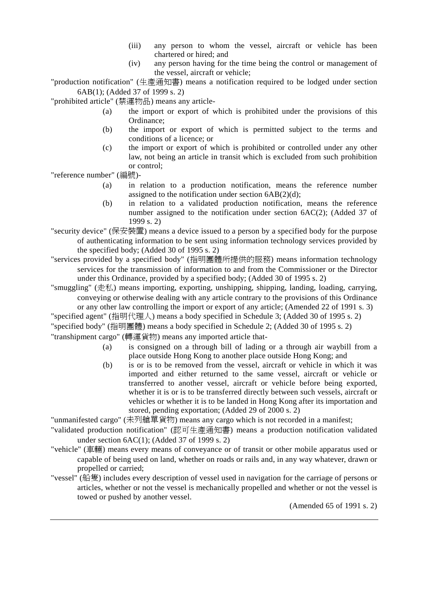- (iii) any person to whom the vessel, aircraft or vehicle has been chartered or hired; and
- (iv) any person having for the time being the control or management of the vessel, aircraft or vehicle;

"production notification" (生產通知書) means a notification required to be lodged under section 6AB(1); (Added 37 of 1999 s. 2)

"prohibited article" (禁運物品) means any article-

- (a) the import or export of which is prohibited under the provisions of this Ordinance;
- (b) the import or export of which is permitted subject to the terms and conditions of a licence; or
- (c) the import or export of which is prohibited or controlled under any other law, not being an article in transit which is excluded from such prohibition or control;

"reference number" (編號)-

- (a) in relation to a production notification, means the reference number assigned to the notification under section 6AB(2)(d);
- (b) in relation to a validated production notification, means the reference number assigned to the notification under section 6AC(2); (Added 37 of 1999 s. 2)

"security device" (保安裝置) means a device issued to a person by a specified body for the purpose of authenticating information to be sent using information technology services provided by the specified body; (Added 30 of 1995 s. 2)

"services provided by a specified body" (指明團體所提供的服務) means information technology services for the transmission of information to and from the Commissioner or the Director under this Ordinance, provided by a specified body; (Added 30 of 1995 s. 2)

"smuggling" ( $\#$  $\#$ ) means importing, exporting, unshipping, shipping, landing, loading, carrying, conveying or otherwise dealing with any article contrary to the provisions of this Ordinance

or any other law controlling the import or export of any article; (Amended 22 of 1991 s. 3) "specified agent" (指明代理㆟) means a body specified in Schedule 3; (Added 30 of 1995 s. 2) "specified body" (指明團體) means a body specified in Schedule 2; (Added 30 of 1995 s. 2)

"transhipment cargo" (轉運貨物) means any imported article that-

- (a) is consigned on a through bill of lading or a through air waybill from a place outside Hong Kong to another place outside Hong Kong; and
- (b) is or is to be removed from the vessel, aircraft or vehicle in which it was imported and either returned to the same vessel, aircraft or vehicle or transferred to another vessel, aircraft or vehicle before being exported, whether it is or is to be transferred directly between such vessels, aircraft or vehicles or whether it is to be landed in Hong Kong after its importation and stored, pending exportation; (Added 29 of 2000 s. 2)

"unmanifested cargo" (未列艙單貨物) means any cargo which is not recorded in a manifest;

- "validated production notification" (認可生產通知書) means a production notification validated under section 6AC(1); (Added 37 of 1999 s. 2)
- "vehicle" (車輛) means every means of conveyance or of transit or other mobile apparatus used or capable of being used on land, whether on roads or rails and, in any way whatever, drawn or propelled or carried;
- "vessel" (船隻) includes every description of vessel used in navigation for the carriage of persons or articles, whether or not the vessel is mechanically propelled and whether or not the vessel is towed or pushed by another vessel.

(Amended 65 of 1991 s. 2)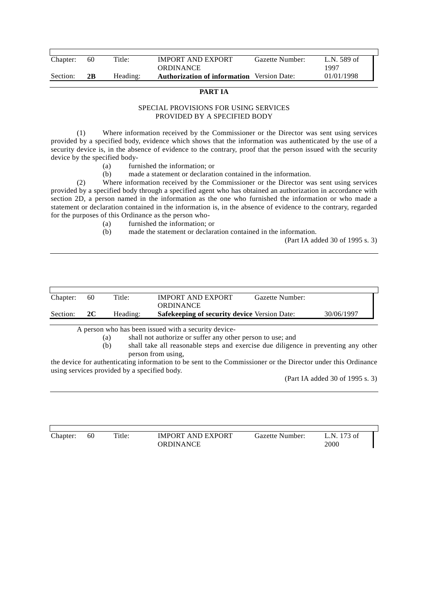| Chapter: | 60 | Title:   | <b>IMPORT AND EXPORT</b>                          | Gazette Number: | L.N. 589 of |
|----------|----|----------|---------------------------------------------------|-----------------|-------------|
|          |    |          | <b>ORDINANCE</b>                                  |                 | 1997        |
| Section: | 2В | Heading: | <b>Authorization of information</b> Version Date: |                 | 01/01/1998  |
|          |    |          |                                                   |                 |             |

### **PART IA**

#### SPECIAL PROVISIONS FOR USING SERVICES PROVIDED BY A SPECIFIED BODY

(1) Where information received by the Commissioner or the Director was sent using services provided by a specified body, evidence which shows that the information was authenticated by the use of a security device is, in the absence of evidence to the contrary, proof that the person issued with the security device by the specified body-

- (a) furnished the information; or
- (b) made a statement or declaration contained in the information.

(2) Where information received by the Commissioner or the Director was sent using services provided by a specified body through a specified agent who has obtained an authorization in accordance with section 2D, a person named in the information as the one who furnished the information or who made a statement or declaration contained in the information is, in the absence of evidence to the contrary, regarded for the purposes of this Ordinance as the person who-

- (a) furnished the information; or
- (b) made the statement or declaration contained in the information.

(Part IA added 30 of 1995 s. 3)

| Chapter: | 60 | Title:   | <b>IMPORT AND EXPORT</b><br><b>ORDINANCE</b>        | Gazette Number: |            |
|----------|----|----------|-----------------------------------------------------|-----------------|------------|
| Section: | 2C | Heading: | <b>Safekeeping of security device Version Date:</b> |                 | 30/06/1997 |

A person who has been issued with a security device-

- (a) shall not authorize or suffer any other person to use; and
- (b) shall take all reasonable steps and exercise due diligence in preventing any other person from using,

the device for authenticating information to be sent to the Commissioner or the Director under this Ordinance using services provided by a specified body.

(Part IA added 30 of 1995 s. 3)

| Chapter: | 60 | Title: | <b>IMPORT AND EXPORT</b><br><b>ORDINANCE</b> | Gazette Number: | ∟.N. 173 of<br>2000 |
|----------|----|--------|----------------------------------------------|-----------------|---------------------|
|          |    |        |                                              |                 |                     |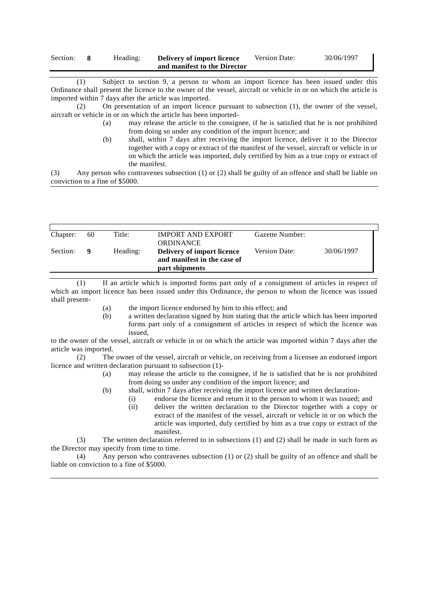| Section: | Heading: | Delivery of import licence   | Version Date: | 30/06/1997 |
|----------|----------|------------------------------|---------------|------------|
|          |          | and manifest to the Director |               |            |

(1) Subject to section 9, a person to whom an import licence has been issued under this Ordinance shall present the licence to the owner of the vessel, aircraft or vehicle in or on which the article is imported within 7 days after the article was imported.

(2) On presentation of an import licence pursuant to subsection (1), the owner of the vessel, aircraft or vehicle in or on which the article has been imported-

- (a) may release the article to the consignee, if he is satisfied that he is not prohibited from doing so under any condition of the import licence; and
- (b) shall, within 7 days after receiving the import licence, deliver it to the Director together with a copy or extract of the manifest of the vessel, aircraft or vehicle in or on which the article was imported, duly certified by him as a true copy or extract of the manifest.

(3) Any person who contravenes subsection (1) or (2) shall be guilty of an offence and shall be liable on conviction to a fine of \$5000.

| Chapter: | 60 | Title:   | <b>IMPORT AND EXPORT</b><br><b>ORDINANCE</b>                                | Gazette Number:      |            |  |
|----------|----|----------|-----------------------------------------------------------------------------|----------------------|------------|--|
| Section: |    | Heading: | Delivery of import licence<br>and manifest in the case of<br>part shipments | <b>Version Date:</b> | 30/06/1997 |  |

(1) If an article which is imported forms part only of a consignment of articles in respect of which an import licence has been issued under this Ordinance, the person to whom the licence was issued shall present-

(a) the import licence endorsed by him to this effect; and

(b) a written declaration signed by him stating that the article which has been imported forms part only of a consignment of articles in respect of which the licence was issued,

to the owner of the vessel, aircraft or vehicle in or on which the article was imported within 7 days after the article was imported.

(2) The owner of the vessel, aircraft or vehicle, on receiving from a licensee an endorsed import licence and written declaration pursuant to subsection (1)-

- (a) may release the article to the consignee, if he is satisfied that he is not prohibited from doing so under any condition of the import licence; and
- (b) shall, within 7 days after receiving the import licence and written declaration-
	- (i) endorse the licence and return it to the person to whom it was issued; and
		- (ii) deliver the written declaration to the Director together with a copy or extract of the manifest of the vessel, aircraft or vehicle in or on which the article was imported, duly certified by him as a true copy or extract of the manifest.

(3) The written declaration referred to in subsections (1) and (2) shall be made in such form as the Director may specify from time to time.

(4) Any person who contravenes subsection (1) or (2) shall be guilty of an offence and shall be liable on conviction to a fine of \$5000.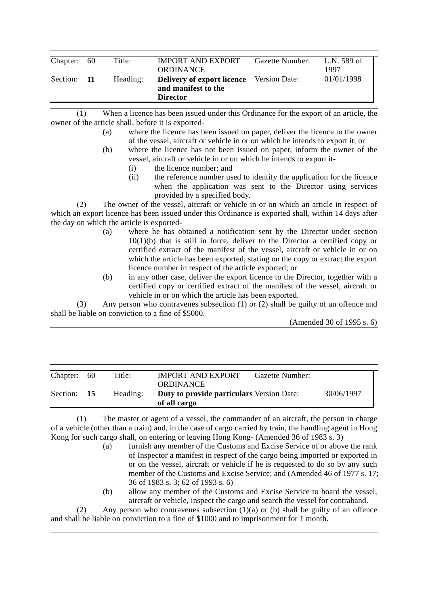| Chapter: 60 | Title:   | <b>IMPORT AND EXPORT</b><br>ORDINANCE                                                     | Gazette Number: | L.N. 589 of<br>1997 |
|-------------|----------|-------------------------------------------------------------------------------------------|-----------------|---------------------|
| Section: 11 | Heading: | <b>Delivery of export licence</b> Version Date:<br>and manifest to the<br><b>Director</b> |                 | 01/01/1998          |

(1) When a licence has been issued under this Ordinance for the export of an article, the owner of the article shall, before it is exported-

- (a) where the licence has been issued on paper, deliver the licence to the owner of the vessel, aircraft or vehicle in or on which he intends to export it; or
- (b) where the licence has not been issued on paper, inform the owner of the vessel, aircraft or vehicle in or on which he intends to export it-
	- (i) the licence number; and
	- (ii) the reference number used to identify the application for the licence when the application was sent to the Director using services provided by a specified body.

(2) The owner of the vessel, aircraft or vehicle in or on which an article in respect of which an export licence has been issued under this Ordinance is exported shall, within 14 days after the day on which the article is exported-

- (a) where he has obtained a notification sent by the Director under section 10(1)(b) that is still in force, deliver to the Director a certified copy or certified extract of the manifest of the vessel, aircraft or vehicle in or on which the article has been exported, stating on the copy or extract the export licence number in respect of the article exported; or
- (b) in any other case, deliver the export licence to the Director, together with a certified copy or certified extract of the manifest of the vessel, aircraft or vehicle in or on which the article has been exported.

(3) Any person who contravenes subsection (1) or (2) shall be guilty of an offence and shall be liable on conviction to a fine of \$5000.

(Amended 30 of 1995 s. 6)

| Chapter:    | - 60 | Title:   | <b>IMPORT AND EXPORT</b>                                         | Gazette Number: |            |
|-------------|------|----------|------------------------------------------------------------------|-----------------|------------|
|             |      |          | <b>ORDINANCE</b>                                                 |                 |            |
| Section: 15 |      |          |                                                                  |                 | 30/06/1997 |
|             |      | Heading: | <b>Duty to provide particulars Version Date:</b><br>of all cargo |                 |            |
|             |      |          |                                                                  |                 |            |

(1) The master or agent of a vessel, the commander of an aircraft, the person in charge of a vehicle (other than a train) and, in the case of cargo carried by train, the handling agent in Hong Kong for such cargo shall, on entering or leaving Hong Kong- (Amended 36 of 1983 s. 3)

- (a) furnish any member of the Customs and Excise Service of or above the rank of Inspector a manifest in respect of the cargo being imported or exported in or on the vessel, aircraft or vehicle if he is requested to do so by any such member of the Customs and Excise Service; and (Amended 46 of 1977 s. 17; 36 of 1983 s. 3; 62 of 1993 s. 6)
- (b) allow any member of the Customs and Excise Service to board the vessel, aircraft or vehicle, inspect the cargo and search the vessel for contraband.

(2) Any person who contravenes subsection (1)(a) or (b) shall be guilty of an offence and shall be liable on conviction to a fine of \$1000 and to imprisonment for 1 month.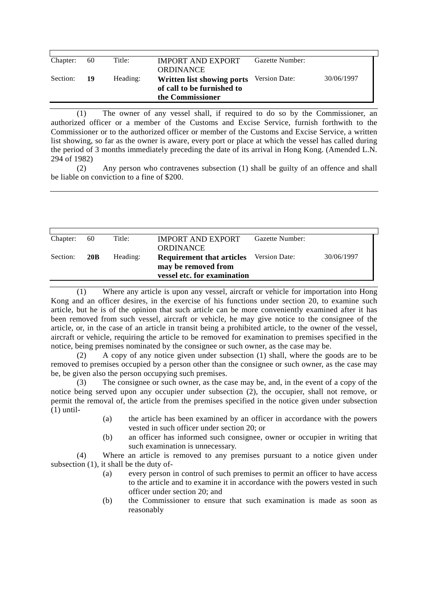| Chapter: | 60 | Title:   | <b>IMPORT AND EXPORT</b>   | Gazette Number:      |            |
|----------|----|----------|----------------------------|----------------------|------------|
|          |    |          |                            |                      |            |
|          |    |          | <b>ORDINANCE</b>           |                      |            |
|          |    |          |                            |                      |            |
| Section: | 19 | Heading: | Written list showing ports | <b>Version Date:</b> | 30/06/1997 |
|          |    |          | of call to be furnished to |                      |            |
|          |    |          | the Commissioner           |                      |            |
|          |    |          |                            |                      |            |

(1) The owner of any vessel shall, if required to do so by the Commissioner, an authorized officer or a member of the Customs and Excise Service, furnish forthwith to the Commissioner or to the authorized officer or member of the Customs and Excise Service, a written list showing, so far as the owner is aware, every port or place at which the vessel has called during the period of 3 months immediately preceding the date of its arrival in Hong Kong. (Amended L.N. 294 of 1982)

(2) Any person who contravenes subsection (1) shall be guilty of an offence and shall be liable on conviction to a fine of \$200.

| Chapter: | 60              | Title:   | <b>IMPORT AND EXPORT</b><br><b>ORDINANCE</b>                                           | Gazette Number: |            |
|----------|-----------------|----------|----------------------------------------------------------------------------------------|-----------------|------------|
| Section: | 20 <sub>B</sub> | Heading: | <b>Requirement that articles</b><br>may be removed from<br>vessel etc. for examination | Version Date:   | 30/06/1997 |

(1) Where any article is upon any vessel, aircraft or vehicle for importation into Hong Kong and an officer desires, in the exercise of his functions under section 20, to examine such article, but he is of the opinion that such article can be more conveniently examined after it has been removed from such vessel, aircraft or vehicle, he may give notice to the consignee of the article, or, in the case of an article in transit being a prohibited article, to the owner of the vessel, aircraft or vehicle, requiring the article to be removed for examination to premises specified in the notice, being premises nominated by the consignee or such owner, as the case may be.

(2) A copy of any notice given under subsection (1) shall, where the goods are to be removed to premises occupied by a person other than the consignee or such owner, as the case may be, be given also the person occupying such premises.

(3) The consignee or such owner, as the case may be, and, in the event of a copy of the notice being served upon any occupier under subsection (2), the occupier, shall not remove, or permit the removal of, the article from the premises specified in the notice given under subsection  $(1)$  until-

- (a) the article has been examined by an officer in accordance with the powers vested in such officer under section 20; or
- (b) an officer has informed such consignee, owner or occupier in writing that such examination is unnecessary.

(4) Where an article is removed to any premises pursuant to a notice given under subsection (1), it shall be the duty of-

- (a) every person in control of such premises to permit an officer to have access to the article and to examine it in accordance with the powers vested in such officer under section 20; and
- (b) the Commissioner to ensure that such examination is made as soon as reasonably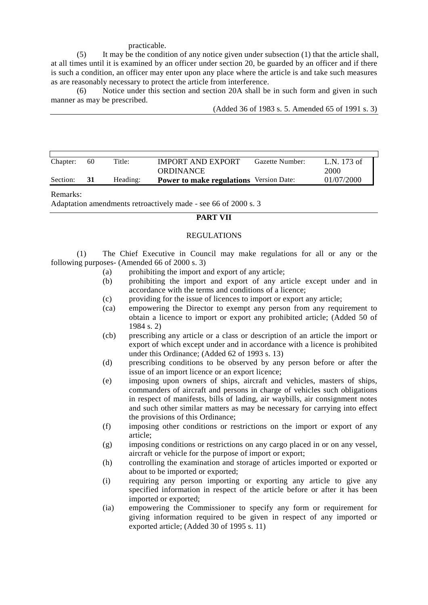#### practicable.

(5) It may be the condition of any notice given under subsection (1) that the article shall, at all times until it is examined by an officer under section 20, be guarded by an officer and if there is such a condition, an officer may enter upon any place where the article is and take such measures as are reasonably necessary to protect the article from interference.

(6) Notice under this section and section 20A shall be in such form and given in such manner as may be prescribed.

(Added 36 of 1983 s. 5. Amended 65 of 1991 s. 3)

| Chapter: | 60 | Title:   | <b>IMPORT AND EXPORT</b><br><b>ORDINANCE</b>   | Gazette Number: | L.N. 173 of<br>2000 |
|----------|----|----------|------------------------------------------------|-----------------|---------------------|
| Section: | 31 | Heading: | <b>Power to make regulations</b> Version Date: |                 | 01/07/2000          |

#### Remarks:

Adaptation amendments retroactively made - see 66 of 2000 s. 3

### **PART VII**

#### REGULATIONS

(1) The Chief Executive in Council may make regulations for all or any or the following purposes- (Amended 66 of 2000 s. 3)

- (a) prohibiting the import and export of any article;
- (b) prohibiting the import and export of any article except under and in accordance with the terms and conditions of a licence;
- (c) providing for the issue of licences to import or export any article;
- (ca) empowering the Director to exempt any person from any requirement to obtain a licence to import or export any prohibited article; (Added 50 of 1984 s. 2)
- (cb) prescribing any article or a class or description of an article the import or export of which except under and in accordance with a licence is prohibited under this Ordinance; (Added 62 of 1993 s. 13)
- (d) prescribing conditions to be observed by any person before or after the issue of an import licence or an export licence;
- (e) imposing upon owners of ships, aircraft and vehicles, masters of ships, commanders of aircraft and persons in charge of vehicles such obligations in respect of manifests, bills of lading, air waybills, air consignment notes and such other similar matters as may be necessary for carrying into effect the provisions of this Ordinance;
- (f) imposing other conditions or restrictions on the import or export of any article;
- (g) imposing conditions or restrictions on any cargo placed in or on any vessel, aircraft or vehicle for the purpose of import or export;
- (h) controlling the examination and storage of articles imported or exported or about to be imported or exported;
- (i) requiring any person importing or exporting any article to give any specified information in respect of the article before or after it has been imported or exported;
- (ia) empowering the Commissioner to specify any form or requirement for giving information required to be given in respect of any imported or exported article; (Added 30 of 1995 s. 11)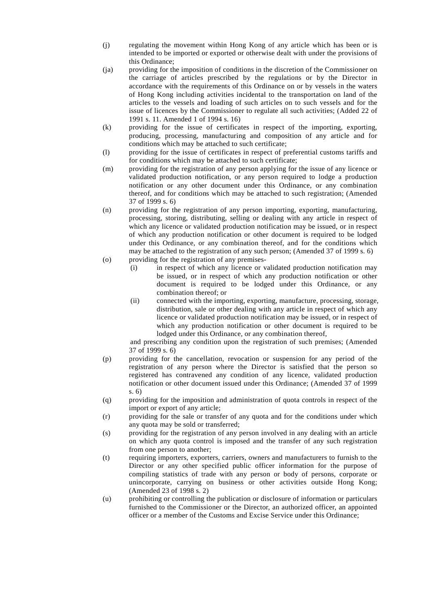- (j) regulating the movement within Hong Kong of any article which has been or is intended to be imported or exported or otherwise dealt with under the provisions of this Ordinance;
- (ja) providing for the imposition of conditions in the discretion of the Commissioner on the carriage of articles prescribed by the regulations or by the Director in accordance with the requirements of this Ordinance on or by vessels in the waters of Hong Kong including activities incidental to the transportation on land of the articles to the vessels and loading of such articles on to such vessels and for the issue of licences by the Commissioner to regulate all such activities; (Added 22 of 1991 s. 11. Amended 1 of 1994 s. 16)
- (k) providing for the issue of certificates in respect of the importing, exporting, producing, processing, manufacturing and composition of any article and for conditions which may be attached to such certificate;
- (l) providing for the issue of certificates in respect of preferential customs tariffs and for conditions which may be attached to such certificate;
- (m) providing for the registration of any person applying for the issue of any licence or validated production notification, or any person required to lodge a production notification or any other document under this Ordinance, or any combination thereof, and for conditions which may be attached to such registration; (Amended 37 of 1999 s. 6)
- (n) providing for the registration of any person importing, exporting, manufacturing, processing, storing, distributing, selling or dealing with any article in respect of which any licence or validated production notification may be issued, or in respect of which any production notification or other document is required to be lodged under this Ordinance, or any combination thereof, and for the conditions which may be attached to the registration of any such person; (Amended 37 of 1999 s. 6)
- (o) providing for the registration of any premises-
	- (i) in respect of which any licence or validated production notification may be issued, or in respect of which any production notification or other document is required to be lodged under this Ordinance, or any combination thereof; or
	- (ii) connected with the importing, exporting, manufacture, processing, storage, distribution, sale or other dealing with any article in respect of which any licence or validated production notification may be issued, or in respect of which any production notification or other document is required to be lodged under this Ordinance, or any combination thereof,

and prescribing any condition upon the registration of such premises; (Amended 37 of 1999 s. 6)

- (p) providing for the cancellation, revocation or suspension for any period of the registration of any person where the Director is satisfied that the person so registered has contravened any condition of any licence, validated production notification or other document issued under this Ordinance; (Amended 37 of 1999 s. 6)
- (q) providing for the imposition and administration of quota controls in respect of the import or export of any article;
- (r) providing for the sale or transfer of any quota and for the conditions under which any quota may be sold or transferred;
- (s) providing for the registration of any person involved in any dealing with an article on which any quota control is imposed and the transfer of any such registration from one person to another;
- (t) requiring importers, exporters, carriers, owners and manufacturers to furnish to the Director or any other specified public officer information for the purpose of compiling statistics of trade with any person or body of persons, corporate or unincorporate, carrying on business or other activities outside Hong Kong; (Amended 23 of 1998 s. 2)
- (u) prohibiting or controlling the publication or disclosure of information or particulars furnished to the Commissioner or the Director, an authorized officer, an appointed officer or a member of the Customs and Excise Service under this Ordinance;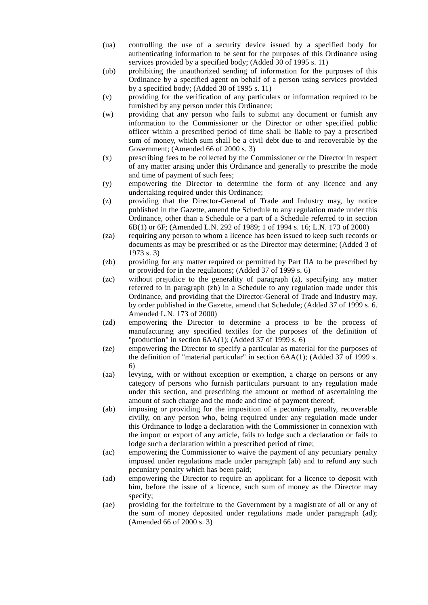- (ua) controlling the use of a security device issued by a specified body for authenticating information to be sent for the purposes of this Ordinance using services provided by a specified body; (Added 30 of 1995 s. 11)
- (ub) prohibiting the unauthorized sending of information for the purposes of this Ordinance by a specified agent on behalf of a person using services provided by a specified body; (Added 30 of 1995 s. 11)
- (v) providing for the verification of any particulars or information required to be furnished by any person under this Ordinance;
- (w) providing that any person who fails to submit any document or furnish any information to the Commissioner or the Director or other specified public officer within a prescribed period of time shall be liable to pay a prescribed sum of money, which sum shall be a civil debt due to and recoverable by the Government; (Amended 66 of 2000 s. 3)
- (x) prescribing fees to be collected by the Commissioner or the Director in respect of any matter arising under this Ordinance and generally to prescribe the mode and time of payment of such fees;
- (y) empowering the Director to determine the form of any licence and any undertaking required under this Ordinance;
- (z) providing that the Director-General of Trade and Industry may, by notice published in the Gazette, amend the Schedule to any regulation made under this Ordinance, other than a Schedule or a part of a Schedule referred to in section 6B(1) or 6F; (Amended L.N. 292 of 1989; 1 of 1994 s. 16; L.N. 173 of 2000)
- (za) requiring any person to whom a licence has been issued to keep such records or documents as may be prescribed or as the Director may determine; (Added 3 of 1973 s. 3)
- (zb) providing for any matter required or permitted by Part IIA to be prescribed by or provided for in the regulations; (Added 37 of 1999 s. 6)
- (zc) without prejudice to the generality of paragraph (z), specifying any matter referred to in paragraph (zb) in a Schedule to any regulation made under this Ordinance, and providing that the Director-General of Trade and Industry may, by order published in the Gazette, amend that Schedule; (Added 37 of 1999 s. 6. Amended L.N. 173 of 2000)
- (zd) empowering the Director to determine a process to be the process of manufacturing any specified textiles for the purposes of the definition of "production" in section  $6AA(1)$ ; (Added 37 of 1999 s. 6)
- (ze) empowering the Director to specify a particular as material for the purposes of the definition of "material particular" in section 6AA(1); (Added 37 of 1999 s. 6)
- (aa) levying, with or without exception or exemption, a charge on persons or any category of persons who furnish particulars pursuant to any regulation made under this section, and prescribing the amount or method of ascertaining the amount of such charge and the mode and time of payment thereof;
- (ab) imposing or providing for the imposition of a pecuniary penalty, recoverable civilly, on any person who, being required under any regulation made under this Ordinance to lodge a declaration with the Commissioner in connexion with the import or export of any article, fails to lodge such a declaration or fails to lodge such a declaration within a prescribed period of time;
- (ac) empowering the Commissioner to waive the payment of any pecuniary penalty imposed under regulations made under paragraph (ab) and to refund any such pecuniary penalty which has been paid;
- (ad) empowering the Director to require an applicant for a licence to deposit with him, before the issue of a licence, such sum of money as the Director may specify;
- (ae) providing for the forfeiture to the Government by a magistrate of all or any of the sum of money deposited under regulations made under paragraph (ad); (Amended 66 of 2000 s. 3)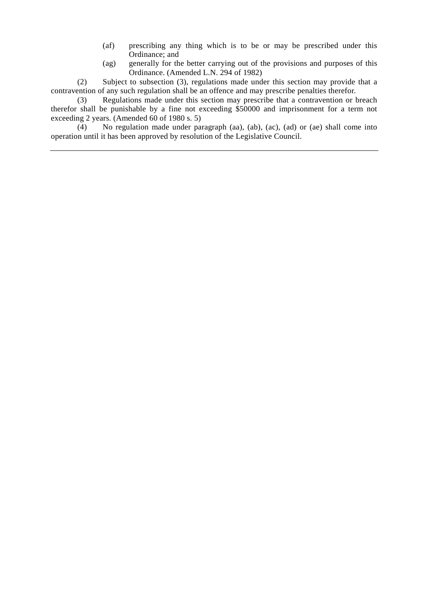- (af) prescribing any thing which is to be or may be prescribed under this Ordinance; and
- (ag) generally for the better carrying out of the provisions and purposes of this Ordinance. (Amended L.N. 294 of 1982)

(2) Subject to subsection (3), regulations made under this section may provide that a contravention of any such regulation shall be an offence and may prescribe penalties therefor.

(3) Regulations made under this section may prescribe that a contravention or breach therefor shall be punishable by a fine not exceeding \$50000 and imprisonment for a term not exceeding 2 years. (Amended 60 of 1980 s. 5)

(4) No regulation made under paragraph (aa), (ab), (ac), (ad) or (ae) shall come into operation until it has been approved by resolution of the Legislative Council.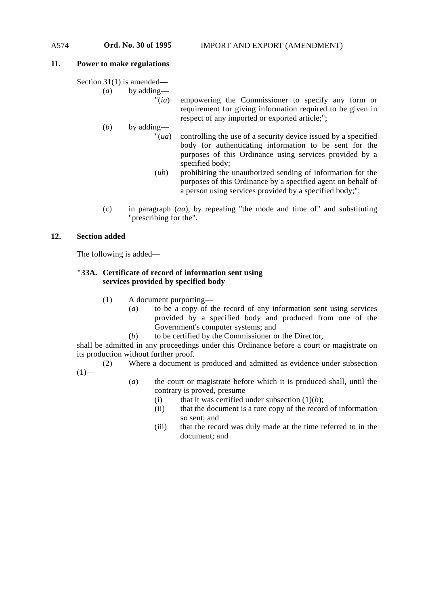#### **11. Power to make regulations**

Section 31(1) is amended—

(*a*) by adding—

"(*ia*) empowering the Commissioner to specify any form or requirement for giving information required to be given in respect of any imported or exported article;";

(*b*) by adding—

- "(*ua*) controlling the use of a security device issued by a specified body for authenticating information to be sent for the purposes of this Ordinance using services provided by a specified body;
- (*ub*) prohibiting the unauthorized sending of information for the purposes of this Ordinance by a specified agent on behalf of a person using services provided by a specified body;";
- (*c*) in paragraph (*aa*), by repealing "the mode and time of" and substituting "prescribing for the".

#### **12. Section added**

The following is added—

#### **"33A. Certificate of record of information sent using services provided by specified body**

- (1) A document purporting—
	- (*a*) to be a copy of the record of any information sent using services provided by a specified body and produced from one of the Government's computer systems; and
	- (*b*) to be certified by the Commissioner or the Director,

shall be admitted in any proceedings under this Ordinance before a court or magistrate on its production without further proof.

(2) Where a document is produced and admitted as evidence under subsection  $(1)$ —

- (*a*) the court or magistrate before which it is produced shall, until the contrary is proved, presume—
	- (i) that it was certified under subsection  $(1)(b)$ ;
	- (ii) that the document is a ture copy of the record of information so sent; and
	- (iii) that the record was duly made at the time referred to in the document; and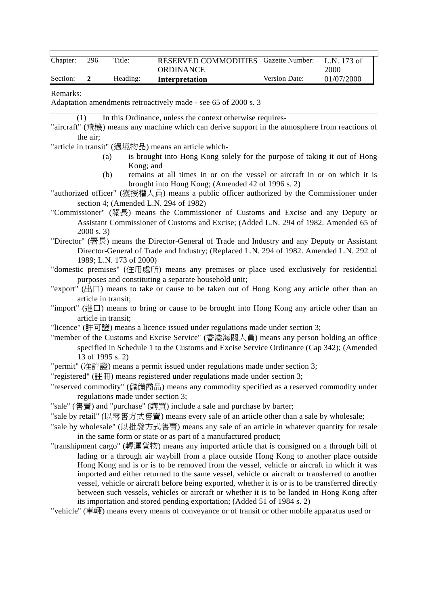| Chapter: | 296 | Title:   | RESERVED COMMODITIES Gazette Number: |                      | L.N. 173 of |
|----------|-----|----------|--------------------------------------|----------------------|-------------|
|          |     |          | <b>ORDINANCE</b>                     |                      | 2000        |
| Section: |     | Heading: | Interpretation                       | <b>Version Date:</b> | 01/07/2000  |

#### Remarks:

Adaptation amendments retroactively made - see 65 of 2000 s. 3

(1) In this Ordinance, unless the context otherwise requires-

"aircraft" (飛機) means any machine which can derive support in the atmosphere from reactions of the air;

"article in transit" (過境物品) means an article which-

- (a) is brought into Hong Kong solely for the purpose of taking it out of Hong Kong; and
- (b) remains at all times in or on the vessel or aircraft in or on which it is brought into Hong Kong; (Amended 42 of 1996 s. 2)
- "authorized officer" (獲授權㆟員) means a public officer authorized by the Commissioner under section 4; (Amended L.N. 294 of 1982)

"Commissioner" (關長) means the Commissioner of Customs and Excise and any Deputy or Assistant Commissioner of Customs and Excise; (Added L.N. 294 of 1982. Amended 65 of 2000 s. 3)

"Director" (署長) means the Director-General of Trade and Industry and any Deputy or Assistant Director-General of Trade and Industry; (Replaced L.N. 294 of 1982. Amended L.N. 292 of 1989; L.N. 173 of 2000)

"domestic premises" (住用處所) means any premises or place used exclusively for residential purposes and constituting a separate household unit;

"export" ( $\boxplus \Box$ ) means to take or cause to be taken out of Hong Kong any article other than an article in transit;

- "import" (進口) means to bring or cause to be brought into Hong Kong any article other than an article in transit;
- "licence" (許可證) means a licence issued under regulations made under section 3;

"member of the Customs and Excise Service" (香港海關㆟員) means any person holding an office specified in Schedule 1 to the Customs and Excise Service Ordinance (Cap 342); (Amended 13 of 1995 s. 2)

- "permit" (准許證) means a permit issued under regulations made under section 3;
- "registered" (註冊) means registered under regulations made under section 3;

"reserved commodity" (儲備商品) means any commodity specified as a reserved commodity under regulations made under section 3;

"sale" (售賣) and "purchase" (購買) include a sale and purchase by barter;

"sale by retail" (以零售方式售賣) means every sale of an article other than a sale by wholesale;

- "sale by wholesale" (以批發方式售賣) means any sale of an article in whatever quantity for resale in the same form or state or as part of a manufactured product;
- "transhipment cargo" (轉運貨物) means any imported article that is consigned on a through bill of lading or a through air waybill from a place outside Hong Kong to another place outside Hong Kong and is or is to be removed from the vessel, vehicle or aircraft in which it was imported and either returned to the same vessel, vehicle or aircraft or transferred to another vessel, vehicle or aircraft before being exported, whether it is or is to be transferred directly between such vessels, vehicles or aircraft or whether it is to be landed in Hong Kong after its importation and stored pending exportation; (Added 51 of 1984 s. 2)

"vehicle" (車輛) means every means of conveyance or of transit or other mobile apparatus used or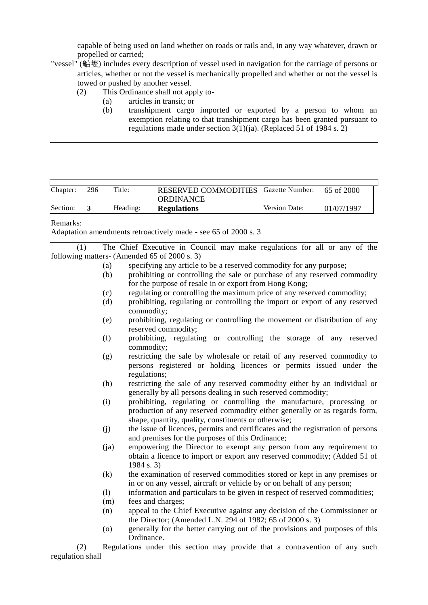capable of being used on land whether on roads or rails and, in any way whatever, drawn or propelled or carried;

- "vessel" (船隻) includes every description of vessel used in navigation for the carriage of persons or articles, whether or not the vessel is mechanically propelled and whether or not the vessel is towed or pushed by another vessel.
	- (2) This Ordinance shall not apply to-
		- (a) articles in transit; or
		- (b) transhipment cargo imported or exported by a person to whom an exemption relating to that transhipment cargo has been granted pursuant to regulations made under section  $3(1)(i)$ . (Replaced 51 of 1984 s. 2)

| Chapter: | 296 | Title:   | <b>RESERVED COMMODITIES</b> Gazette Number:<br><b>ORDINANCE</b> |               | 65 of 2000 |
|----------|-----|----------|-----------------------------------------------------------------|---------------|------------|
| Section: |     | Heading: | <b>Regulations</b>                                              | Version Date: | 01/07/1997 |

Remarks:

Adaptation amendments retroactively made - see 65 of 2000 s. 3

(1) The Chief Executive in Council may make regulations for all or any of the following matters- (Amended 65 of 2000 s. 3)

- (a) specifying any article to be a reserved commodity for any purpose;
- (b) prohibiting or controlling the sale or purchase of any reserved commodity for the purpose of resale in or export from Hong Kong;
- (c) regulating or controlling the maximum price of any reserved commodity;
- (d) prohibiting, regulating or controlling the import or export of any reserved commodity;
- (e) prohibiting, regulating or controlling the movement or distribution of any reserved commodity;
- (f) prohibiting, regulating or controlling the storage of any reserved commodity;
- (g) restricting the sale by wholesale or retail of any reserved commodity to persons registered or holding licences or permits issued under the regulations;
- (h) restricting the sale of any reserved commodity either by an individual or generally by all persons dealing in such reserved commodity;
- (i) prohibiting, regulating or controlling the manufacture, processing or production of any reserved commodity either generally or as regards form, shape, quantity, quality, constituents or otherwise;
- (j) the issue of licences, permits and certificates and the registration of persons and premises for the purposes of this Ordinance;
- (ja) empowering the Director to exempt any person from any requirement to obtain a licence to import or export any reserved commodity; (Added 51 of 1984 s. 3)
- (k) the examination of reserved commodities stored or kept in any premises or in or on any vessel, aircraft or vehicle by or on behalf of any person;
- (l) information and particulars to be given in respect of reserved commodities;
- (m) fees and charges;
- (n) appeal to the Chief Executive against any decision of the Commissioner or the Director; (Amended L.N. 294 of 1982; 65 of 2000 s. 3)
- (o) generally for the better carrying out of the provisions and purposes of this Ordinance.

(2) Regulations under this section may provide that a contravention of any such regulation shall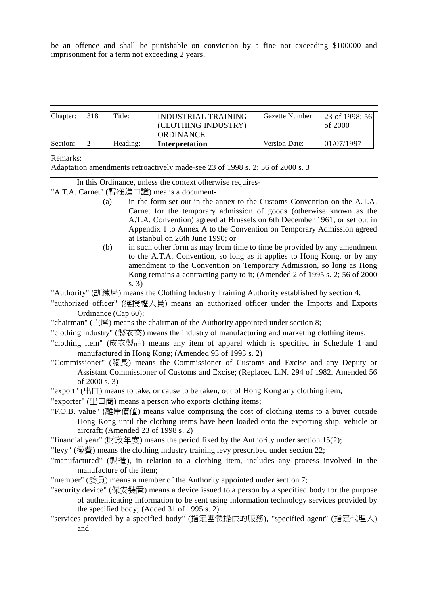be an offence and shall be punishable on conviction by a fine not exceeding \$100000 and imprisonment for a term not exceeding 2 years.

| Section: |     | Heading: | <b>ORDINANCE</b><br>Interpretation | Version Date:   | 01/07/1997     |
|----------|-----|----------|------------------------------------|-----------------|----------------|
|          |     |          | (CLOTHING INDUSTRY)                |                 | of $2000$      |
| Chapter: | 318 | Title:   | INDUSTRIAL TRAINING                | Gazette Number: | 23 of 1998; 56 |

### Remarks:

Adaptation amendments retroactively made-see 23 of 1998 s. 2; 56 of 2000 s. 3

In this Ordinance, unless the context otherwise requires-

"A.T.A. Carnet" (暫准進口證) means a document-

- (a) in the form set out in the annex to the Customs Convention on the A.T.A. Carnet for the temporary admission of goods (otherwise known as the A.T.A. Convention) agreed at Brussels on 6th December 1961, or set out in Appendix 1 to Annex A to the Convention on Temporary Admission agreed at Istanbul on 26th June 1990; or
- (b) in such other form as may from time to time be provided by any amendment to the A.T.A. Convention, so long as it applies to Hong Kong, or by any amendment to the Convention on Temporary Admission, so long as Hong Kong remains a contracting party to it; (Amended 2 of 1995 s. 2; 56 of 2000 s. 3)

"Authority" (訓練局) means the Clothing Industry Training Authority established by section 4;

"authorized officer" (獲授權㆟員) means an authorized officer under the Imports and Exports Ordinance (Cap 60);

"chairman" (主席) means the chairman of the Authority appointed under section 8;

- "clothing industry" (製衣業) means the industry of manufacturing and marketing clothing items;
- "clothing item" (成衣製品) means any item of apparel which is specified in Schedule 1 and manufactured in Hong Kong; (Amended 93 of 1993 s. 2)
- "Commissioner" (關長) means the Commissioner of Customs and Excise and any Deputy or Assistant Commissioner of Customs and Excise; (Replaced L.N. 294 of 1982. Amended 56 of 2000 s. 3)
- "export" ( $\boxplus \Box$ ) means to take, or cause to be taken, out of Hong Kong any clothing item;
- "exporter" (出口商) means a person who exports clothing items;
- "F.O.B. value" (離岸價值) means value comprising the cost of clothing items to a buyer outside Hong Kong until the clothing items have been loaded onto the exporting ship, vehicle or aircraft; (Amended 23 of 1998 s. 2)
- "financial year" (財政年度) means the period fixed by the Authority under section 15(2);
- "levy" (徵費) means the clothing industry training levy prescribed under section 22;
- "manufactured" (製造), in relation to a clothing item, includes any process involved in the manufacture of the item;
- "member" (委員) means a member of the Authority appointed under section 7;
- "security device" (保安裝置) means a device issued to a person by a specified body for the purpose of authenticating information to be sent using information technology services provided by the specified body; (Added 31 of 1995 s. 2)
- "services provided by a specified body" (指定團體提供的服務), "specified agent" (指定代理㆟) and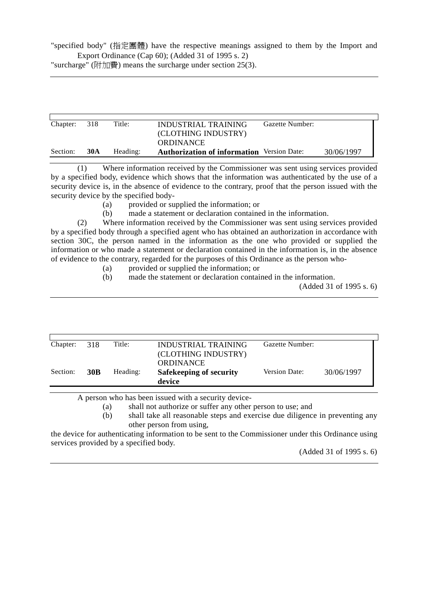"specified body" (指定團體) have the respective meanings assigned to them by the Import and Export Ordinance (Cap 60); (Added 31 of 1995 s. 2)

"surcharge" (附加費) means the surcharge under section 25(3).

| Chapter: | 318        | Title:   | INDUSTRIAL TRAINING<br>(CLOTHING INDUSTRY)<br><b>ORDINANCE</b> | Gazette Number: |            |
|----------|------------|----------|----------------------------------------------------------------|-----------------|------------|
| Section: | <b>30A</b> | Heading: | <b>Authorization of information</b> Version Date:              |                 | 30/06/1997 |

(1) Where information received by the Commissioner was sent using services provided by a specified body, evidence which shows that the information was authenticated by the use of a security device is, in the absence of evidence to the contrary, proof that the person issued with the security device by the specified body-

- (a) provided or supplied the information; or
- (b) made a statement or declaration contained in the information.

(2) Where information received by the Commissioner was sent using services provided by a specified body through a specified agent who has obtained an authorization in accordance with section 30C, the person named in the information as the one who provided or supplied the information or who made a statement or declaration contained in the information is, in the absence of evidence to the contrary, regarded for the purposes of this Ordinance as the person who-

- (a) provided or supplied the information; or
- (b) made the statement or declaration contained in the information.

(Added 31 of 1995 s. 6)

| Chapter: | 318        | Title:   | INDUSTRIAL TRAINING                     | Gazette Number: |            |
|----------|------------|----------|-----------------------------------------|-----------------|------------|
|          |            |          | (CLOTHING INDUSTRY)<br><b>ORDINANCE</b> |                 |            |
| Section: | <b>30B</b> | Heading: | Safekeeping of security<br>device       | Version Date:   | 30/06/1997 |

A person who has been issued with a security device-

(a) shall not authorize or suffer any other person to use; and

(b) shall take all reasonable steps and exercise due diligence in preventing any other person from using,

the device for authenticating information to be sent to the Commissioner under this Ordinance using services provided by a specified body.

(Added 31 of 1995 s. 6)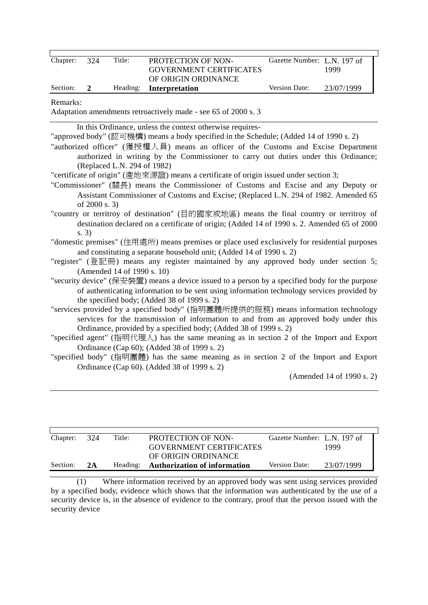| Chapter:<br>324              | Title:                                                                     | PROTECTION OF NON-<br><b>GOVERNMENT CERTIFICATES</b>                                                                                                                                                                                                                                                                                                                                                                                                                                                                                                                                                                                                                                                                                                                                                                                                                                                                                                                                                                                                                                                                                                                                                                                                                                                                                                                                                                                                                                                                                                                                                                                                                                                                                                                                                                                               | Gazette Number: L.N. 197 of | 1999                      |
|------------------------------|----------------------------------------------------------------------------|----------------------------------------------------------------------------------------------------------------------------------------------------------------------------------------------------------------------------------------------------------------------------------------------------------------------------------------------------------------------------------------------------------------------------------------------------------------------------------------------------------------------------------------------------------------------------------------------------------------------------------------------------------------------------------------------------------------------------------------------------------------------------------------------------------------------------------------------------------------------------------------------------------------------------------------------------------------------------------------------------------------------------------------------------------------------------------------------------------------------------------------------------------------------------------------------------------------------------------------------------------------------------------------------------------------------------------------------------------------------------------------------------------------------------------------------------------------------------------------------------------------------------------------------------------------------------------------------------------------------------------------------------------------------------------------------------------------------------------------------------------------------------------------------------------------------------------------------------|-----------------------------|---------------------------|
| Section:<br>$\boldsymbol{2}$ | Heading:                                                                   | OF ORIGIN ORDINANCE<br>Interpretation                                                                                                                                                                                                                                                                                                                                                                                                                                                                                                                                                                                                                                                                                                                                                                                                                                                                                                                                                                                                                                                                                                                                                                                                                                                                                                                                                                                                                                                                                                                                                                                                                                                                                                                                                                                                              | Version Date:               | 23/07/1999                |
| Remarks:                     |                                                                            | Adaptation amendments retroactively made - see 65 of 2000 s. 3                                                                                                                                                                                                                                                                                                                                                                                                                                                                                                                                                                                                                                                                                                                                                                                                                                                                                                                                                                                                                                                                                                                                                                                                                                                                                                                                                                                                                                                                                                                                                                                                                                                                                                                                                                                     |                             |                           |
| s. 3)                        | (Replaced L.N. 294 of 1982)<br>of 2000 s. 3)<br>(Amended 14 of 1990 s. 10) | In this Ordinance, unless the context otherwise requires-<br>"approved body" (認可機構) means a body specified in the Schedule; (Added 14 of 1990 s. 2)<br>"authorized officer" (獲授權人員) means an officer of the Customs and Excise Department<br>authorized in writing by the Commissioner to carry out duties under this Ordinance;<br>"certificate of origin" (產地來源證) means a certificate of origin issued under section 3;<br>"Commissioner" (關長) means the Commissioner of Customs and Excise and any Deputy or<br>Assistant Commissioner of Customs and Excise; (Replaced L.N. 294 of 1982. Amended 65<br>"country or territroy of destination" (目的國家或地區) means the final country or territroy of<br>destination declared on a certificate of origin; (Added 14 of 1990 s. 2. Amended 65 of 2000<br>"domestic premises" (住用處所) means premises or place used exclusively for residential purposes<br>and constituting a separate household unit; (Added 14 of 1990 s. 2)<br>"register" (登記冊) means any register maintained by any approved body under section 5;<br>"security device" (保安裝置) means a device issued to a person by a specified body for the purpose<br>of authenticating information to be sent using information technology services provided by<br>the specified body; (Added 38 of 1999 s. 2)<br>"services provided by a specified body" (指明團體所提供的服務) means information technology<br>services for the transmission of information to and from an approved body under this<br>Ordinance, provided by a specified body; (Added 38 of 1999 s. 2)<br>"specified agent" (指明代理人) has the same meaning as in section 2 of the Import and Export<br>Ordinance (Cap 60); (Added 38 of 1999 s. 2)<br>"specified body" (指明團體) has the same meaning as in section 2 of the Import and Export<br>Ordinance (Cap 60). (Added 38 of 1999 s. 2) |                             | (Amended 14 of 1990 s. 2) |

| Chapter: | 324 | Title:   | <b>PROTECTION OF NON-</b>      | Gazette Number: L.N. 197 of |            |
|----------|-----|----------|--------------------------------|-----------------------------|------------|
|          |     |          | <b>GOVERNMENT CERTIFICATES</b> |                             | 1999       |
|          |     |          | OF ORIGIN ORDINANCE            |                             |            |
| Section: | 2A  | Heading: | Authorization of information   | Version Date:               | 23/07/1999 |

(1) Where information received by an approved body was sent using services provided by a specified body, evidence which shows that the information was authenticated by the use of a security device is, in the absence of evidence to the contrary, proof that the person issued with the security device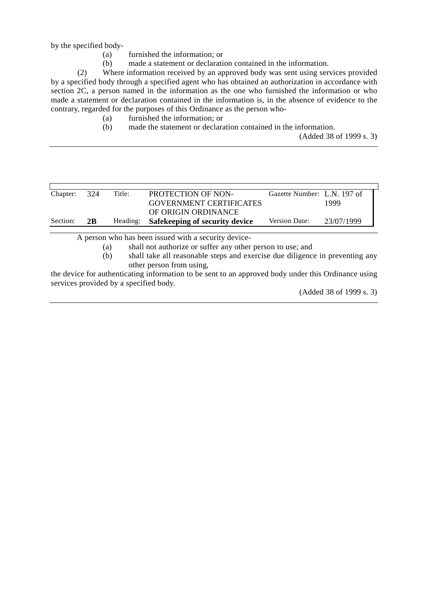by the specified body-

- (a) furnished the information; or
- (b) made a statement or declaration contained in the information.

(2) Where information received by an approved body was sent using services provided by a specified body through a specified agent who has obtained an authorization in accordance with section 2C, a person named in the information as the one who furnished the information or who made a statement or declaration contained in the information is, in the absence of evidence to the contrary, regarded for the purposes of this Ordinance as the person who-

- (a) furnished the information; or
- (b) made the statement or declaration contained in the information.

(Added 38 of 1999 s. 3)

| Section:<br>Version Date:<br>Safekeeping of security device<br>23/07/1999<br>2 <sub>B</sub><br>Heading: |  |
|---------------------------------------------------------------------------------------------------------|--|

A person who has been issued with a security device-

(a) shall not authorize or suffer any other person to use; and

(b) shall take all reasonable steps and exercise due diligence in preventing any other person from using,

the device for authenticating information to be sent to an approved body under this Ordinance using services provided by a specified body.

(Added 38 of 1999 s. 3)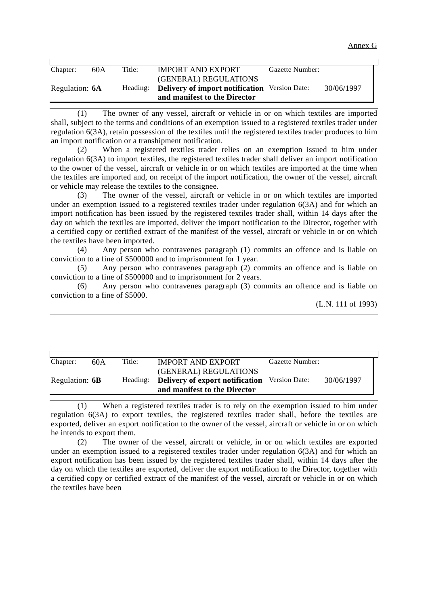| Chapter:       | 60A | Title:   | <b>IMPORT AND EXPORT</b>                             | Gazette Number: |            |
|----------------|-----|----------|------------------------------------------------------|-----------------|------------|
|                |     |          | (GENERAL) REGULATIONS                                |                 |            |
| Regulation: 6A |     | Heading: | <b>Delivery of import notification</b> Version Date: |                 | 30/06/1997 |
|                |     |          | and manifest to the Director                         |                 |            |

(1) The owner of any vessel, aircraft or vehicle in or on which textiles are imported shall, subject to the terms and conditions of an exemption issued to a registered textiles trader under regulation 6(3A), retain possession of the textiles until the registered textiles trader produces to him an import notification or a transhipment notification.

(2) When a registered textiles trader relies on an exemption issued to him under regulation 6(3A) to import textiles, the registered textiles trader shall deliver an import notification to the owner of the vessel, aircraft or vehicle in or on which textiles are imported at the time when the textiles are imported and, on receipt of the import notification, the owner of the vessel, aircraft or vehicle may release the textiles to the consignee.

(3) The owner of the vessel, aircraft or vehicle in or on which textiles are imported under an exemption issued to a registered textiles trader under regulation 6(3A) and for which an import notification has been issued by the registered textiles trader shall, within 14 days after the day on which the textiles are imported, deliver the import notification to the Director, together with a certified copy or certified extract of the manifest of the vessel, aircraft or vehicle in or on which the textiles have been imported.

(4) Any person who contravenes paragraph (1) commits an offence and is liable on conviction to a fine of \$500000 and to imprisonment for 1 year.

(5) Any person who contravenes paragraph (2) commits an offence and is liable on conviction to a fine of \$500000 and to imprisonment for 2 years.

(6) Any person who contravenes paragraph (3) commits an offence and is liable on conviction to a fine of \$5000.

(L.N. 111 of 1993)

| Chapter:       | 60A | Title:   | <b>IMPORT AND EXPORT</b><br>(GENERAL) REGULATIONS               | Gazette Number: |            |
|----------------|-----|----------|-----------------------------------------------------------------|-----------------|------------|
| Regulation: 6B |     | Heading: | Delivery of export notification<br>and manifest to the Director | Version Date:   | 30/06/1997 |

(1) When a registered textiles trader is to rely on the exemption issued to him under regulation 6(3A) to export textiles, the registered textiles trader shall, before the textiles are exported, deliver an export notification to the owner of the vessel, aircraft or vehicle in or on which he intends to export them.

(2) The owner of the vessel, aircraft or vehicle, in or on which textiles are exported under an exemption issued to a registered textiles trader under regulation 6(3A) and for which an export notification has been issued by the registered textiles trader shall, within 14 days after the day on which the textiles are exported, deliver the export notification to the Director, together with a certified copy or certified extract of the manifest of the vessel, aircraft or vehicle in or on which the textiles have been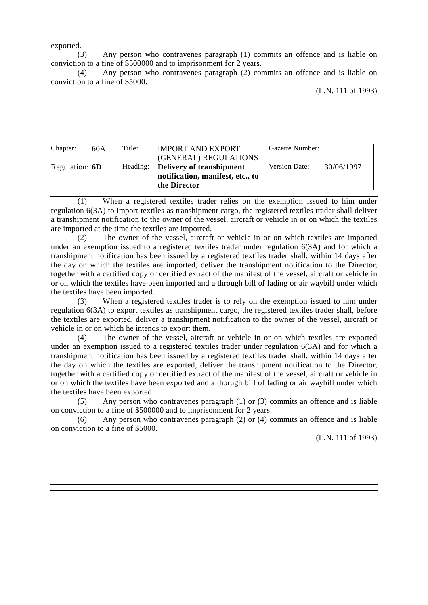exported.

(3) Any person who contravenes paragraph (1) commits an offence and is liable on conviction to a fine of \$500000 and to imprisonment for 2 years.

(4) Any person who contravenes paragraph (2) commits an offence and is liable on conviction to a fine of \$5000.

| Chapter:       | 60A | Title:   | <b>IMPORT AND EXPORT</b><br>(GENERAL) REGULATIONS                            | Gazette Number: |            |
|----------------|-----|----------|------------------------------------------------------------------------------|-----------------|------------|
| Regulation: 6D |     | Heading: | Delivery of transhipment<br>notification, manifest, etc., to<br>the Director | Version Date:   | 30/06/1997 |

(1) When a registered textiles trader relies on the exemption issued to him under regulation 6(3A) to import textiles as transhipment cargo, the registered textiles trader shall deliver a transhipment notification to the owner of the vessel, aircraft or vehicle in or on which the textiles are imported at the time the textiles are imported.

(2) The owner of the vessel, aircraft or vehicle in or on which textiles are imported under an exemption issued to a registered textiles trader under regulation 6(3A) and for which a transhipment notification has been issued by a registered textiles trader shall, within 14 days after the day on which the textiles are imported, deliver the transhipment notification to the Director, together with a certified copy or certified extract of the manifest of the vessel, aircraft or vehicle in or on which the textiles have been imported and a through bill of lading or air waybill under which the textiles have been imported.

(3) When a registered textiles trader is to rely on the exemption issued to him under regulation 6(3A) to export textiles as transhipment cargo, the registered textiles trader shall, before the textiles are exported, deliver a transhipment notification to the owner of the vessel, aircraft or vehicle in or on which he intends to export them.

(4) The owner of the vessel, aircraft or vehicle in or on which textiles are exported under an exemption issued to a registered textiles trader under regulation 6(3A) and for which a transhipment notification has been issued by a registered textiles trader shall, within 14 days after the day on which the textiles are exported, deliver the transhipment notification to the Director, together with a certified copy or certified extract of the manifest of the vessel, aircraft or vehicle in or on which the textiles have been exported and a thorugh bill of lading or air waybill under which the textiles have been exported.

(5) Any person who contravenes paragraph (1) or (3) commits an offence and is liable on conviction to a fine of \$500000 and to imprisonment for 2 years.

(6) Any person who contravenes paragraph (2) or (4) commits an offence and is liable on conviction to a fine of \$5000.

(L.N. 111 of 1993)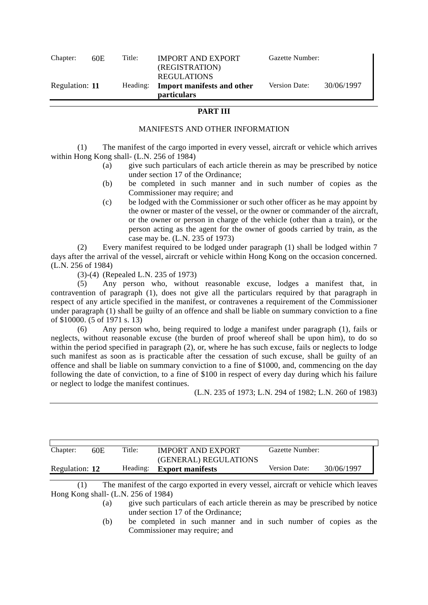| Chapter:       | 60E. | Title: | <b>IMPORT AND EXPORT</b><br>(REGISTRATION)<br><b>REGULATIONS</b> | Gazette Number: |            |
|----------------|------|--------|------------------------------------------------------------------|-----------------|------------|
| Regulation: 11 |      |        | Heading: Import manifests and other<br><i>particulars</i>        | Version Date:   | 30/06/1997 |

## **PART III**

## MANIFESTS AND OTHER INFORMATION

(1) The manifest of the cargo imported in every vessel, aircraft or vehicle which arrives within Hong Kong shall- (L.N. 256 of 1984)

- (a) give such particulars of each article therein as may be prescribed by notice under section 17 of the Ordinance;
- (b) be completed in such manner and in such number of copies as the Commissioner may require; and
- (c) be lodged with the Commissioner or such other officer as he may appoint by the owner or master of the vessel, or the owner or commander of the aircraft, or the owner or person in charge of the vehicle (other than a train), or the person acting as the agent for the owner of goods carried by train, as the case may be. (L.N. 235 of 1973)

(2) Every manifest required to be lodged under paragraph (1) shall be lodged within 7 days after the arrival of the vessel, aircraft or vehicle within Hong Kong on the occasion concerned. (L.N. 256 of 1984)

(3)-(4) (Repealed L.N. 235 of 1973)

(5) Any person who, without reasonable excuse, lodges a manifest that, in contravention of paragraph (1), does not give all the particulars required by that paragraph in respect of any article specified in the manifest, or contravenes a requirement of the Commissioner under paragraph (1) shall be guilty of an offence and shall be liable on summary conviction to a fine of \$10000. (5 of 1971 s. 13)

(6) Any person who, being required to lodge a manifest under paragraph (1), fails or neglects, without reasonable excuse (the burden of proof whereof shall be upon him), to do so within the period specified in paragraph (2), or, where he has such excuse, fails or neglects to lodge such manifest as soon as is practicable after the cessation of such excuse, shall be guilty of an offence and shall be liable on summary conviction to a fine of \$1000, and, commencing on the day following the date of conviction, to a fine of \$100 in respect of every day during which his failure or neglect to lodge the manifest continues.

(L.N. 235 of 1973; L.N. 294 of 1982; L.N. 260 of 1983)

| Chapter:       | 60E | Title:   | <b>IMPORT AND EXPORT</b><br>(GENERAL) REGULATIONS | Gazette Number:      |            |
|----------------|-----|----------|---------------------------------------------------|----------------------|------------|
| Regulation: 12 |     | Heading: | <b>Export manifests</b>                           | <b>Version Date:</b> | 30/06/1997 |

(1) The manifest of the cargo exported in every vessel, aircraft or vehicle which leaves Hong Kong shall- (L.N. 256 of 1984)

> (a) give such particulars of each article therein as may be prescribed by notice under section 17 of the Ordinance;

> (b) be completed in such manner and in such number of copies as the Commissioner may require; and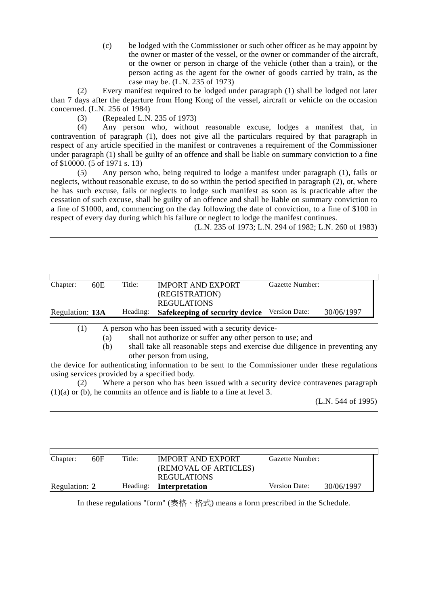(c) be lodged with the Commissioner or such other officer as he may appoint by the owner or master of the vessel, or the owner or commander of the aircraft, or the owner or person in charge of the vehicle (other than a train), or the person acting as the agent for the owner of goods carried by train, as the case may be. (L.N. 235 of 1973)

(2) Every manifest required to be lodged under paragraph (1) shall be lodged not later than 7 days after the departure from Hong Kong of the vessel, aircraft or vehicle on the occasion concerned. (L.N. 256 of 1984)

(3) (Repealed L.N. 235 of 1973)

(4) Any person who, without reasonable excuse, lodges a manifest that, in contravention of paragraph (1), does not give all the particulars required by that paragraph in respect of any article specified in the manifest or contravenes a requirement of the Commissioner under paragraph (1) shall be guilty of an offence and shall be liable on summary conviction to a fine of \$10000. (5 of 1971 s. 13)

(5) Any person who, being required to lodge a manifest under paragraph (1), fails or neglects, without reasonable excuse, to do so within the period specified in paragraph (2), or, where he has such excuse, fails or neglects to lodge such manifest as soon as is practicable after the cessation of such excuse, shall be guilty of an offence and shall be liable on summary conviction to a fine of \$1000, and, commencing on the day following the date of conviction, to a fine of \$100 in respect of every day during which his failure or neglect to lodge the manifest continues.

(L.N. 235 of 1973; L.N. 294 of 1982; L.N. 260 of 1983)

| Chapter:        | 60E | Title:   | <b>IMPORT AND EXPORT</b><br>(REGISTRATION)<br><b>REGULATIONS</b>                                                                                                                                                                                                                                                                                                           | Gazette Number: |            |
|-----------------|-----|----------|----------------------------------------------------------------------------------------------------------------------------------------------------------------------------------------------------------------------------------------------------------------------------------------------------------------------------------------------------------------------------|-----------------|------------|
| Regulation: 13A |     | Heading: | Safekeeping of security device                                                                                                                                                                                                                                                                                                                                             | Version Date:   | 30/06/1997 |
| (1)             |     |          | A person who has been issued with a security device-<br>$\sqrt{2}$ $\sqrt{1}$ $\sqrt{1}$ $\sqrt{1}$ $\sqrt{1}$ $\sqrt{1}$ $\sqrt{1}$ $\sqrt{1}$ $\sqrt{1}$ $\sqrt{1}$ $\sqrt{1}$ $\sqrt{1}$ $\sqrt{1}$ $\sqrt{1}$ $\sqrt{1}$ $\sqrt{1}$ $\sqrt{1}$ $\sqrt{1}$ $\sqrt{1}$ $\sqrt{1}$ $\sqrt{1}$ $\sqrt{1}$ $\sqrt{1}$ $\sqrt{1}$ $\sqrt{1}$ $\sqrt{1}$ $\sqrt{1}$ $\sqrt{1$ |                 |            |

(a) shall not authorize or suffer any other person to use; and

(b) shall take all reasonable steps and exercise due diligence in preventing any other person from using,

the device for authenticating information to be sent to the Commissioner under these regulations using services provided by a specified body.

Where a person who has been issued with a security device contravenes paragraph (1)(a) or (b), he commits an offence and is liable to a fine at level 3.

(L.N. 544 of 1995)

| Chapter:      | 60F | Title:   | <b>IMPORT AND EXPORT</b><br>(REMOVAL OF ARTICLES)<br><b>REGULATIONS</b> | Gazette Number:      |            |
|---------------|-----|----------|-------------------------------------------------------------------------|----------------------|------------|
| Regulation: 2 |     | Heading: | Interpretation                                                          | <b>Version Date:</b> | 30/06/1997 |

In these regulations "form" (表格、格式) means a form prescribed in the Schedule.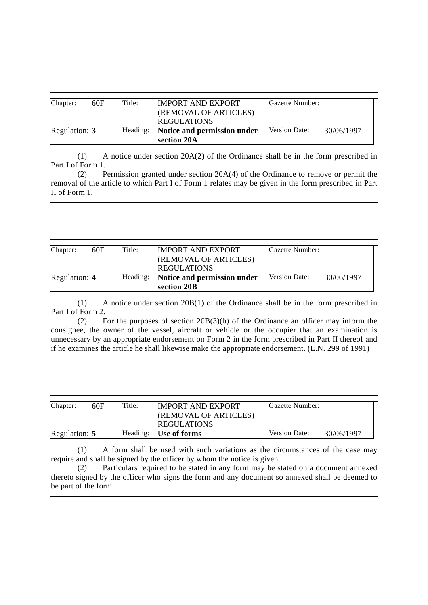| Chapter:      | 60F | Title:   | <b>IMPORT AND EXPORT</b>                    | Gazette Number:      |            |
|---------------|-----|----------|---------------------------------------------|----------------------|------------|
|               |     |          | (REMOVAL OF ARTICLES)<br><b>REGULATIONS</b> |                      |            |
| Regulation: 3 |     | Heading: | Notice and permission under<br>section 20A  | <b>Version Date:</b> | 30/06/1997 |

(1) A notice under section 20A(2) of the Ordinance shall be in the form prescribed in Part I of Form 1.

(2) Permission granted under section 20A(4) of the Ordinance to remove or permit the removal of the article to which Part I of Form 1 relates may be given in the form prescribed in Part II of Form 1.

| Chapter:      | 60F | Title:   | <b>IMPORT AND EXPORT</b>                   | Gazette Number: |            |
|---------------|-----|----------|--------------------------------------------|-----------------|------------|
|               |     |          | (REMOVAL OF ARTICLES)<br>REGULATIONS       |                 |            |
| Regulation: 4 |     | Heading: | Notice and permission under<br>section 20B | Version Date:   | 30/06/1997 |

(1) A notice under section 20B(1) of the Ordinance shall be in the form prescribed in Part I of Form 2.

(2) For the purposes of section 20B(3)(b) of the Ordinance an officer may inform the consignee, the owner of the vessel, aircraft or vehicle or the occupier that an examination is unnecessary by an appropriate endorsement on Form 2 in the form prescribed in Part II thereof and if he examines the article he shall likewise make the appropriate endorsement. (L.N. 299 of 1991)

| Chapter:      | 60F | Title:   | <b>IMPORT AND EXPORT</b><br>(REMOVAL OF ARTICLES)<br><b>REGULATIONS</b> | Gazette Number: |            |
|---------------|-----|----------|-------------------------------------------------------------------------|-----------------|------------|
| Regulation: 5 |     | Heading: | Use of forms                                                            | Version Date:   | 30/06/1997 |

(1) A form shall be used with such variations as the circumstances of the case may require and shall be signed by the officer by whom the notice is given.

(2) Particulars required to be stated in any form may be stated on a document annexed thereto signed by the officer who signs the form and any document so annexed shall be deemed to be part of the form.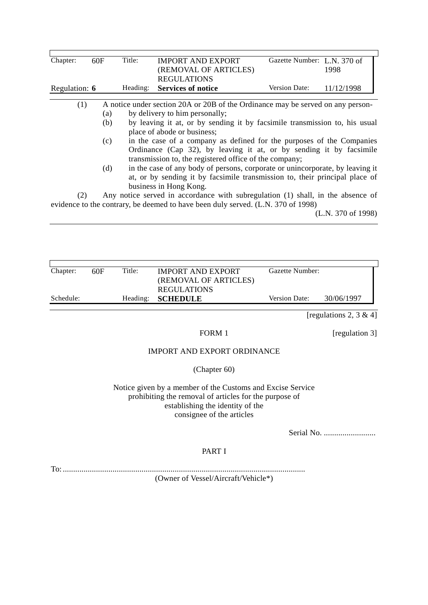| Chapter:      | 60F | Title:                                                                          | <b>IMPORT AND EXPORT</b>                                                         | Gazette Number: L.N. 370 of |                    |  |  |
|---------------|-----|---------------------------------------------------------------------------------|----------------------------------------------------------------------------------|-----------------------------|--------------------|--|--|
|               |     |                                                                                 | (REMOVAL OF ARTICLES)                                                            |                             | 1998               |  |  |
|               |     |                                                                                 | <b>REGULATIONS</b>                                                               |                             |                    |  |  |
| Regulation: 6 |     | Heading:                                                                        | <b>Services of notice</b>                                                        | Version Date:               | 11/12/1998         |  |  |
| (1)           |     |                                                                                 | A notice under section 20A or 20B of the Ordinance may be served on any person-  |                             |                    |  |  |
|               |     |                                                                                 |                                                                                  |                             |                    |  |  |
|               | (a) |                                                                                 | by delivery to him personally;                                                   |                             |                    |  |  |
|               | (b) |                                                                                 | by leaving it at, or by sending it by facsimile transmission to, his usual       |                             |                    |  |  |
|               |     |                                                                                 | place of abode or business;                                                      |                             |                    |  |  |
|               | (c) | in the case of a company as defined for the purposes of the Companies           |                                                                                  |                             |                    |  |  |
|               |     |                                                                                 | Ordinance (Cap 32), by leaving it at, or by sending it by facsimile              |                             |                    |  |  |
|               |     |                                                                                 |                                                                                  |                             |                    |  |  |
|               |     |                                                                                 | transmission to, the registered office of the company;                           |                             |                    |  |  |
|               | (d) | in the case of any body of persons, corporate or unincorporate, by leaving it   |                                                                                  |                             |                    |  |  |
|               |     |                                                                                 | at, or by sending it by facsimile transmission to, their principal place of      |                             |                    |  |  |
|               |     |                                                                                 | business in Hong Kong.                                                           |                             |                    |  |  |
| (2)           |     | Any notice served in accordance with subregulation (1) shall, in the absence of |                                                                                  |                             |                    |  |  |
|               |     |                                                                                 |                                                                                  |                             |                    |  |  |
|               |     |                                                                                 | evidence to the contrary, be deemed to have been duly served. (L.N. 370 of 1998) |                             |                    |  |  |
|               |     |                                                                                 |                                                                                  |                             | (L.N. 370 of 1998) |  |  |
|               |     |                                                                                 |                                                                                  |                             |                    |  |  |
|               |     |                                                                                 |                                                                                  |                             |                    |  |  |
|               |     |                                                                                 |                                                                                  |                             |                    |  |  |

| Chapter:  | 60F | Title:   | <b>IMPORT AND EXPORT</b><br>(REMOVAL OF ARTICLES) | Gazette Number: |            |
|-----------|-----|----------|---------------------------------------------------|-----------------|------------|
| Schedule: |     | Heading: | <b>REGULATIONS</b><br><b>SCHEDULE</b>             | Version Date:   | 30/06/1997 |

[regulations 2, 3 & 4]

FORM 1 [regulation 3]

# IMPORT AND EXPORT ORDINANCE

(Chapter 60)

Notice given by a member of the Customs and Excise Service prohibiting the removal of articles for the purpose of establishing the identity of the consignee of the articles

Serial No. .........................

## PART I

To: .....................................................................................................................

(Owner of Vessel/Aircraft/Vehicle\*)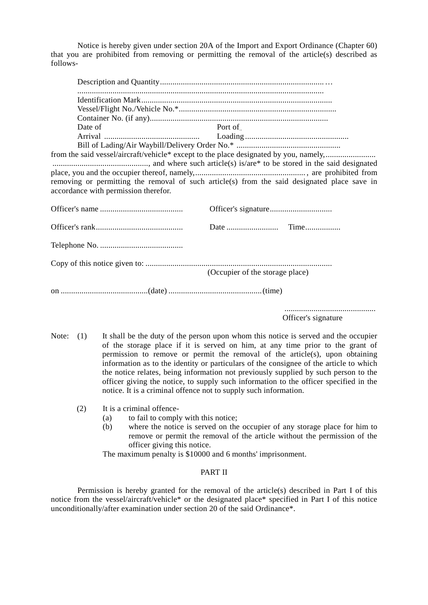Notice is hereby given under section 20A of the Import and Export Ordinance (Chapter 60) that you are prohibited from removing or permitting the removal of the article(s) described as follows-

| Port of                                                                                                                                                                               |
|---------------------------------------------------------------------------------------------------------------------------------------------------------------------------------------|
|                                                                                                                                                                                       |
| from the said vessel/aircraft/vehicle* except to the place designated by you, namely,<br>removing or permitting the removal of such article(s) from the said designated place save in |
|                                                                                                                                                                                       |
|                                                                                                                                                                                       |
|                                                                                                                                                                                       |
| (Occupier of the storage place)                                                                                                                                                       |
|                                                                                                                                                                                       |
|                                                                                                                                                                                       |

............................................ Officer's signature

- Note: (1) It shall be the duty of the person upon whom this notice is served and the occupier of the storage place if it is served on him, at any time prior to the grant of permission to remove or permit the removal of the article(s), upon obtaining information as to the identity or particulars of the consignee of the article to which the notice relates, being information not previously supplied by such person to the officer giving the notice, to supply such information to the officer specified in the notice. It is a criminal offence not to supply such information.
	- (2) It is a criminal offence-
		- (a) to fail to comply with this notice;
		- (b) where the notice is served on the occupier of any storage place for him to remove or permit the removal of the article without the permission of the officer giving this notice.

The maximum penalty is \$10000 and 6 months' imprisonment.

## PART II

Permission is hereby granted for the removal of the article(s) described in Part I of this notice from the vessel/aircraft/vehicle\* or the designated place\* specified in Part I of this notice unconditionally/after examination under section 20 of the said Ordinance\*.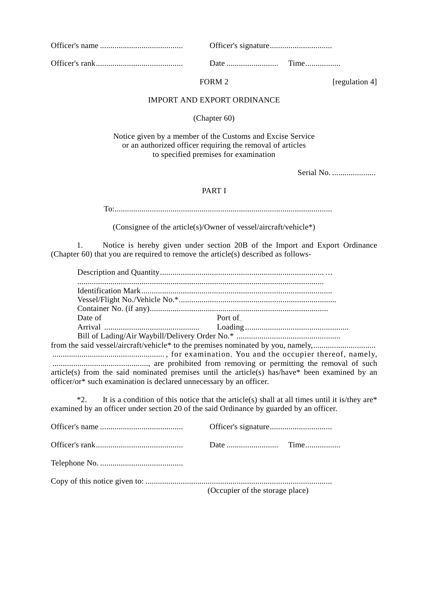|  | $\ldots$ $\ldots$ $\ldots$ $\ldots$ $\ldots$ $\ldots$ $\ldots$ |  |
|--|----------------------------------------------------------------|--|

FORM 2 [regulation 4]

## IMPORT AND EXPORT ORDINANCE

(Chapter 60)

Notice given by a member of the Customs and Excise Service or an authorized officer requiring the removal of articles to specified premises for examination

Serial No. .....................

## PART I

To:.........................................................................................................

(Consignee of the article(s)/Owner of vessel/aircraft/vehicle\*)

1. Notice is hereby given under section 20B of the Import and Export Ordinance (Chapter 60) that you are required to remove the article(s) described as follows-

| Date of                                                                   | Port of |
|---------------------------------------------------------------------------|---------|
|                                                                           |         |
| $D_{\text{eff}}^{\text{eff}}$ of Lading/Ain Waybill/Delivery Onder No $*$ |         |

Bill of Lading/Air Waybill/Delivery Order No.\* .................................................. from the said vessel/aircraft/vehicle\* to the premises nominated by you, namely,.............................. ...................................................... , for examination. You and the occupier thereof, namely, .............................................., are prohibited from removing or permitting the removal of such article(s) from the said nominated premises until the article(s) has/have\* been examined by an officer/or\* such examination is declared unnecessary by an officer.

\*2. It is a condition of this notice that the article(s) shall at all times until it is/they are  $*$ examined by an officer under section 20 of the said Ordinance by guarded by an officer.

| (Occupier of the storage place) |  |
|---------------------------------|--|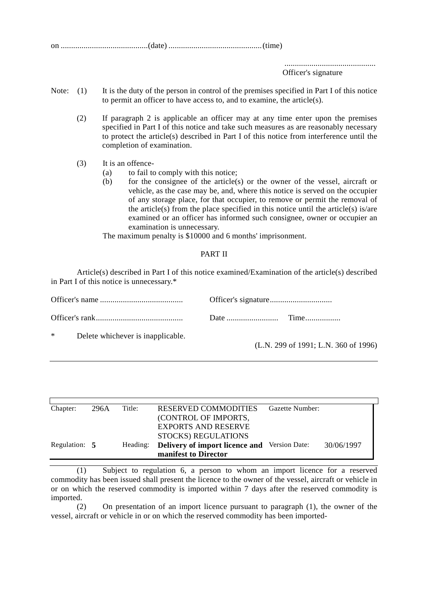on ..........................................(date) .............................................(time)

............................................ Officer's signature

- Note: (1) It is the duty of the person in control of the premises specified in Part I of this notice to permit an officer to have access to, and to examine, the article(s).
	- (2) If paragraph 2 is applicable an officer may at any time enter upon the premises specified in Part I of this notice and take such measures as are reasonably necessary to protect the article(s) described in Part I of this notice from interference until the completion of examination.
	- (3) It is an offence-
		- (a) to fail to comply with this notice;
		- (b) for the consignee of the article(s) or the owner of the vessel, aircraft or vehicle, as the case may be, and, where this notice is served on the occupier of any storage place, for that occupier, to remove or permit the removal of the article(s) from the place specified in this notice until the article(s) is/are examined or an officer has informed such consignee, owner or occupier an examination is unnecessary.

The maximum penalty is \$10000 and 6 months' imprisonment.

## PART II

Article(s) described in Part I of this notice examined/Examination of the article(s) described in Part I of this notice is unnecessary.\*

| $*$<br>Delete whichever is inapplicable. | (L.N. 299 of 1991; L.N. 360 of 1996) |
|------------------------------------------|--------------------------------------|

| Chapter:      | 296A | Title:   | <b>RESERVED COMMODITIES</b>                         | Gazette Number: |            |
|---------------|------|----------|-----------------------------------------------------|-----------------|------------|
|               |      |          | (CONTROL OF IMPORTS,                                |                 |            |
|               |      |          | <b>EXPORTS AND RESERVE</b>                          |                 |            |
|               |      |          | STOCKS) REGULATIONS                                 |                 |            |
| Regulation: 5 |      | Heading: | <b>Delivery of import licence and</b> Version Date: |                 | 30/06/1997 |
|               |      |          | manifest to Director                                |                 |            |

(1) Subject to regulation 6, a person to whom an import licence for a reserved commodity has been issued shall present the licence to the owner of the vessel, aircraft or vehicle in or on which the reserved commodity is imported within 7 days after the reserved commodity is imported.

(2) On presentation of an import licence pursuant to paragraph (1), the owner of the vessel, aircraft or vehicle in or on which the reserved commodity has been imported-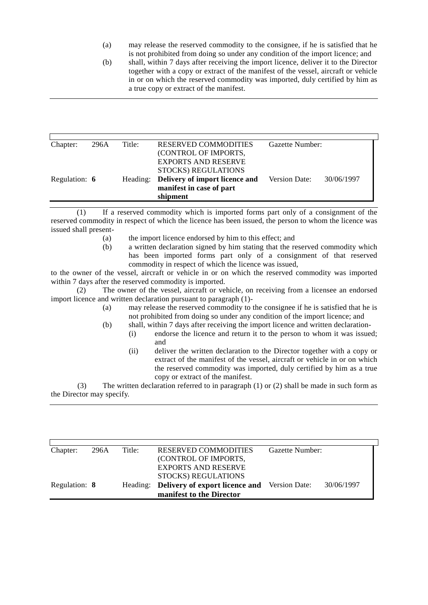- (a) may release the reserved commodity to the consignee, if he is satisfied that he is not prohibited from doing so under any condition of the import licence; and
- (b) shall, within 7 days after receiving the import licence, deliver it to the Director together with a copy or extract of the manifest of the vessel, aircraft or vehicle in or on which the reserved commodity was imported, duly certified by him as a true copy or extract of the manifest.

| Chapter:      | 296A | Title:   | <b>RESERVED COMMODITIES</b>    | Gazette Number:             |  |
|---------------|------|----------|--------------------------------|-----------------------------|--|
|               |      |          | (CONTROL OF IMPORTS,           |                             |  |
|               |      |          | <b>EXPORTS AND RESERVE</b>     |                             |  |
|               |      |          | STOCKS) REGULATIONS            |                             |  |
| Regulation: 6 |      | Heading: | Delivery of import licence and | Version Date:<br>30/06/1997 |  |
|               |      |          | manifest in case of part       |                             |  |
|               |      |          | shipment                       |                             |  |

(1) If a reserved commodity which is imported forms part only of a consignment of the reserved commodity in respect of which the licence has been issued, the person to whom the licence was issued shall present-

- (a) the import licence endorsed by him to this effect; and
- (b) a written declaration signed by him stating that the reserved commodity which has been imported forms part only of a consignment of that reserved commodity in respect of which the licence was issued,

to the owner of the vessel, aircraft or vehicle in or on which the reserved commodity was imported within 7 days after the reserved commodity is imported.

(2) The owner of the vessel, aircraft or vehicle, on receiving from a licensee an endorsed import licence and written declaration pursuant to paragraph (1)-

- (a) may release the reserved commodity to the consignee if he is satisfied that he is not prohibited from doing so under any condition of the import licence; and
- (b) shall, within 7 days after receiving the import licence and written declaration-
	- (i) endorse the licence and return it to the person to whom it was issued; and
		- (ii) deliver the written declaration to the Director together with a copy or extract of the manifest of the vessel, aircraft or vehicle in or on which the reserved commodity was imported, duly certified by him as a true copy or extract of the manifest.

(3) The written declaration referred to in paragraph (1) or (2) shall be made in such form as the Director may specify.

| Chapter:      | 296A | Title:   | <b>RESERVED COMMODITIES</b>    | Gazette Number:             |  |
|---------------|------|----------|--------------------------------|-----------------------------|--|
|               |      |          | (CONTROL OF IMPORTS,           |                             |  |
|               |      |          | <b>EXPORTS AND RESERVE</b>     |                             |  |
|               |      |          | STOCKS) REGULATIONS            |                             |  |
| Regulation: 8 |      | Heading: | Delivery of export licence and | Version Date:<br>30/06/1997 |  |
|               |      |          | manifest to the Director       |                             |  |